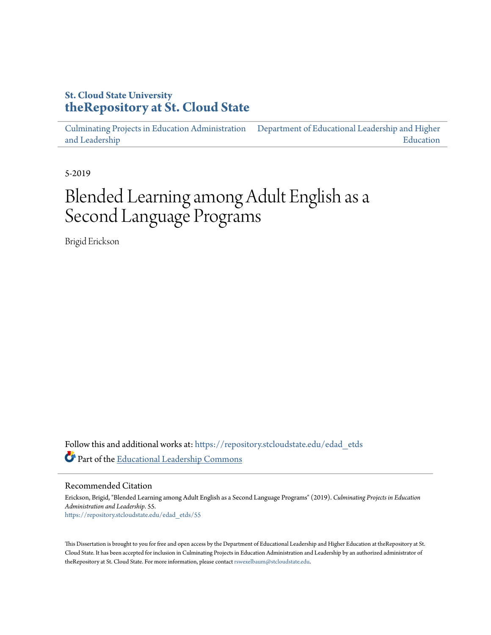# **St. Cloud State University [theRepository at St. Cloud State](https://repository.stcloudstate.edu?utm_source=repository.stcloudstate.edu%2Fedad_etds%2F55&utm_medium=PDF&utm_campaign=PDFCoverPages)**

[Culminating Projects in Education Administration](https://repository.stcloudstate.edu/edad_etds?utm_source=repository.stcloudstate.edu%2Fedad_etds%2F55&utm_medium=PDF&utm_campaign=PDFCoverPages) [and Leadership](https://repository.stcloudstate.edu/edad_etds?utm_source=repository.stcloudstate.edu%2Fedad_etds%2F55&utm_medium=PDF&utm_campaign=PDFCoverPages) [Department of Educational Leadership and Higher](https://repository.stcloudstate.edu/elhe?utm_source=repository.stcloudstate.edu%2Fedad_etds%2F55&utm_medium=PDF&utm_campaign=PDFCoverPages) [Education](https://repository.stcloudstate.edu/elhe?utm_source=repository.stcloudstate.edu%2Fedad_etds%2F55&utm_medium=PDF&utm_campaign=PDFCoverPages)

5-2019

# Blended Learning among Adult English as a Second Language Programs

Brigid Erickson

Follow this and additional works at: [https://repository.stcloudstate.edu/edad\\_etds](https://repository.stcloudstate.edu/edad_etds?utm_source=repository.stcloudstate.edu%2Fedad_etds%2F55&utm_medium=PDF&utm_campaign=PDFCoverPages) Part of the [Educational Leadership Commons](http://network.bepress.com/hgg/discipline/1230?utm_source=repository.stcloudstate.edu%2Fedad_etds%2F55&utm_medium=PDF&utm_campaign=PDFCoverPages)

Recommended Citation

Erickson, Brigid, "Blended Learning among Adult English as a Second Language Programs" (2019). *Culminating Projects in Education Administration and Leadership*. 55. [https://repository.stcloudstate.edu/edad\\_etds/55](https://repository.stcloudstate.edu/edad_etds/55?utm_source=repository.stcloudstate.edu%2Fedad_etds%2F55&utm_medium=PDF&utm_campaign=PDFCoverPages)

This Dissertation is brought to you for free and open access by the Department of Educational Leadership and Higher Education at theRepository at St. Cloud State. It has been accepted for inclusion in Culminating Projects in Education Administration and Leadership by an authorized administrator of theRepository at St. Cloud State. For more information, please contact [rswexelbaum@stcloudstate.edu](mailto:rswexelbaum@stcloudstate.edu).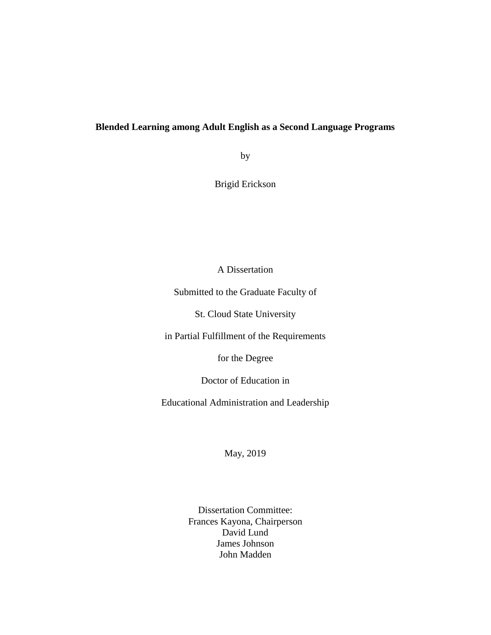## **Blended Learning among Adult English as a Second Language Programs**

by

Brigid Erickson

A Dissertation

Submitted to the Graduate Faculty of

St. Cloud State University

in Partial Fulfillment of the Requirements

for the Degree

Doctor of Education in

Educational Administration and Leadership

May, 2019

Dissertation Committee: Frances Kayona, Chairperson David Lund James Johnson John Madden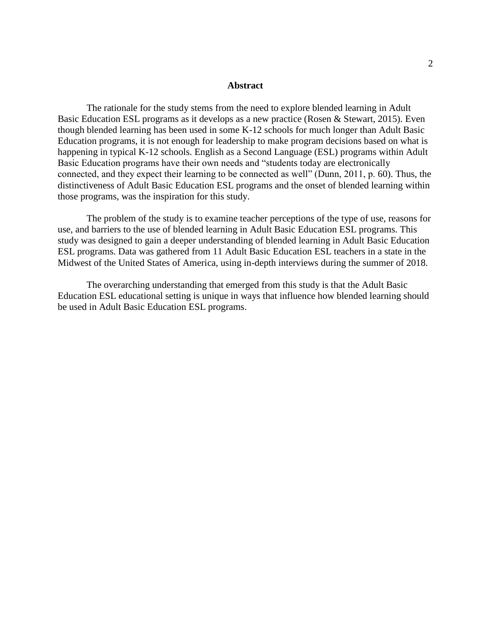#### **Abstract**

The rationale for the study stems from the need to explore blended learning in Adult Basic Education ESL programs as it develops as a new practice (Rosen & Stewart, 2015). Even though blended learning has been used in some K-12 schools for much longer than Adult Basic Education programs, it is not enough for leadership to make program decisions based on what is happening in typical K-12 schools. English as a Second Language (ESL) programs within Adult Basic Education programs have their own needs and "students today are electronically connected, and they expect their learning to be connected as well" (Dunn, 2011, p. 60). Thus, the distinctiveness of Adult Basic Education ESL programs and the onset of blended learning within those programs, was the inspiration for this study.

The problem of the study is to examine teacher perceptions of the type of use, reasons for use, and barriers to the use of blended learning in Adult Basic Education ESL programs. This study was designed to gain a deeper understanding of blended learning in Adult Basic Education ESL programs. Data was gathered from 11 Adult Basic Education ESL teachers in a state in the Midwest of the United States of America, using in-depth interviews during the summer of 2018.

The overarching understanding that emerged from this study is that the Adult Basic Education ESL educational setting is unique in ways that influence how blended learning should be used in Adult Basic Education ESL programs.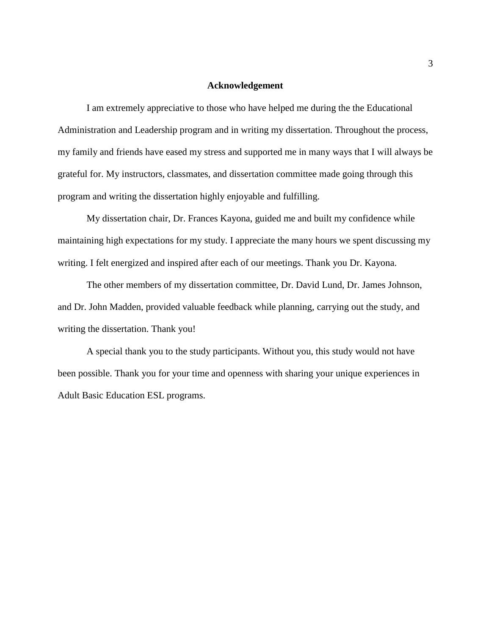### **Acknowledgement**

I am extremely appreciative to those who have helped me during the the Educational Administration and Leadership program and in writing my dissertation. Throughout the process, my family and friends have eased my stress and supported me in many ways that I will always be grateful for. My instructors, classmates, and dissertation committee made going through this program and writing the dissertation highly enjoyable and fulfilling.

My dissertation chair, Dr. Frances Kayona, guided me and built my confidence while maintaining high expectations for my study. I appreciate the many hours we spent discussing my writing. I felt energized and inspired after each of our meetings. Thank you Dr. Kayona.

The other members of my dissertation committee, Dr. David Lund, Dr. James Johnson, and Dr. John Madden, provided valuable feedback while planning, carrying out the study, and writing the dissertation. Thank you!

A special thank you to the study participants. Without you, this study would not have been possible. Thank you for your time and openness with sharing your unique experiences in Adult Basic Education ESL programs.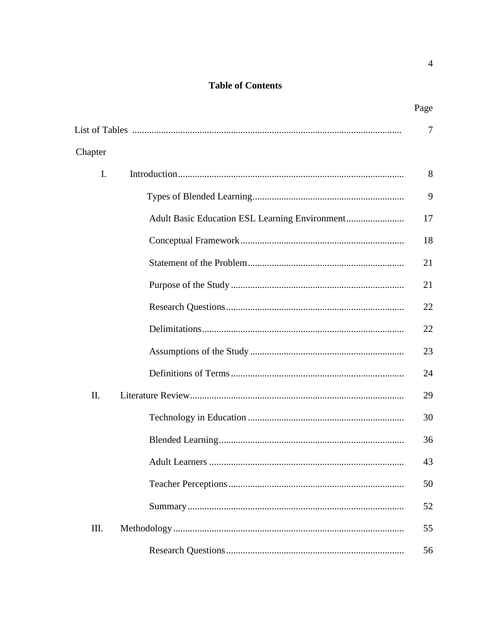## **Table of Contents**

|         |                | Page |
|---------|----------------|------|
|         |                | 7    |
| Chapter |                |      |
| I.      |                | 8    |
|         |                | 9    |
|         |                | 17   |
|         |                | 18   |
|         |                | 21   |
|         |                | 21   |
|         |                | 22   |
|         |                | 22   |
|         |                | 23   |
|         |                | 24   |
| II.     |                | 29   |
|         |                | 30   |
|         |                | 36   |
|         | Adult Learners | 43   |
|         |                | 50   |
|         |                | 52   |
| III.    |                | 55   |
|         |                | 56   |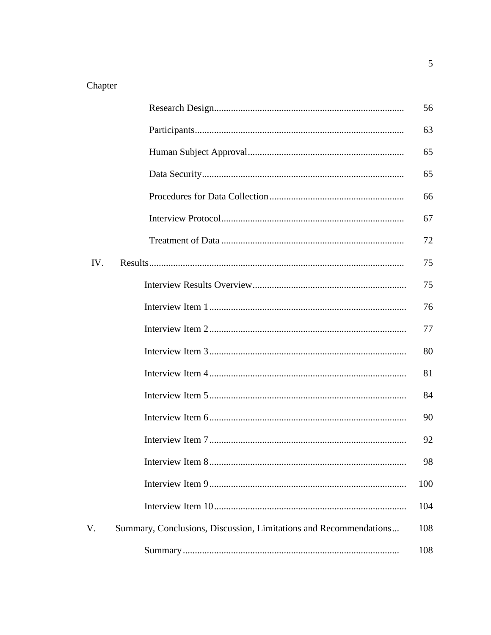# Chapter

|     |                                                                   | 56  |
|-----|-------------------------------------------------------------------|-----|
|     |                                                                   | 63  |
|     |                                                                   | 65  |
|     |                                                                   | 65  |
|     |                                                                   | 66  |
|     |                                                                   | 67  |
|     |                                                                   | 72  |
| IV. |                                                                   | 75  |
|     |                                                                   | 75  |
|     |                                                                   | 76  |
|     |                                                                   | 77  |
|     |                                                                   | 80  |
|     |                                                                   | 81  |
|     |                                                                   | 84  |
|     |                                                                   | 90  |
|     |                                                                   | 92  |
|     | Interview Item 8.                                                 | 98  |
|     |                                                                   | 100 |
|     |                                                                   | 104 |
| V.  | Summary, Conclusions, Discussion, Limitations and Recommendations | 108 |
|     |                                                                   | 108 |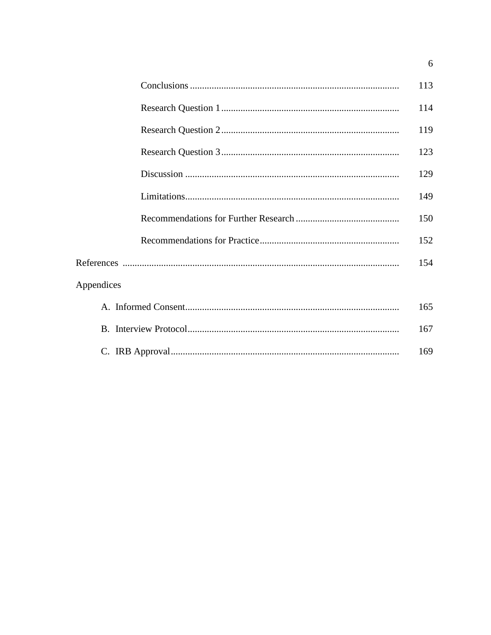|            | 113 |
|------------|-----|
|            | 114 |
|            | 119 |
|            | 123 |
|            | 129 |
|            | 149 |
|            | 150 |
|            | 152 |
|            | 154 |
| Appendices |     |
|            | 165 |
|            | 167 |
|            | 169 |

 $\overline{6}$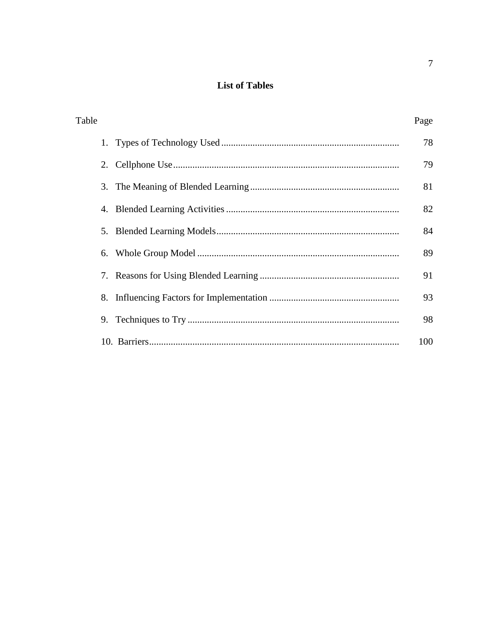# **List of Tables**

| Table | Page |
|-------|------|
|       | 78   |
| 2.    | 79   |
| 3.    | 81   |
| 4.    | 82   |
| 5.    | 84   |
| 6.    | 89   |
|       | 91   |
| 8.    | 93   |
| 9.    | 98   |
|       | 100  |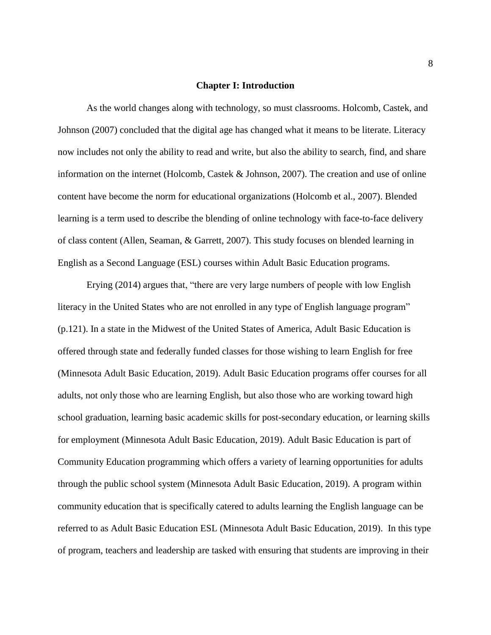#### **Chapter I: Introduction**

As the world changes along with technology, so must classrooms. Holcomb, Castek, and Johnson (2007) concluded that the digital age has changed what it means to be literate. Literacy now includes not only the ability to read and write, but also the ability to search, find, and share information on the internet (Holcomb, Castek & Johnson, 2007). The creation and use of online content have become the norm for educational organizations (Holcomb et al., 2007). Blended learning is a term used to describe the blending of online technology with face-to-face delivery of class content (Allen, Seaman, & Garrett, 2007). This study focuses on blended learning in English as a Second Language (ESL) courses within Adult Basic Education programs.

Erying (2014) argues that, "there are very large numbers of people with low English literacy in the United States who are not enrolled in any type of English language program" (p.121). In a state in the Midwest of the United States of America, Adult Basic Education is offered through state and federally funded classes for those wishing to learn English for free (Minnesota Adult Basic Education, 2019). Adult Basic Education programs offer courses for all adults, not only those who are learning English, but also those who are working toward high school graduation, learning basic academic skills for post-secondary education, or learning skills for employment (Minnesota Adult Basic Education, 2019). Adult Basic Education is part of Community Education programming which offers a variety of learning opportunities for adults through the public school system (Minnesota Adult Basic Education, 2019). A program within community education that is specifically catered to adults learning the English language can be referred to as Adult Basic Education ESL (Minnesota Adult Basic Education, 2019). In this type of program, teachers and leadership are tasked with ensuring that students are improving in their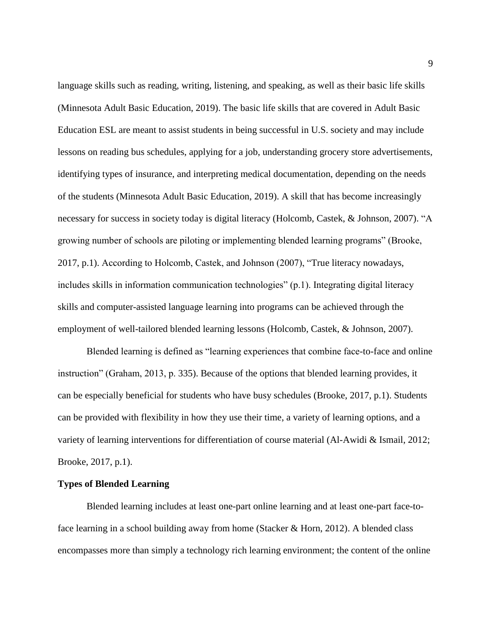language skills such as reading, writing, listening, and speaking, as well as their basic life skills (Minnesota Adult Basic Education, 2019). The basic life skills that are covered in Adult Basic Education ESL are meant to assist students in being successful in U.S. society and may include lessons on reading bus schedules, applying for a job, understanding grocery store advertisements, identifying types of insurance, and interpreting medical documentation, depending on the needs of the students (Minnesota Adult Basic Education, 2019). A skill that has become increasingly necessary for success in society today is digital literacy (Holcomb, Castek, & Johnson, 2007). "A growing number of schools are piloting or implementing blended learning programs" (Brooke, 2017, p.1). According to Holcomb, Castek, and Johnson (2007), "True literacy nowadays, includes skills in information communication technologies" (p.1). Integrating digital literacy skills and computer-assisted language learning into programs can be achieved through the employment of well-tailored blended learning lessons (Holcomb, Castek, & Johnson, 2007).

Blended learning is defined as "learning experiences that combine face-to-face and online instruction" (Graham, 2013, p. 335). Because of the options that blended learning provides, it can be especially beneficial for students who have busy schedules (Brooke, 2017, p.1). Students can be provided with flexibility in how they use their time, a variety of learning options, and a variety of learning interventions for differentiation of course material (Al-Awidi & Ismail, 2012; Brooke, 2017, p.1).

#### **Types of Blended Learning**

Blended learning includes at least one-part online learning and at least one-part face-toface learning in a school building away from home (Stacker & Horn, 2012). A blended class encompasses more than simply a technology rich learning environment; the content of the online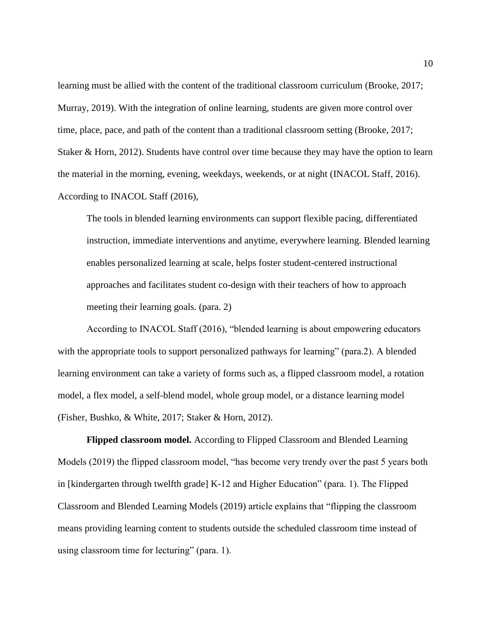learning must be allied with the content of the traditional classroom curriculum (Brooke, 2017; Murray, 2019). With the integration of online learning, students are given more control over time, place, pace, and path of the content than a traditional classroom setting (Brooke, 2017; Staker & Horn, 2012). Students have control over time because they may have the option to learn the material in the morning, evening, weekdays, weekends, or at night (INACOL Staff, 2016). According to INACOL Staff (2016),

The tools in blended learning environments can support flexible pacing, differentiated instruction, immediate interventions and anytime, everywhere learning. Blended learning enables personalized learning at scale, helps foster student-centered instructional approaches and facilitates student co-design with their teachers of how to approach meeting their learning goals. (para. 2)

According to INACOL Staff (2016), "blended learning is about empowering educators with the appropriate tools to support personalized pathways for learning" (para.2). A blended learning environment can take a variety of forms such as, a flipped classroom model, a rotation model, a flex model, a self-blend model, whole group model, or a distance learning model (Fisher, Bushko, & White, 2017; Staker & Horn, 2012).

**Flipped classroom model.** According to Flipped Classroom and Blended Learning Models (2019) the flipped classroom model, "has become very trendy over the past 5 years both in [kindergarten through twelfth grade] K-12 and Higher Education" (para. 1). The Flipped Classroom and Blended Learning Models (2019) article explains that "flipping the classroom means providing learning content to students outside the scheduled classroom time instead of using classroom time for lecturing" (para. 1).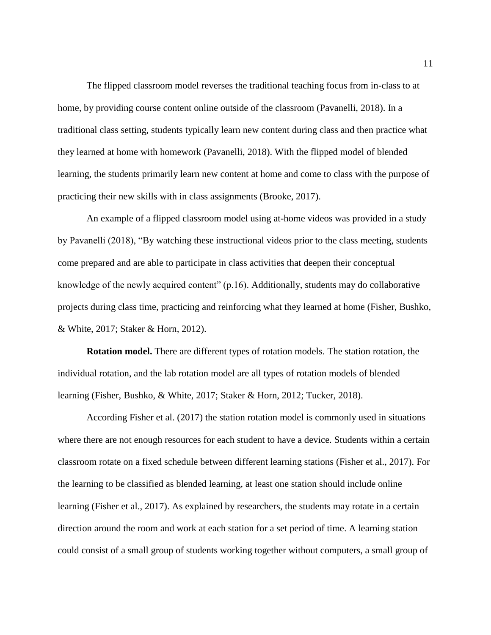The flipped classroom model reverses the traditional teaching focus from in-class to at home, by providing course content online outside of the classroom (Pavanelli, 2018). In a traditional class setting, students typically learn new content during class and then practice what they learned at home with homework (Pavanelli, 2018). With the flipped model of blended learning, the students primarily learn new content at home and come to class with the purpose of practicing their new skills with in class assignments (Brooke, 2017).

An example of a flipped classroom model using at-home videos was provided in a study by Pavanelli (2018), "By watching these instructional videos prior to the class meeting, students come prepared and are able to participate in class activities that deepen their conceptual knowledge of the newly acquired content" (p.16). Additionally, students may do collaborative projects during class time, practicing and reinforcing what they learned at home (Fisher, Bushko, & White, 2017; Staker & Horn, 2012).

**Rotation model.** There are different types of rotation models. The station rotation, the individual rotation, and the lab rotation model are all types of rotation models of blended learning (Fisher, Bushko, & White, 2017; Staker & Horn, 2012; Tucker, 2018).

According Fisher et al. (2017) the station rotation model is commonly used in situations where there are not enough resources for each student to have a device. Students within a certain classroom rotate on a fixed schedule between different learning stations (Fisher et al., 2017). For the learning to be classified as blended learning, at least one station should include online learning (Fisher et al., 2017). As explained by researchers, the students may rotate in a certain direction around the room and work at each station for a set period of time. A learning station could consist of a small group of students working together without computers, a small group of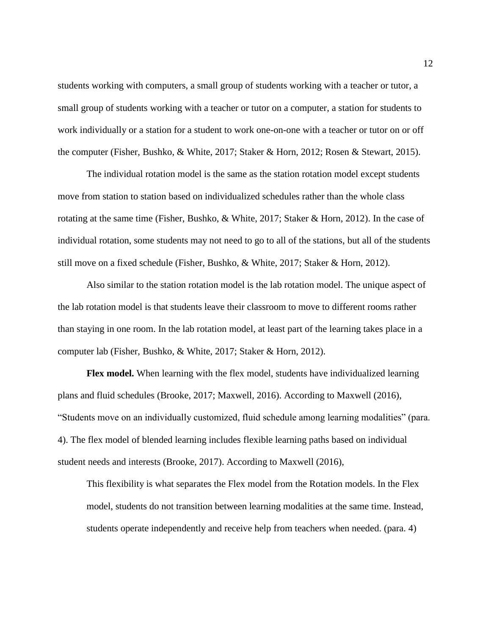students working with computers, a small group of students working with a teacher or tutor, a small group of students working with a teacher or tutor on a computer, a station for students to work individually or a station for a student to work one-on-one with a teacher or tutor on or off the computer (Fisher, Bushko, & White, 2017; Staker & Horn, 2012; Rosen & Stewart, 2015).

The individual rotation model is the same as the station rotation model except students move from station to station based on individualized schedules rather than the whole class rotating at the same time (Fisher, Bushko, & White, 2017; Staker & Horn, 2012). In the case of individual rotation, some students may not need to go to all of the stations, but all of the students still move on a fixed schedule (Fisher, Bushko, & White, 2017; Staker & Horn, 2012).

Also similar to the station rotation model is the lab rotation model. The unique aspect of the lab rotation model is that students leave their classroom to move to different rooms rather than staying in one room. In the lab rotation model, at least part of the learning takes place in a computer lab (Fisher, Bushko, & White, 2017; Staker & Horn, 2012).

**Flex model.** When learning with the flex model, students have individualized learning plans and fluid schedules (Brooke, 2017; Maxwell, 2016). According to Maxwell (2016), "Students move on an individually customized, fluid schedule among learning modalities" (para. 4). The flex model of blended learning includes flexible learning paths based on individual student needs and interests (Brooke, 2017). According to Maxwell (2016),

This flexibility is what separates the Flex model from the Rotation models. In the Flex model, students do not transition between learning modalities at the same time. Instead, students operate independently and receive help from teachers when needed. (para. 4)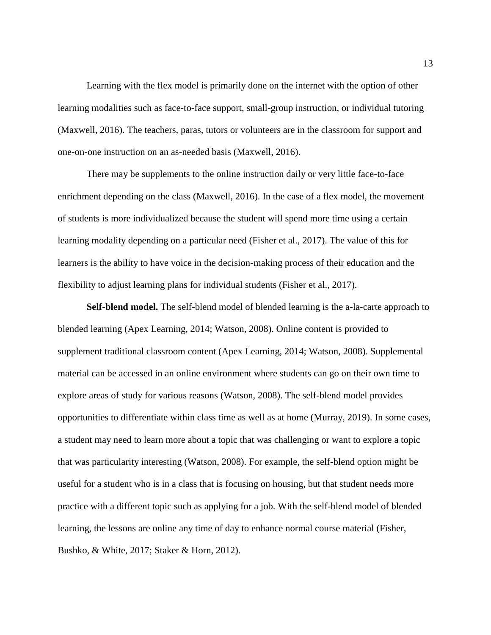Learning with the flex model is primarily done on the internet with the option of other learning modalities such as face-to-face support, small-group instruction, or individual tutoring (Maxwell, 2016). The teachers, paras, tutors or volunteers are in the classroom for support and one-on-one instruction on an as-needed basis (Maxwell, 2016).

There may be supplements to the online instruction daily or very little face-to-face enrichment depending on the class (Maxwell, 2016). In the case of a flex model, the movement of students is more individualized because the student will spend more time using a certain learning modality depending on a particular need (Fisher et al., 2017). The value of this for learners is the ability to have voice in the decision-making process of their education and the flexibility to adjust learning plans for individual students (Fisher et al., 2017).

**Self-blend model.** The self-blend model of blended learning is the a-la-carte approach to blended learning (Apex Learning, 2014; Watson, 2008). Online content is provided to supplement traditional classroom content (Apex Learning, 2014; Watson, 2008). Supplemental material can be accessed in an online environment where students can go on their own time to explore areas of study for various reasons (Watson, 2008). The self-blend model provides opportunities to differentiate within class time as well as at home (Murray, 2019). In some cases, a student may need to learn more about a topic that was challenging or want to explore a topic that was particularity interesting (Watson, 2008). For example, the self-blend option might be useful for a student who is in a class that is focusing on housing, but that student needs more practice with a different topic such as applying for a job. With the self-blend model of blended learning, the lessons are online any time of day to enhance normal course material (Fisher, Bushko, & White, 2017; Staker & Horn, 2012).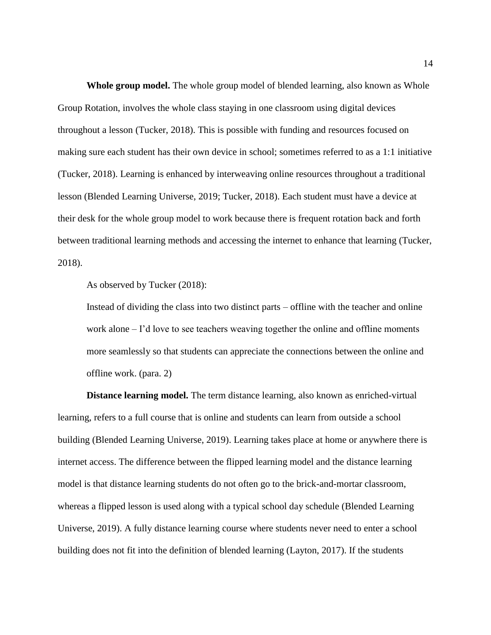**Whole group model.** The whole group model of blended learning, also known as Whole Group Rotation, involves the whole class staying in one classroom using digital devices throughout a lesson (Tucker, 2018). This is possible with funding and resources focused on making sure each student has their own device in school; sometimes referred to as a 1:1 initiative (Tucker, 2018). Learning is enhanced by interweaving online resources throughout a traditional lesson (Blended Learning Universe, 2019; Tucker, 2018). Each student must have a device at their desk for the whole group model to work because there is frequent rotation back and forth between traditional learning methods and accessing the internet to enhance that learning (Tucker, 2018).

As observed by Tucker (2018):

Instead of dividing the class into two distinct parts – offline with the teacher and online work alone – I'd love to see teachers weaving together the online and offline moments more seamlessly so that students can appreciate the connections between the online and offline work. (para. 2)

**Distance learning model.** The term distance learning, also known as enriched-virtual learning, refers to a full course that is online and students can learn from outside a school building (Blended Learning Universe, 2019). Learning takes place at home or anywhere there is internet access. The difference between the flipped learning model and the distance learning model is that distance learning students do not often go to the brick-and-mortar classroom, whereas a flipped lesson is used along with a typical school day schedule (Blended Learning Universe, 2019). A fully distance learning course where students never need to enter a school building does not fit into the definition of blended learning (Layton, 2017). If the students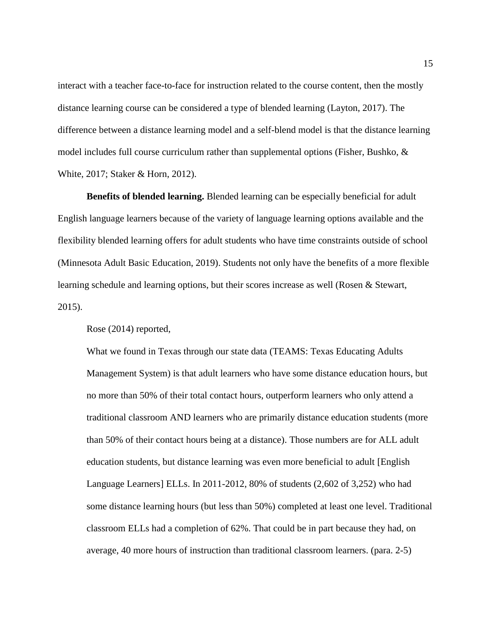interact with a teacher face-to-face for instruction related to the course content, then the mostly distance learning course can be considered a type of blended learning (Layton, 2017). The difference between a distance learning model and a self-blend model is that the distance learning model includes full course curriculum rather than supplemental options (Fisher, Bushko,  $\&$ White, 2017; Staker & Horn, 2012).

**Benefits of blended learning.** Blended learning can be especially beneficial for adult English language learners because of the variety of language learning options available and the flexibility blended learning offers for adult students who have time constraints outside of school (Minnesota Adult Basic Education, 2019). Students not only have the benefits of a more flexible learning schedule and learning options, but their scores increase as well (Rosen & Stewart, 2015).

Rose (2014) reported,

What we found in Texas through our state data (TEAMS: Texas Educating Adults Management System) is that adult learners who have some distance education hours, but no more than 50% of their total contact hours, outperform learners who only attend a traditional classroom AND learners who are primarily distance education students (more than 50% of their contact hours being at a distance). Those numbers are for ALL adult education students, but distance learning was even more beneficial to adult [English Language Learners] ELLs. In 2011-2012, 80% of students (2,602 of 3,252) who had some distance learning hours (but less than 50%) completed at least one level. Traditional classroom ELLs had a completion of 62%. That could be in part because they had, on average, 40 more hours of instruction than traditional classroom learners. (para. 2-5)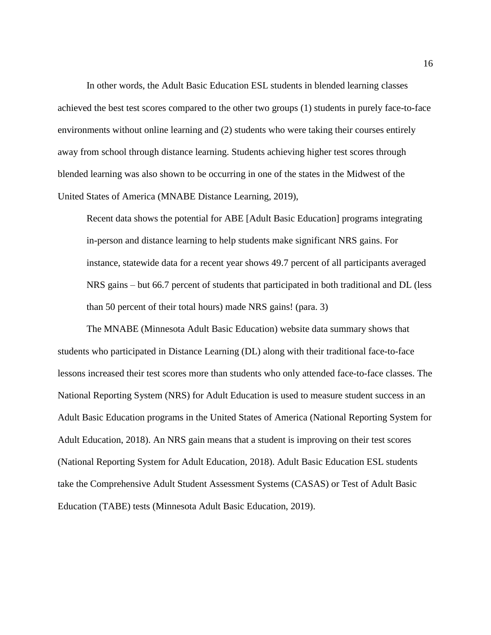In other words, the Adult Basic Education ESL students in blended learning classes achieved the best test scores compared to the other two groups (1) students in purely face-to-face environments without online learning and (2) students who were taking their courses entirely away from school through distance learning. Students achieving higher test scores through blended learning was also shown to be occurring in one of the states in the Midwest of the United States of America (MNABE Distance Learning, 2019),

Recent data shows the potential for ABE [Adult Basic Education] programs integrating in-person and distance learning to help students make significant NRS gains. For instance, statewide data for a recent year shows 49.7 percent of all participants averaged NRS gains – but 66.7 percent of students that participated in both traditional and DL (less than 50 percent of their total hours) made NRS gains! (para. 3)

The MNABE (Minnesota Adult Basic Education) website data summary shows that students who participated in Distance Learning (DL) along with their traditional face-to-face lessons increased their test scores more than students who only attended face-to-face classes. The National Reporting System (NRS) for Adult Education is used to measure student success in an Adult Basic Education programs in the United States of America (National Reporting System for Adult Education, 2018). An NRS gain means that a student is improving on their test scores (National Reporting System for Adult Education, 2018). Adult Basic Education ESL students take the Comprehensive Adult Student Assessment Systems (CASAS) or Test of Adult Basic Education (TABE) tests (Minnesota Adult Basic Education, 2019).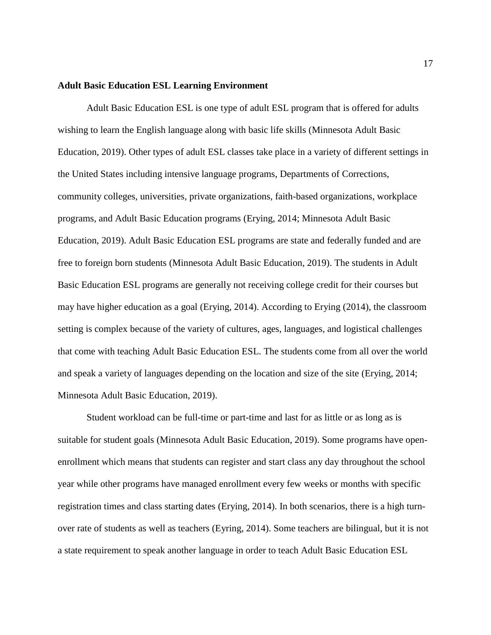#### **Adult Basic Education ESL Learning Environment**

Adult Basic Education ESL is one type of adult ESL program that is offered for adults wishing to learn the English language along with basic life skills (Minnesota Adult Basic Education, 2019). Other types of adult ESL classes take place in a variety of different settings in the United States including intensive language programs, Departments of Corrections, community colleges, universities, private organizations, faith-based organizations, workplace programs, and Adult Basic Education programs (Erying, 2014; Minnesota Adult Basic Education, 2019). Adult Basic Education ESL programs are state and federally funded and are free to foreign born students (Minnesota Adult Basic Education, 2019). The students in Adult Basic Education ESL programs are generally not receiving college credit for their courses but may have higher education as a goal (Erying, 2014). According to Erying (2014), the classroom setting is complex because of the variety of cultures, ages, languages, and logistical challenges that come with teaching Adult Basic Education ESL. The students come from all over the world and speak a variety of languages depending on the location and size of the site (Erying, 2014; Minnesota Adult Basic Education, 2019).

Student workload can be full-time or part-time and last for as little or as long as is suitable for student goals (Minnesota Adult Basic Education, 2019). Some programs have openenrollment which means that students can register and start class any day throughout the school year while other programs have managed enrollment every few weeks or months with specific registration times and class starting dates (Erying, 2014). In both scenarios, there is a high turnover rate of students as well as teachers (Eyring, 2014). Some teachers are bilingual, but it is not a state requirement to speak another language in order to teach Adult Basic Education ESL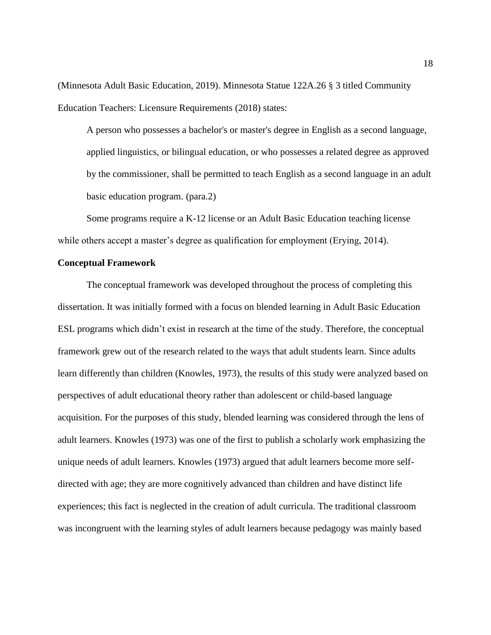(Minnesota Adult Basic Education, 2019). Minnesota Statue 122A.26 § 3 titled Community Education Teachers: Licensure Requirements (2018) states:

A person who possesses a bachelor's or master's degree in English as a second language, applied linguistics, or bilingual education, or who possesses a related degree as approved by the commissioner, shall be permitted to teach English as a second language in an adult basic education program. (para.2)

Some programs require a K-12 license or an Adult Basic Education teaching license while others accept a master's degree as qualification for employment (Erying, 2014).

#### **Conceptual Framework**

The conceptual framework was developed throughout the process of completing this dissertation. It was initially formed with a focus on blended learning in Adult Basic Education ESL programs which didn't exist in research at the time of the study. Therefore, the conceptual framework grew out of the research related to the ways that adult students learn. Since adults learn differently than children (Knowles, 1973), the results of this study were analyzed based on perspectives of adult educational theory rather than adolescent or child-based language acquisition. For the purposes of this study, blended learning was considered through the lens of adult learners. Knowles (1973) was one of the first to publish a scholarly work emphasizing the unique needs of adult learners. Knowles (1973) argued that adult learners become more selfdirected with age; they are more cognitively advanced than children and have distinct life experiences; this fact is neglected in the creation of adult curricula. The traditional classroom was incongruent with the learning styles of adult learners because pedagogy was mainly based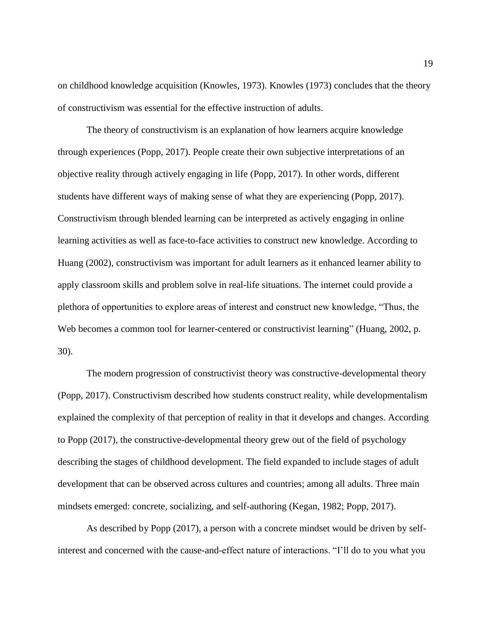on childhood knowledge acquisition (Knowles, 1973). Knowles (1973) concludes that the theory of constructivism was essential for the effective instruction of adults.

The theory of constructivism is an explanation of how learners acquire knowledge through experiences (Popp, 2017). People create their own subjective interpretations of an objective reality through actively engaging in life (Popp, 2017). In other words, different students have different ways of making sense of what they are experiencing (Popp, 2017). Constructivism through blended learning can be interpreted as actively engaging in online learning activities as well as face-to-face activities to construct new knowledge. According to Huang (2002), constructivism was important for adult learners as it enhanced learner ability to apply classroom skills and problem solve in real-life situations. The internet could provide a plethora of opportunities to explore areas of interest and construct new knowledge, "Thus, the Web becomes a common tool for learner-centered or constructivist learning" (Huang, 2002, p. 30).

The modern progression of constructivist theory was constructive-developmental theory (Popp, 2017). Constructivism described how students construct reality, while developmentalism explained the complexity of that perception of reality in that it develops and changes. According to Popp (2017), the constructive-developmental theory grew out of the field of psychology describing the stages of childhood development. The field expanded to include stages of adult development that can be observed across cultures and countries; among all adults. Three main mindsets emerged: concrete, socializing, and self-authoring (Kegan, 1982; Popp, 2017).

As described by Popp (2017), a person with a concrete mindset would be driven by selfinterest and concerned with the cause-and-effect nature of interactions. "I'll do to you what you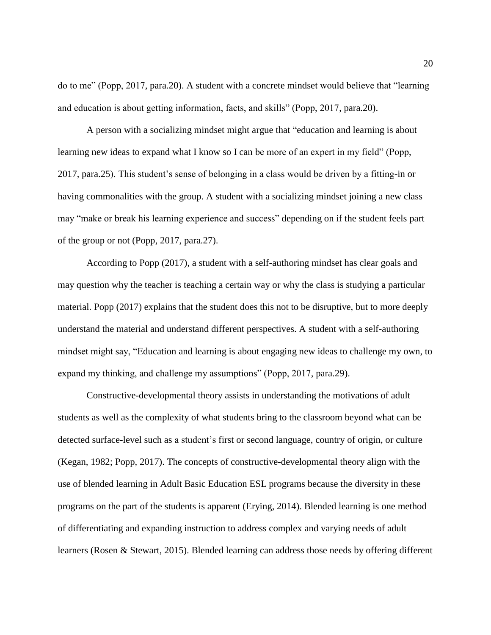do to me" (Popp, 2017, para.20). A student with a concrete mindset would believe that "learning and education is about getting information, facts, and skills" (Popp, 2017, para.20).

A person with a socializing mindset might argue that "education and learning is about learning new ideas to expand what I know so I can be more of an expert in my field" (Popp, 2017, para.25). This student's sense of belonging in a class would be driven by a fitting-in or having commonalities with the group. A student with a socializing mindset joining a new class may "make or break his learning experience and success" depending on if the student feels part of the group or not (Popp, 2017, para.27).

According to Popp (2017), a student with a self-authoring mindset has clear goals and may question why the teacher is teaching a certain way or why the class is studying a particular material. Popp (2017) explains that the student does this not to be disruptive, but to more deeply understand the material and understand different perspectives. A student with a self-authoring mindset might say, "Education and learning is about engaging new ideas to challenge my own, to expand my thinking, and challenge my assumptions" (Popp, 2017, para.29).

Constructive-developmental theory assists in understanding the motivations of adult students as well as the complexity of what students bring to the classroom beyond what can be detected surface-level such as a student's first or second language, country of origin, or culture (Kegan, 1982; Popp, 2017). The concepts of constructive-developmental theory align with the use of blended learning in Adult Basic Education ESL programs because the diversity in these programs on the part of the students is apparent (Erying, 2014). Blended learning is one method of differentiating and expanding instruction to address complex and varying needs of adult learners (Rosen & Stewart, 2015). Blended learning can address those needs by offering different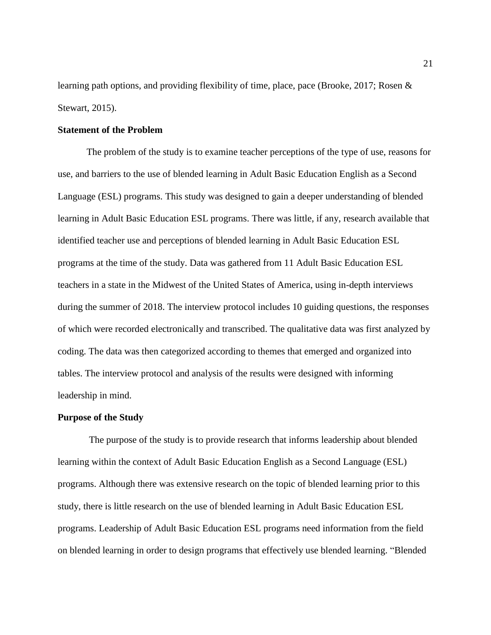learning path options, and providing flexibility of time, place, pace (Brooke, 2017; Rosen & Stewart, 2015).

#### **Statement of the Problem**

The problem of the study is to examine teacher perceptions of the type of use, reasons for use, and barriers to the use of blended learning in Adult Basic Education English as a Second Language (ESL) programs. This study was designed to gain a deeper understanding of blended learning in Adult Basic Education ESL programs. There was little, if any, research available that identified teacher use and perceptions of blended learning in Adult Basic Education ESL programs at the time of the study. Data was gathered from 11 Adult Basic Education ESL teachers in a state in the Midwest of the United States of America, using in-depth interviews during the summer of 2018. The interview protocol includes 10 guiding questions, the responses of which were recorded electronically and transcribed. The qualitative data was first analyzed by coding. The data was then categorized according to themes that emerged and organized into tables. The interview protocol and analysis of the results were designed with informing leadership in mind.

#### **Purpose of the Study**

The purpose of the study is to provide research that informs leadership about blended learning within the context of Adult Basic Education English as a Second Language (ESL) programs. Although there was extensive research on the topic of blended learning prior to this study, there is little research on the use of blended learning in Adult Basic Education ESL programs. Leadership of Adult Basic Education ESL programs need information from the field on blended learning in order to design programs that effectively use blended learning. "Blended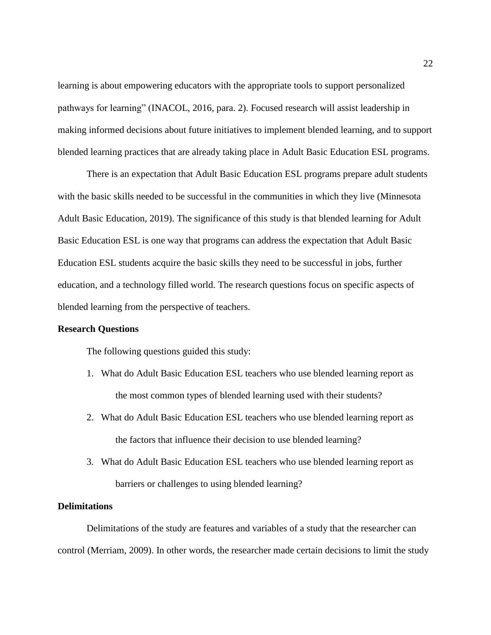learning is about empowering educators with the appropriate tools to support personalized pathways for learning" (INACOL, 2016, para. 2). Focused research will assist leadership in making informed decisions about future initiatives to implement blended learning, and to support blended learning practices that are already taking place in Adult Basic Education ESL programs.

There is an expectation that Adult Basic Education ESL programs prepare adult students with the basic skills needed to be successful in the communities in which they live (Minnesota Adult Basic Education, 2019). The significance of this study is that blended learning for Adult Basic Education ESL is one way that programs can address the expectation that Adult Basic Education ESL students acquire the basic skills they need to be successful in jobs, further education, and a technology filled world. The research questions focus on specific aspects of blended learning from the perspective of teachers.

#### **Research Questions**

The following questions guided this study:

- 1. What do Adult Basic Education ESL teachers who use blended learning report as the most common types of blended learning used with their students?
- 2. What do Adult Basic Education ESL teachers who use blended learning report as the factors that influence their decision to use blended learning?
- 3. What do Adult Basic Education ESL teachers who use blended learning report as barriers or challenges to using blended learning?

#### **Delimitations**

Delimitations of the study are features and variables of a study that the researcher can control (Merriam, 2009). In other words, the researcher made certain decisions to limit the study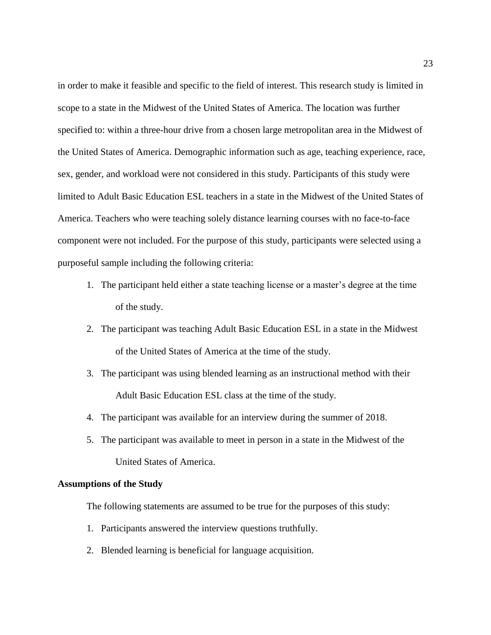in order to make it feasible and specific to the field of interest. This research study is limited in scope to a state in the Midwest of the United States of America. The location was further specified to: within a three-hour drive from a chosen large metropolitan area in the Midwest of the United States of America. Demographic information such as age, teaching experience, race, sex, gender, and workload were not considered in this study. Participants of this study were limited to Adult Basic Education ESL teachers in a state in the Midwest of the United States of America. Teachers who were teaching solely distance learning courses with no face-to-face component were not included. For the purpose of this study, participants were selected using a purposeful sample including the following criteria:

- 1. The participant held either a state teaching license or a master's degree at the time of the study.
- 2. The participant was teaching Adult Basic Education ESL in a state in the Midwest of the United States of America at the time of the study.
- 3. The participant was using blended learning as an instructional method with their Adult Basic Education ESL class at the time of the study.
- 4. The participant was available for an interview during the summer of 2018.
- 5. The participant was available to meet in person in a state in the Midwest of the United States of America.

#### **Assumptions of the Study**

The following statements are assumed to be true for the purposes of this study:

- 1. Participants answered the interview questions truthfully.
- 2. Blended learning is beneficial for language acquisition.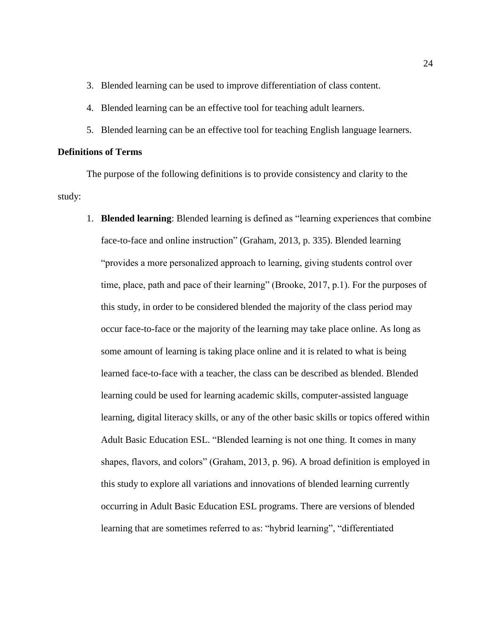3. Blended learning can be used to improve differentiation of class content.

- 4. Blended learning can be an effective tool for teaching adult learners.
- 5. Blended learning can be an effective tool for teaching English language learners.

#### **Definitions of Terms**

The purpose of the following definitions is to provide consistency and clarity to the study:

1. **Blended learning**: Blended learning is defined as "learning experiences that combine face-to-face and online instruction" (Graham, 2013, p. 335). Blended learning "provides a more personalized approach to learning, giving students control over time, place, path and pace of their learning" (Brooke, 2017, p.1). For the purposes of this study, in order to be considered blended the majority of the class period may occur face-to-face or the majority of the learning may take place online. As long as some amount of learning is taking place online and it is related to what is being learned face-to-face with a teacher, the class can be described as blended. Blended learning could be used for learning academic skills, computer-assisted language learning, digital literacy skills, or any of the other basic skills or topics offered within Adult Basic Education ESL. "Blended learning is not one thing. It comes in many shapes, flavors, and colors" (Graham, 2013, p. 96). A broad definition is employed in this study to explore all variations and innovations of blended learning currently occurring in Adult Basic Education ESL programs. There are versions of blended learning that are sometimes referred to as: "hybrid learning", "differentiated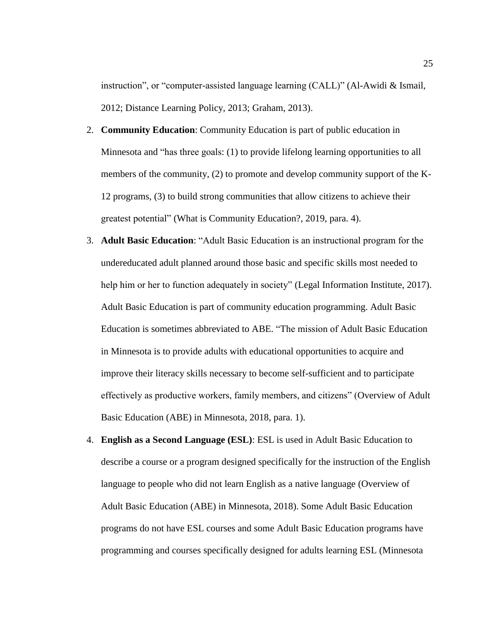instruction", or "computer-assisted language learning (CALL)" (Al-Awidi & Ismail, 2012; Distance Learning Policy, 2013; Graham, 2013).

- 2. **Community Education**: Community Education is part of public education in Minnesota and "has three goals: (1) to provide lifelong learning opportunities to all members of the community, (2) to promote and develop community support of the K-12 programs, (3) to build strong communities that allow citizens to achieve their greatest potential" (What is Community Education?, 2019, para. 4).
- 3. **Adult Basic Education**: "Adult Basic Education is an instructional program for the undereducated adult planned around those basic and specific skills most needed to help him or her to function adequately in society" (Legal Information Institute, 2017). Adult Basic Education is part of community education programming. Adult Basic Education is sometimes abbreviated to ABE. "The mission of Adult Basic Education in Minnesota is to provide adults with educational opportunities to acquire and improve their literacy skills necessary to become self-sufficient and to participate effectively as productive workers, family members, and citizens" (Overview of Adult Basic Education (ABE) in Minnesota, 2018, para. 1).
- 4. **English as a Second Language (ESL)**: ESL is used in Adult Basic Education to describe a course or a program designed specifically for the instruction of the English language to people who did not learn English as a native language (Overview of Adult Basic Education (ABE) in Minnesota, 2018). Some Adult Basic Education programs do not have ESL courses and some Adult Basic Education programs have programming and courses specifically designed for adults learning ESL (Minnesota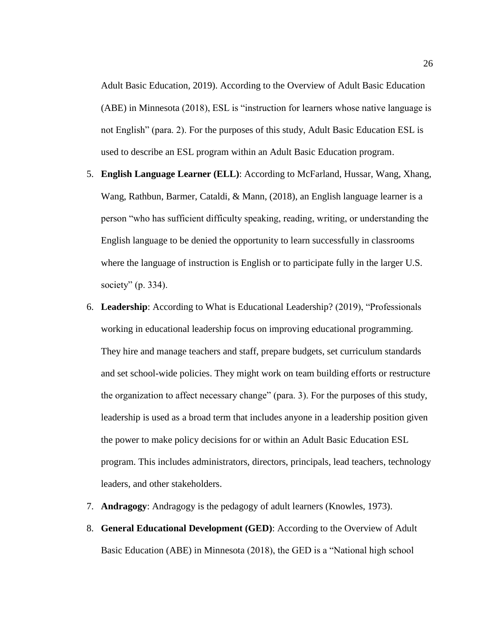Adult Basic Education, 2019). According to the Overview of Adult Basic Education (ABE) in Minnesota (2018), ESL is "instruction for learners whose native language is not English" (para. 2). For the purposes of this study, Adult Basic Education ESL is used to describe an ESL program within an Adult Basic Education program.

- 5. **English Language Learner (ELL)**: According to McFarland, Hussar, Wang, Xhang, Wang, Rathbun, Barmer, Cataldi, & Mann, (2018), an English language learner is a person "who has sufficient difficulty speaking, reading, writing, or understanding the English language to be denied the opportunity to learn successfully in classrooms where the language of instruction is English or to participate fully in the larger U.S. society" (p. 334).
- 6. **Leadership**: According to What is Educational Leadership? (2019), "Professionals working in educational leadership focus on improving educational programming. They hire and manage teachers and staff, prepare budgets, set curriculum standards and set school-wide policies. They might work on team building efforts or restructure the organization to affect necessary change" (para. 3). For the purposes of this study, leadership is used as a broad term that includes anyone in a leadership position given the power to make policy decisions for or within an Adult Basic Education ESL program. This includes administrators, directors, principals, lead teachers, technology leaders, and other stakeholders.
- 7. **Andragogy**: Andragogy is the pedagogy of adult learners (Knowles, 1973).
- 8. **General Educational Development (GED)**: According to the Overview of Adult Basic Education (ABE) in Minnesota (2018), the GED is a "National high school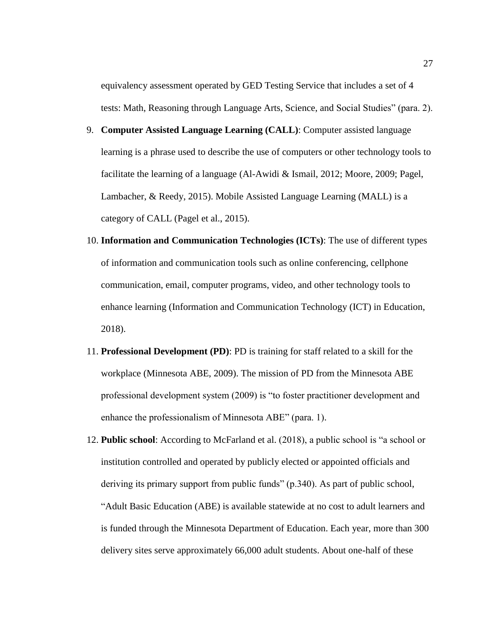equivalency assessment operated by GED Testing Service that includes a set of 4 tests: Math, Reasoning through Language Arts, Science, and Social Studies" (para. 2).

- 9. **Computer Assisted Language Learning (CALL)**: Computer assisted language learning is a phrase used to describe the use of computers or other technology tools to facilitate the learning of a language (Al-Awidi & Ismail, 2012; Moore, 2009; Pagel, Lambacher, & Reedy, 2015). Mobile Assisted Language Learning (MALL) is a category of CALL (Pagel et al., 2015).
- 10. **Information and Communication Technologies (ICTs)**: The use of different types of information and communication tools such as online conferencing, cellphone communication, email, computer programs, video, and other technology tools to enhance learning (Information and Communication Technology (ICT) in Education, 2018).
- 11. **Professional Development (PD)**: PD is training for staff related to a skill for the workplace (Minnesota ABE, 2009). The mission of PD from the Minnesota ABE professional development system (2009) is "to foster practitioner development and enhance the professionalism of Minnesota ABE" (para. 1).
- 12. **Public school**: According to McFarland et al. (2018), a public school is "a school or institution controlled and operated by publicly elected or appointed officials and deriving its primary support from public funds" (p.340). As part of public school, "Adult Basic Education (ABE) is available statewide at no cost to adult learners and is funded through the Minnesota Department of Education. Each year, more than 300 delivery sites serve approximately 66,000 adult students. About one-half of these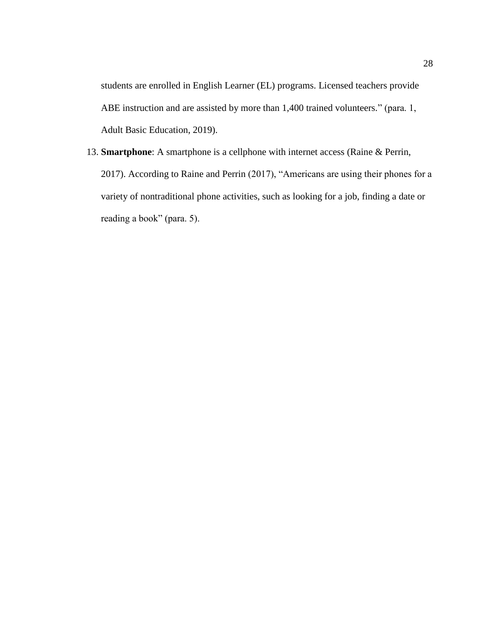students are enrolled in English Learner (EL) programs. Licensed teachers provide ABE instruction and are assisted by more than 1,400 trained volunteers." (para. 1, Adult Basic Education, 2019).

13. **Smartphone**: A smartphone is a cellphone with internet access (Raine & Perrin, 2017). According to Raine and Perrin (2017), "Americans are using their phones for a variety of nontraditional phone activities, such as looking for a job, finding a date or reading a book" (para. 5).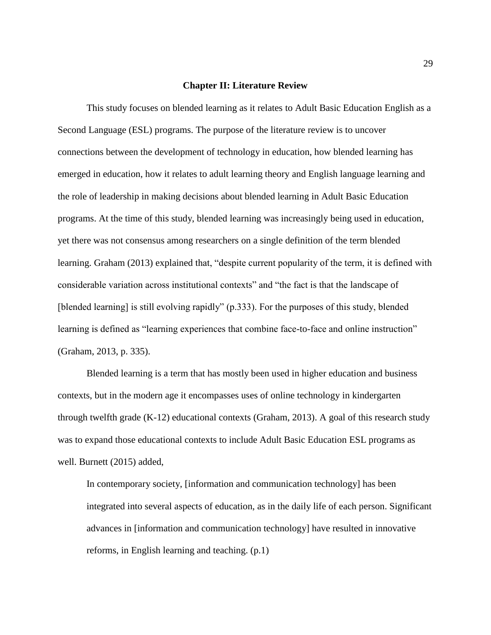#### **Chapter II: Literature Review**

This study focuses on blended learning as it relates to Adult Basic Education English as a Second Language (ESL) programs. The purpose of the literature review is to uncover connections between the development of technology in education, how blended learning has emerged in education, how it relates to adult learning theory and English language learning and the role of leadership in making decisions about blended learning in Adult Basic Education programs. At the time of this study, blended learning was increasingly being used in education, yet there was not consensus among researchers on a single definition of the term blended learning. Graham (2013) explained that, "despite current popularity of the term, it is defined with considerable variation across institutional contexts" and "the fact is that the landscape of [blended learning] is still evolving rapidly" (p.333). For the purposes of this study, blended learning is defined as "learning experiences that combine face-to-face and online instruction" (Graham, 2013, p. 335).

Blended learning is a term that has mostly been used in higher education and business contexts, but in the modern age it encompasses uses of online technology in kindergarten through twelfth grade (K-12) educational contexts (Graham, 2013). A goal of this research study was to expand those educational contexts to include Adult Basic Education ESL programs as well. Burnett (2015) added,

In contemporary society, [information and communication technology] has been integrated into several aspects of education, as in the daily life of each person. Significant advances in [information and communication technology] have resulted in innovative reforms, in English learning and teaching. (p.1)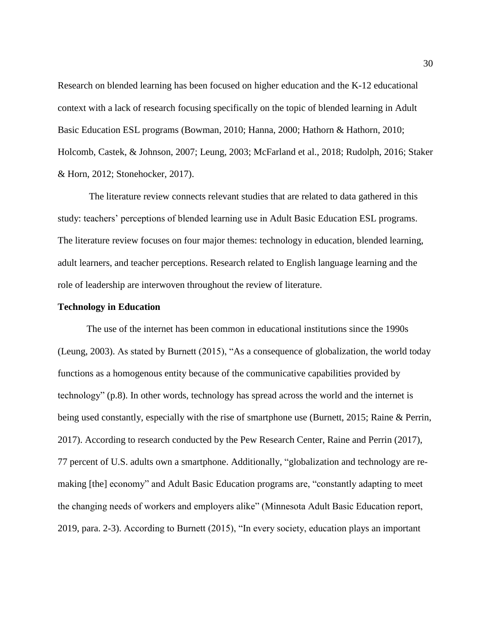Research on blended learning has been focused on higher education and the K-12 educational context with a lack of research focusing specifically on the topic of blended learning in Adult Basic Education ESL programs (Bowman, 2010; Hanna, 2000; Hathorn & Hathorn, 2010; Holcomb, Castek, & Johnson, 2007; Leung, 2003; McFarland et al., 2018; Rudolph, 2016; Staker & Horn, 2012; Stonehocker, 2017).

The literature review connects relevant studies that are related to data gathered in this study: teachers' perceptions of blended learning use in Adult Basic Education ESL programs. The literature review focuses on four major themes: technology in education, blended learning, adult learners, and teacher perceptions. Research related to English language learning and the role of leadership are interwoven throughout the review of literature.

#### **Technology in Education**

The use of the internet has been common in educational institutions since the 1990s (Leung, 2003). As stated by Burnett (2015), "As a consequence of globalization, the world today functions as a homogenous entity because of the communicative capabilities provided by technology" (p.8). In other words, technology has spread across the world and the internet is being used constantly, especially with the rise of smartphone use (Burnett, 2015; Raine & Perrin, 2017). According to research conducted by the Pew Research Center, Raine and Perrin (2017), 77 percent of U.S. adults own a smartphone. Additionally, "globalization and technology are remaking [the] economy" and Adult Basic Education programs are, "constantly adapting to meet the changing needs of workers and employers alike" (Minnesota Adult Basic Education report, 2019, para. 2-3). According to Burnett (2015), "In every society, education plays an important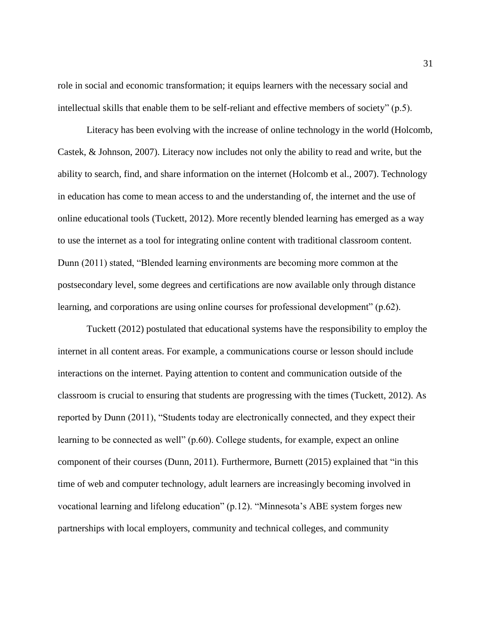role in social and economic transformation; it equips learners with the necessary social and intellectual skills that enable them to be self-reliant and effective members of society" (p.5).

Literacy has been evolving with the increase of online technology in the world (Holcomb, Castek, & Johnson, 2007). Literacy now includes not only the ability to read and write, but the ability to search, find, and share information on the internet (Holcomb et al., 2007). Technology in education has come to mean access to and the understanding of, the internet and the use of online educational tools (Tuckett, 2012). More recently blended learning has emerged as a way to use the internet as a tool for integrating online content with traditional classroom content. Dunn (2011) stated, "Blended learning environments are becoming more common at the postsecondary level, some degrees and certifications are now available only through distance learning, and corporations are using online courses for professional development" (p.62).

Tuckett (2012) postulated that educational systems have the responsibility to employ the internet in all content areas. For example, a communications course or lesson should include interactions on the internet. Paying attention to content and communication outside of the classroom is crucial to ensuring that students are progressing with the times (Tuckett, 2012). As reported by Dunn (2011), "Students today are electronically connected, and they expect their learning to be connected as well" (p.60). College students, for example, expect an online component of their courses (Dunn, 2011). Furthermore, Burnett (2015) explained that "in this time of web and computer technology, adult learners are increasingly becoming involved in vocational learning and lifelong education" (p.12). "Minnesota's ABE system forges new partnerships with local employers, community and technical colleges, and community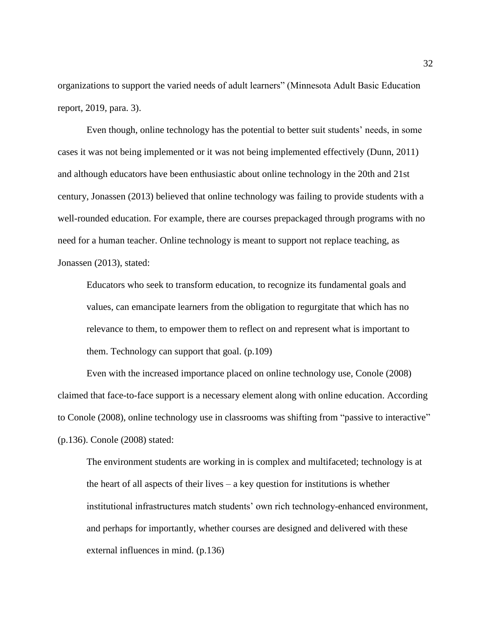organizations to support the varied needs of adult learners" (Minnesota Adult Basic Education report, 2019, para. 3).

Even though, online technology has the potential to better suit students' needs, in some cases it was not being implemented or it was not being implemented effectively (Dunn, 2011) and although educators have been enthusiastic about online technology in the 20th and 21st century, Jonassen (2013) believed that online technology was failing to provide students with a well-rounded education. For example, there are courses prepackaged through programs with no need for a human teacher. Online technology is meant to support not replace teaching, as Jonassen (2013), stated:

Educators who seek to transform education, to recognize its fundamental goals and values, can emancipate learners from the obligation to regurgitate that which has no relevance to them, to empower them to reflect on and represent what is important to them. Technology can support that goal. (p.109)

Even with the increased importance placed on online technology use, Conole (2008) claimed that face-to-face support is a necessary element along with online education. According to Conole (2008), online technology use in classrooms was shifting from "passive to interactive" (p.136). Conole (2008) stated:

The environment students are working in is complex and multifaceted; technology is at the heart of all aspects of their lives  $-$  a key question for institutions is whether institutional infrastructures match students' own rich technology-enhanced environment, and perhaps for importantly, whether courses are designed and delivered with these external influences in mind. (p.136)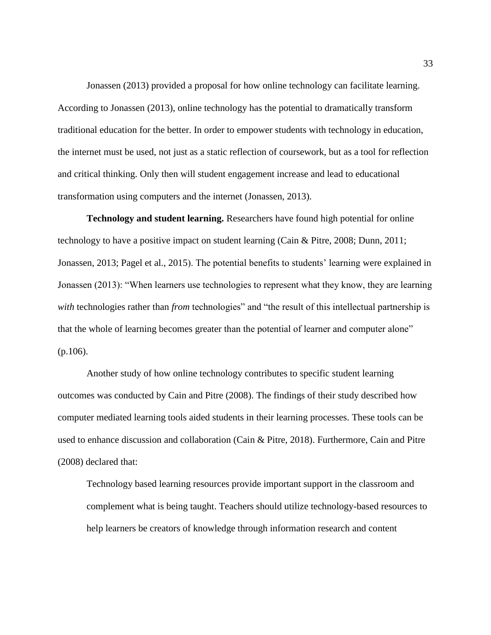Jonassen (2013) provided a proposal for how online technology can facilitate learning. According to Jonassen (2013), online technology has the potential to dramatically transform traditional education for the better. In order to empower students with technology in education, the internet must be used, not just as a static reflection of coursework, but as a tool for reflection and critical thinking. Only then will student engagement increase and lead to educational transformation using computers and the internet (Jonassen, 2013).

**Technology and student learning.** Researchers have found high potential for online technology to have a positive impact on student learning (Cain & Pitre, 2008; Dunn, 2011; Jonassen, 2013; Pagel et al., 2015). The potential benefits to students' learning were explained in Jonassen (2013): "When learners use technologies to represent what they know, they are learning *with* technologies rather than *from* technologies" and "the result of this intellectual partnership is that the whole of learning becomes greater than the potential of learner and computer alone" (p.106).

Another study of how online technology contributes to specific student learning outcomes was conducted by Cain and Pitre (2008). The findings of their study described how computer mediated learning tools aided students in their learning processes. These tools can be used to enhance discussion and collaboration (Cain & Pitre, 2018). Furthermore, Cain and Pitre (2008) declared that:

Technology based learning resources provide important support in the classroom and complement what is being taught. Teachers should utilize technology-based resources to help learners be creators of knowledge through information research and content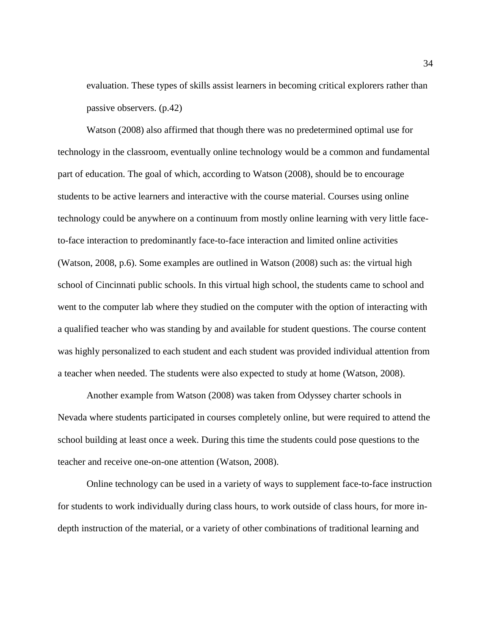evaluation. These types of skills assist learners in becoming critical explorers rather than passive observers. (p.42)

Watson (2008) also affirmed that though there was no predetermined optimal use for technology in the classroom, eventually online technology would be a common and fundamental part of education. The goal of which, according to Watson (2008), should be to encourage students to be active learners and interactive with the course material. Courses using online technology could be anywhere on a continuum from mostly online learning with very little faceto-face interaction to predominantly face-to-face interaction and limited online activities (Watson, 2008, p.6). Some examples are outlined in Watson (2008) such as: the virtual high school of Cincinnati public schools. In this virtual high school, the students came to school and went to the computer lab where they studied on the computer with the option of interacting with a qualified teacher who was standing by and available for student questions. The course content was highly personalized to each student and each student was provided individual attention from a teacher when needed. The students were also expected to study at home (Watson, 2008).

Another example from Watson (2008) was taken from Odyssey charter schools in Nevada where students participated in courses completely online, but were required to attend the school building at least once a week. During this time the students could pose questions to the teacher and receive one-on-one attention (Watson, 2008).

Online technology can be used in a variety of ways to supplement face-to-face instruction for students to work individually during class hours, to work outside of class hours, for more indepth instruction of the material, or a variety of other combinations of traditional learning and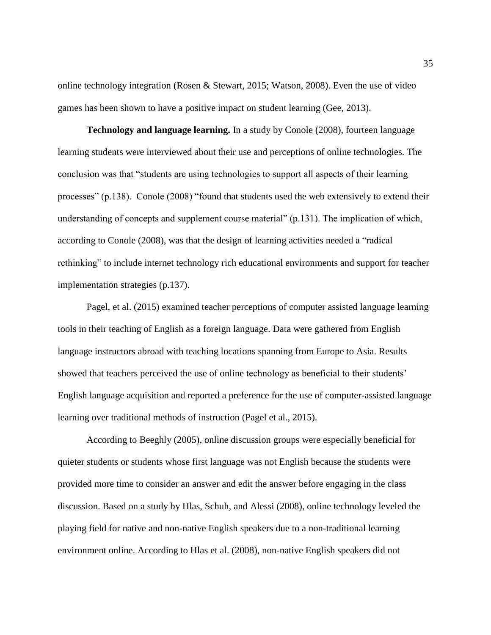online technology integration (Rosen & Stewart, 2015; Watson, 2008). Even the use of video games has been shown to have a positive impact on student learning (Gee, 2013).

**Technology and language learning.** In a study by Conole (2008), fourteen language learning students were interviewed about their use and perceptions of online technologies. The conclusion was that "students are using technologies to support all aspects of their learning processes" (p.138). Conole (2008) "found that students used the web extensively to extend their understanding of concepts and supplement course material" (p.131). The implication of which, according to Conole (2008), was that the design of learning activities needed a "radical rethinking" to include internet technology rich educational environments and support for teacher implementation strategies (p.137).

Pagel, et al. (2015) examined teacher perceptions of computer assisted language learning tools in their teaching of English as a foreign language. Data were gathered from English language instructors abroad with teaching locations spanning from Europe to Asia. Results showed that teachers perceived the use of online technology as beneficial to their students' English language acquisition and reported a preference for the use of computer-assisted language learning over traditional methods of instruction (Pagel et al., 2015).

According to Beeghly (2005), online discussion groups were especially beneficial for quieter students or students whose first language was not English because the students were provided more time to consider an answer and edit the answer before engaging in the class discussion. Based on a study by Hlas, Schuh, and Alessi (2008), online technology leveled the playing field for native and non-native English speakers due to a non-traditional learning environment online. According to Hlas et al. (2008), non-native English speakers did not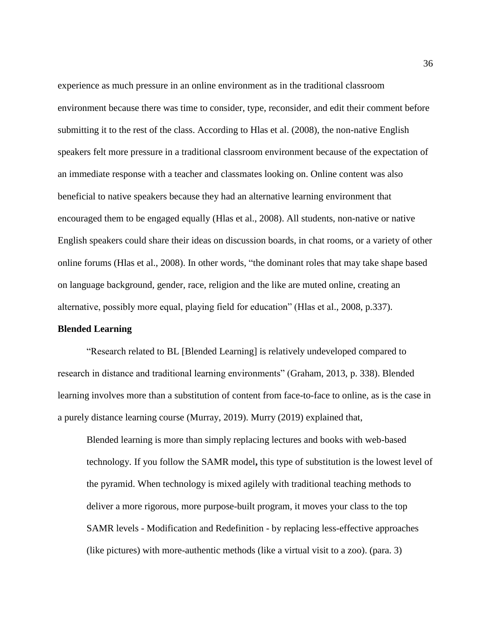experience as much pressure in an online environment as in the traditional classroom environment because there was time to consider, type, reconsider, and edit their comment before submitting it to the rest of the class. According to Hlas et al. (2008), the non-native English speakers felt more pressure in a traditional classroom environment because of the expectation of an immediate response with a teacher and classmates looking on. Online content was also beneficial to native speakers because they had an alternative learning environment that encouraged them to be engaged equally (Hlas et al., 2008). All students, non-native or native English speakers could share their ideas on discussion boards, in chat rooms, or a variety of other online forums (Hlas et al., 2008). In other words, "the dominant roles that may take shape based on language background, gender, race, religion and the like are muted online, creating an alternative, possibly more equal, playing field for education" (Hlas et al., 2008, p.337).

### **Blended Learning**

"Research related to BL [Blended Learning] is relatively undeveloped compared to research in distance and traditional learning environments" (Graham, 2013, p. 338). Blended learning involves more than a substitution of content from face-to-face to online, as is the case in a purely distance learning course (Murray, 2019). Murry (2019) explained that,

Blended learning is more than simply replacing lectures and books with web-based technology. If you follow the [SAMR model](https://www.commonsensemedia.org/videos/introduction-to-the-samr-model)**,** this type of substitution is the lowest level of the pyramid. When technology is mixed agilely with traditional teaching methods to deliver a more rigorous, more purpose-built program, it moves your class to the top SAMR levels - Modification and Redefinition - by replacing less-effective approaches (like pictures) with more-authentic methods (like a virtual visit to a zoo). (para. 3)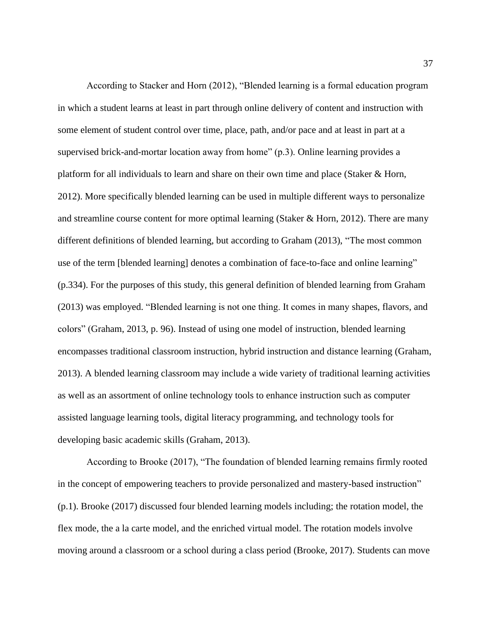According to Stacker and Horn (2012), "Blended learning is a formal education program in which a student learns at least in part through online delivery of content and instruction with some element of student control over time, place, path, and/or pace and at least in part at a supervised brick-and-mortar location away from home" (p.3). Online learning provides a platform for all individuals to learn and share on their own time and place (Staker & Horn, 2012). More specifically blended learning can be used in multiple different ways to personalize and streamline course content for more optimal learning (Staker & Horn, 2012). There are many different definitions of blended learning, but according to Graham (2013), "The most common use of the term [blended learning] denotes a combination of face-to-face and online learning" (p.334). For the purposes of this study, this general definition of blended learning from Graham (2013) was employed. "Blended learning is not one thing. It comes in many shapes, flavors, and colors" (Graham, 2013, p. 96). Instead of using one model of instruction, blended learning encompasses traditional classroom instruction, hybrid instruction and distance learning (Graham, 2013). A blended learning classroom may include a wide variety of traditional learning activities as well as an assortment of online technology tools to enhance instruction such as computer assisted language learning tools, digital literacy programming, and technology tools for developing basic academic skills (Graham, 2013).

According to Brooke (2017), "The foundation of blended learning remains firmly rooted in the concept of empowering teachers to provide personalized and mastery-based instruction" (p.1). Brooke (2017) discussed four blended learning models including; the rotation model, the flex mode, the a la carte model, and the enriched virtual model. The rotation models involve moving around a classroom or a school during a class period (Brooke, 2017). Students can move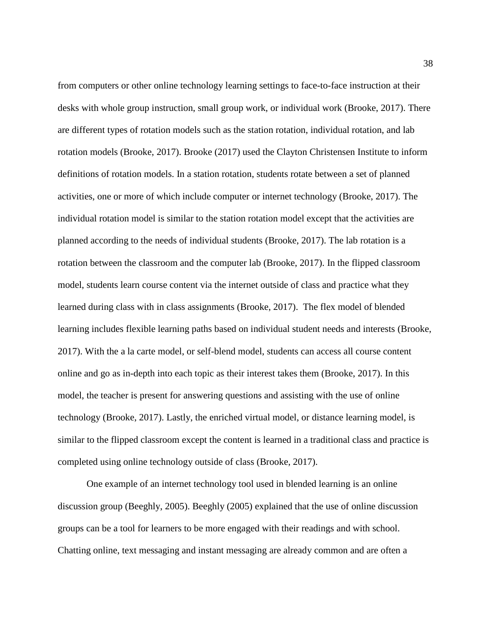from computers or other online technology learning settings to face-to-face instruction at their desks with whole group instruction, small group work, or individual work (Brooke, 2017). There are different types of rotation models such as the station rotation, individual rotation, and lab rotation models (Brooke, 2017). Brooke (2017) used the Clayton Christensen Institute to inform definitions of rotation models. In a station rotation, students rotate between a set of planned activities, one or more of which include computer or internet technology (Brooke, 2017). The individual rotation model is similar to the station rotation model except that the activities are planned according to the needs of individual students (Brooke, 2017). The lab rotation is a rotation between the classroom and the computer lab (Brooke, 2017). In the flipped classroom model, students learn course content via the internet outside of class and practice what they learned during class with in class assignments (Brooke, 2017). The flex model of blended learning includes flexible learning paths based on individual student needs and interests (Brooke, 2017). With the a la carte model, or self-blend model, students can access all course content online and go as in-depth into each topic as their interest takes them (Brooke, 2017). In this model, the teacher is present for answering questions and assisting with the use of online technology (Brooke, 2017). Lastly, the enriched virtual model, or distance learning model, is similar to the flipped classroom except the content is learned in a traditional class and practice is completed using online technology outside of class (Brooke, 2017).

One example of an internet technology tool used in blended learning is an online discussion group (Beeghly, 2005). Beeghly (2005) explained that the use of online discussion groups can be a tool for learners to be more engaged with their readings and with school. Chatting online, text messaging and instant messaging are already common and are often a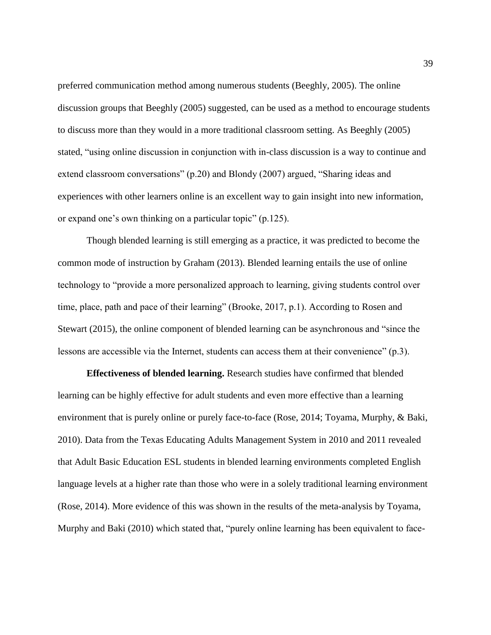preferred communication method among numerous students (Beeghly, 2005). The online discussion groups that Beeghly (2005) suggested, can be used as a method to encourage students to discuss more than they would in a more traditional classroom setting. As Beeghly (2005) stated, "using online discussion in conjunction with in-class discussion is a way to continue and extend classroom conversations" (p.20) and Blondy (2007) argued, "Sharing ideas and experiences with other learners online is an excellent way to gain insight into new information, or expand one's own thinking on a particular topic" (p.125).

Though blended learning is still emerging as a practice, it was predicted to become the common mode of instruction by Graham (2013). Blended learning entails the use of online technology to "provide a more personalized approach to learning, giving students control over time, place, path and pace of their learning" (Brooke, 2017, p.1). According to Rosen and Stewart (2015), the online component of blended learning can be asynchronous and "since the lessons are accessible via the Internet, students can access them at their convenience" (p.3).

**Effectiveness of blended learning.** Research studies have confirmed that blended learning can be highly effective for adult students and even more effective than a learning environment that is purely online or purely face-to-face (Rose, 2014; Toyama, Murphy, & Baki, 2010). Data from the Texas Educating Adults Management System in 2010 and 2011 revealed that Adult Basic Education ESL students in blended learning environments completed English language levels at a higher rate than those who were in a solely traditional learning environment (Rose, 2014). More evidence of this was shown in the results of the meta-analysis by Toyama, Murphy and Baki (2010) which stated that, "purely online learning has been equivalent to face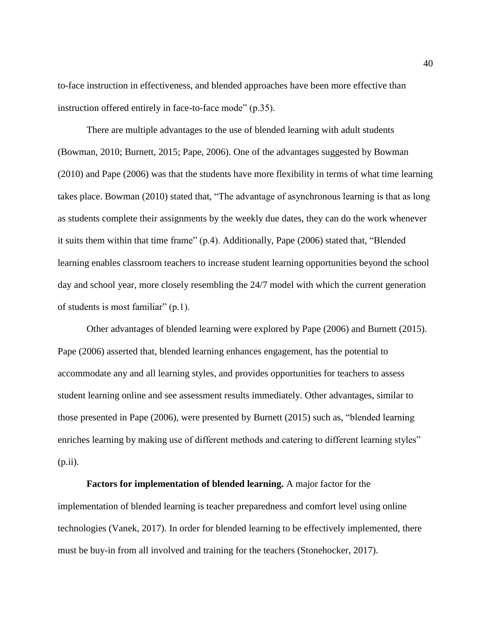to-face instruction in effectiveness, and blended approaches have been more effective than instruction offered entirely in face-to-face mode" (p.35).

There are multiple advantages to the use of blended learning with adult students (Bowman, 2010; Burnett, 2015; Pape, 2006). One of the advantages suggested by Bowman (2010) and Pape (2006) was that the students have more flexibility in terms of what time learning takes place. Bowman (2010) stated that, "The advantage of asynchronous learning is that as long as students complete their assignments by the weekly due dates, they can do the work whenever it suits them within that time frame" (p.4). Additionally, Pape (2006) stated that, "Blended learning enables classroom teachers to increase student learning opportunities beyond the school day and school year, more closely resembling the 24/7 model with which the current generation of students is most familiar" (p.1).

Other advantages of blended learning were explored by Pape (2006) and Burnett (2015). Pape (2006) asserted that, blended learning enhances engagement, has the potential to accommodate any and all learning styles, and provides opportunities for teachers to assess student learning online and see assessment results immediately. Other advantages, similar to those presented in Pape (2006), were presented by Burnett (2015) such as, "blended learning enriches learning by making use of different methods and catering to different learning styles" (p.ii).

**Factors for implementation of blended learning.** A major factor for the implementation of blended learning is teacher preparedness and comfort level using online technologies (Vanek, 2017). In order for blended learning to be effectively implemented, there must be buy-in from all involved and training for the teachers (Stonehocker, 2017).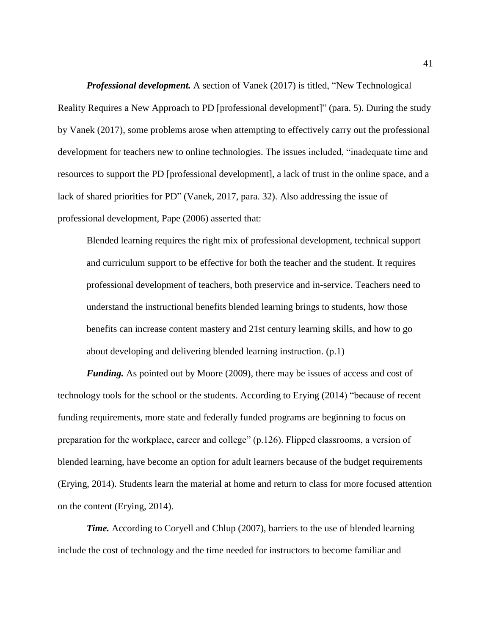*Professional development.* A section of Vanek (2017) is titled, "New Technological Reality Requires a New Approach to PD [professional development]" (para. 5). During the study by Vanek (2017), some problems arose when attempting to effectively carry out the professional development for teachers new to online technologies. The issues included, "inadequate time and resources to support the PD [professional development], a lack of trust in the online space, and a lack of shared priorities for PD" (Vanek, 2017, para. 32). Also addressing the issue of professional development, Pape (2006) asserted that:

Blended learning requires the right mix of professional development, technical support and curriculum support to be effective for both the teacher and the student. It requires professional development of teachers, both preservice and in-service. Teachers need to understand the instructional benefits blended learning brings to students, how those benefits can increase content mastery and 21st century learning skills, and how to go about developing and delivering blended learning instruction. (p.1)

*Funding.* As pointed out by Moore (2009), there may be issues of access and cost of technology tools for the school or the students. According to Erying (2014) "because of recent funding requirements, more state and federally funded programs are beginning to focus on preparation for the workplace, career and college" (p.126). Flipped classrooms, a version of blended learning, have become an option for adult learners because of the budget requirements (Erying, 2014). Students learn the material at home and return to class for more focused attention on the content (Erying, 2014).

*Time.* According to Coryell and Chlup (2007), barriers to the use of blended learning include the cost of technology and the time needed for instructors to become familiar and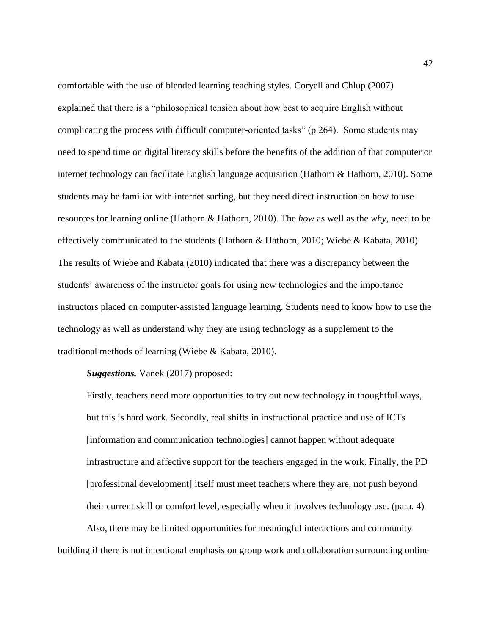comfortable with the use of blended learning teaching styles. Coryell and Chlup (2007) explained that there is a "philosophical tension about how best to acquire English without complicating the process with difficult computer-oriented tasks" (p.264). Some students may need to spend time on digital literacy skills before the benefits of the addition of that computer or internet technology can facilitate English language acquisition (Hathorn & Hathorn, 2010). Some students may be familiar with internet surfing, but they need direct instruction on how to use resources for learning online (Hathorn & Hathorn, 2010). The *how* as well as the *why*, need to be effectively communicated to the students (Hathorn & Hathorn, 2010; Wiebe & Kabata, 2010). The results of Wiebe and Kabata (2010) indicated that there was a discrepancy between the students' awareness of the instructor goals for using new technologies and the importance instructors placed on computer-assisted language learning. Students need to know how to use the technology as well as understand why they are using technology as a supplement to the traditional methods of learning (Wiebe & Kabata, 2010).

#### *Suggestions.* Vanek (2017) proposed:

Firstly, teachers need more opportunities to try out new technology in thoughtful ways, but this is hard work. Secondly, real shifts in instructional practice and use of ICTs [information and communication technologies] cannot happen without adequate infrastructure and affective support for the teachers engaged in the work. Finally, the PD [professional development] itself must meet teachers where they are, not push beyond their current skill or comfort level, especially when it involves technology use. (para. 4)

Also, there may be limited opportunities for meaningful interactions and community building if there is not intentional emphasis on group work and collaboration surrounding online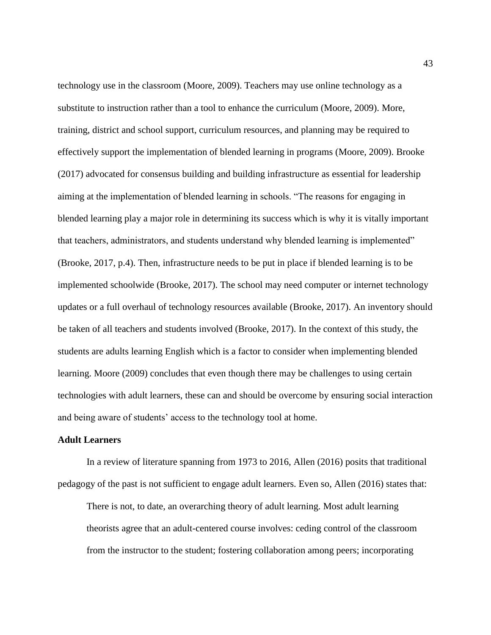technology use in the classroom (Moore, 2009). Teachers may use online technology as a substitute to instruction rather than a tool to enhance the curriculum (Moore, 2009). More, training, district and school support, curriculum resources, and planning may be required to effectively support the implementation of blended learning in programs (Moore, 2009). Brooke (2017) advocated for consensus building and building infrastructure as essential for leadership aiming at the implementation of blended learning in schools. "The reasons for engaging in blended learning play a major role in determining its success which is why it is vitally important that teachers, administrators, and students understand why blended learning is implemented" (Brooke, 2017, p.4). Then, infrastructure needs to be put in place if blended learning is to be implemented schoolwide (Brooke, 2017). The school may need computer or internet technology updates or a full overhaul of technology resources available (Brooke, 2017). An inventory should be taken of all teachers and students involved (Brooke, 2017). In the context of this study, the students are adults learning English which is a factor to consider when implementing blended learning. Moore (2009) concludes that even though there may be challenges to using certain technologies with adult learners, these can and should be overcome by ensuring social interaction and being aware of students' access to the technology tool at home.

#### **Adult Learners**

In a review of literature spanning from 1973 to 2016, Allen (2016) posits that traditional pedagogy of the past is not sufficient to engage adult learners. Even so, Allen (2016) states that:

There is not, to date, an overarching theory of adult learning. Most adult learning theorists agree that an adult-centered course involves: ceding control of the classroom from the instructor to the student; fostering collaboration among peers; incorporating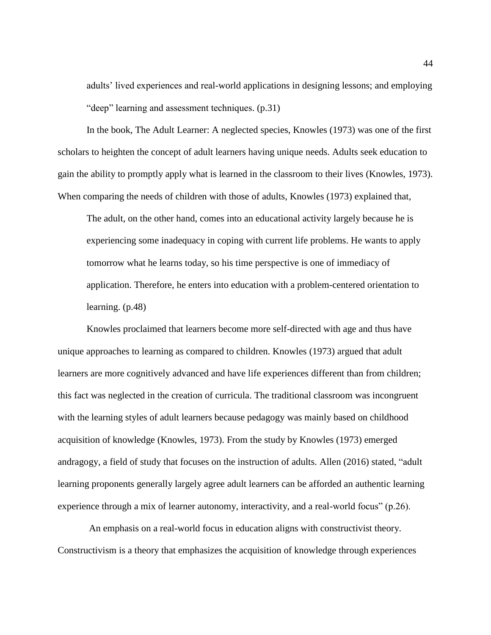adults' lived experiences and real-world applications in designing lessons; and employing "deep" learning and assessment techniques. (p.31)

In the book, The Adult Learner: A neglected species, Knowles (1973) was one of the first scholars to heighten the concept of adult learners having unique needs. Adults seek education to gain the ability to promptly apply what is learned in the classroom to their lives (Knowles, 1973). When comparing the needs of children with those of adults, Knowles (1973) explained that,

The adult, on the other hand, comes into an educational activity largely because he is experiencing some inadequacy in coping with current life problems. He wants to apply tomorrow what he learns today, so his time perspective is one of immediacy of application. Therefore, he enters into education with a problem-centered orientation to learning. (p.48)

Knowles proclaimed that learners become more self-directed with age and thus have unique approaches to learning as compared to children. Knowles (1973) argued that adult learners are more cognitively advanced and have life experiences different than from children; this fact was neglected in the creation of curricula. The traditional classroom was incongruent with the learning styles of adult learners because pedagogy was mainly based on childhood acquisition of knowledge (Knowles, 1973). From the study by Knowles (1973) emerged andragogy, a field of study that focuses on the instruction of adults. Allen (2016) stated, "adult learning proponents generally largely agree adult learners can be afforded an authentic learning experience through a mix of learner autonomy, interactivity, and a real-world focus" (p.26).

An emphasis on a real-world focus in education aligns with constructivist theory. Constructivism is a theory that emphasizes the acquisition of knowledge through experiences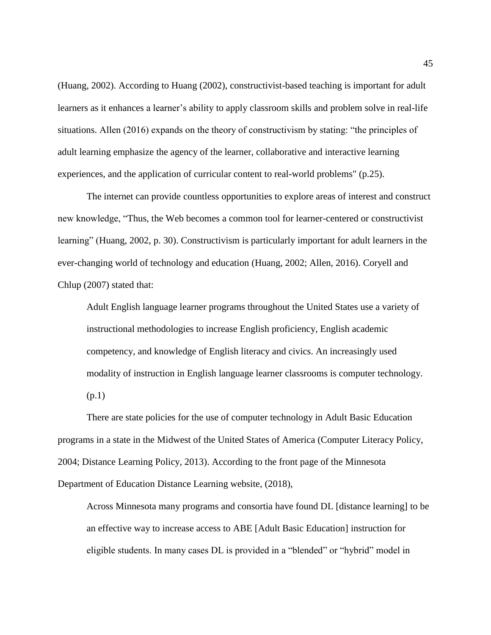(Huang, 2002). According to Huang (2002), constructivist-based teaching is important for adult learners as it enhances a learner's ability to apply classroom skills and problem solve in real-life situations. Allen (2016) expands on the theory of constructivism by stating: "the principles of adult learning emphasize the agency of the learner, collaborative and interactive learning experiences, and the application of curricular content to real-world problems" (p.25).

The internet can provide countless opportunities to explore areas of interest and construct new knowledge, "Thus, the Web becomes a common tool for learner-centered or constructivist learning" (Huang, 2002, p. 30). Constructivism is particularly important for adult learners in the ever-changing world of technology and education (Huang, 2002; Allen, 2016). Coryell and Chlup (2007) stated that:

Adult English language learner programs throughout the United States use a variety of instructional methodologies to increase English proficiency, English academic competency, and knowledge of English literacy and civics. An increasingly used modality of instruction in English language learner classrooms is computer technology. (p.1)

There are state policies for the use of computer technology in Adult Basic Education programs in a state in the Midwest of the United States of America (Computer Literacy Policy, 2004; Distance Learning Policy, 2013). According to the front page of the Minnesota Department of Education Distance Learning website, (2018),

Across Minnesota many programs and consortia have found DL [distance learning] to be an effective way to increase access to ABE [Adult Basic Education] instruction for eligible students. In many cases DL is provided in a "blended" or "hybrid" model in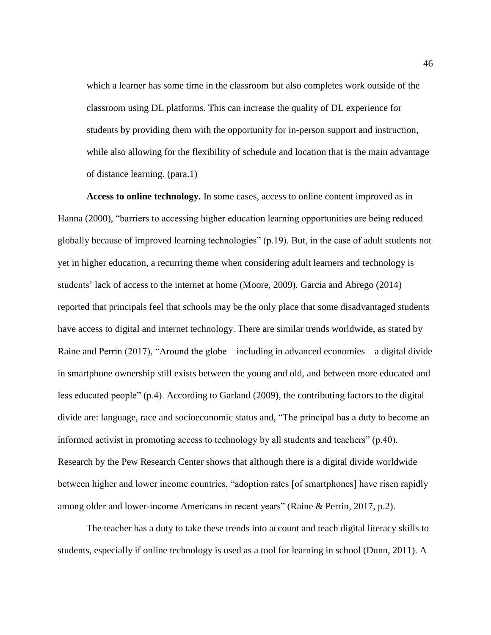which a learner has some time in the classroom but also completes work outside of the classroom using DL platforms. This can increase the quality of DL experience for students by providing them with the opportunity for in-person support and instruction, while also allowing for the flexibility of schedule and location that is the main advantage of distance learning. (para.1)

**Access to online technology.** In some cases, access to online content improved as in Hanna (2000), "barriers to accessing higher education learning opportunities are being reduced globally because of improved learning technologies" (p.19). But, in the case of adult students not yet in higher education, a recurring theme when considering adult learners and technology is students' lack of access to the internet at home (Moore, 2009). Garcia and Abrego (2014) reported that principals feel that schools may be the only place that some disadvantaged students have access to digital and internet technology. There are similar trends worldwide, as stated by Raine and Perrin (2017), "Around the globe – including in advanced economies – a digital divide in smartphone ownership still exists between the young and old, and between more educated and less educated people" (p.4). According to Garland (2009), the contributing factors to the digital divide are: language, race and socioeconomic status and, "The principal has a duty to become an informed activist in promoting access to technology by all students and teachers" (p.40). Research by the Pew Research Center shows that although there is a digital divide worldwide between higher and lower income countries, "adoption rates [of smartphones] have risen rapidly among older and lower-income Americans in recent years" (Raine & Perrin, 2017, p.2).

The teacher has a duty to take these trends into account and teach digital literacy skills to students, especially if online technology is used as a tool for learning in school (Dunn, 2011). A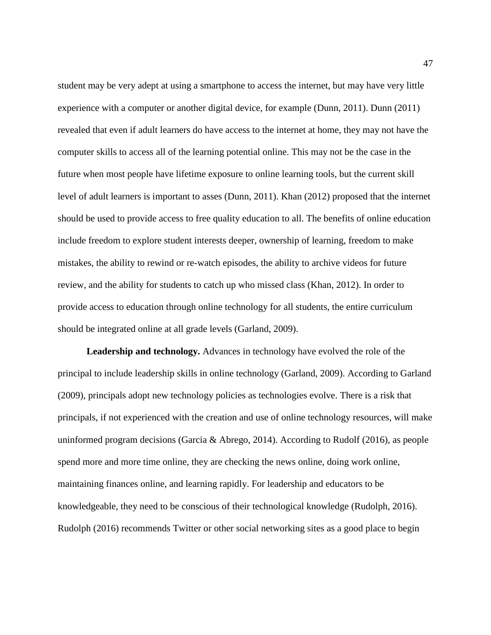student may be very adept at using a smartphone to access the internet, but may have very little experience with a computer or another digital device, for example (Dunn, 2011). Dunn (2011) revealed that even if adult learners do have access to the internet at home, they may not have the computer skills to access all of the learning potential online. This may not be the case in the future when most people have lifetime exposure to online learning tools, but the current skill level of adult learners is important to asses (Dunn, 2011). Khan (2012) proposed that the internet should be used to provide access to free quality education to all. The benefits of online education include freedom to explore student interests deeper, ownership of learning, freedom to make mistakes, the ability to rewind or re-watch episodes, the ability to archive videos for future review, and the ability for students to catch up who missed class (Khan, 2012). In order to provide access to education through online technology for all students, the entire curriculum should be integrated online at all grade levels (Garland, 2009).

**Leadership and technology.** Advances in technology have evolved the role of the principal to include leadership skills in online technology (Garland, 2009). According to Garland (2009), principals adopt new technology policies as technologies evolve. There is a risk that principals, if not experienced with the creation and use of online technology resources, will make uninformed program decisions (Garcia & Abrego, 2014). According to Rudolf (2016), as people spend more and more time online, they are checking the news online, doing work online, maintaining finances online, and learning rapidly. For leadership and educators to be knowledgeable, they need to be conscious of their technological knowledge (Rudolph, 2016). Rudolph (2016) recommends Twitter or other social networking sites as a good place to begin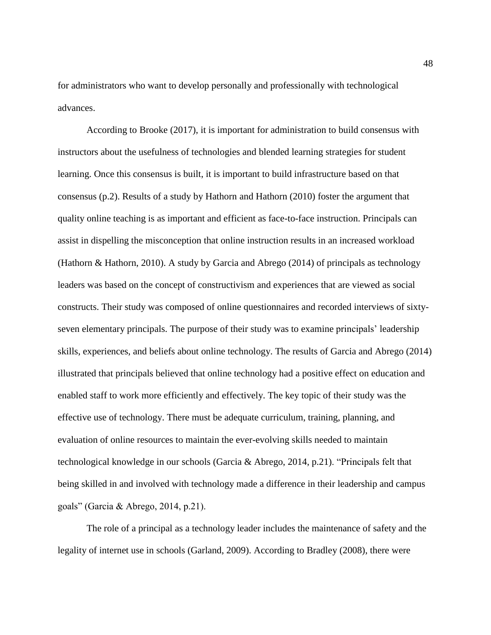for administrators who want to develop personally and professionally with technological advances.

According to Brooke (2017), it is important for administration to build consensus with instructors about the usefulness of technologies and blended learning strategies for student learning. Once this consensus is built, it is important to build infrastructure based on that consensus (p.2). Results of a study by Hathorn and Hathorn (2010) foster the argument that quality online teaching is as important and efficient as face-to-face instruction. Principals can assist in dispelling the misconception that online instruction results in an increased workload (Hathorn & Hathorn, 2010). A study by Garcia and Abrego (2014) of principals as technology leaders was based on the concept of constructivism and experiences that are viewed as social constructs. Their study was composed of online questionnaires and recorded interviews of sixtyseven elementary principals. The purpose of their study was to examine principals' leadership skills, experiences, and beliefs about online technology. The results of Garcia and Abrego (2014) illustrated that principals believed that online technology had a positive effect on education and enabled staff to work more efficiently and effectively. The key topic of their study was the effective use of technology. There must be adequate curriculum, training, planning, and evaluation of online resources to maintain the ever-evolving skills needed to maintain technological knowledge in our schools (Garcia & Abrego, 2014, p.21). "Principals felt that being skilled in and involved with technology made a difference in their leadership and campus goals" (Garcia & Abrego, 2014, p.21).

The role of a principal as a technology leader includes the maintenance of safety and the legality of internet use in schools (Garland, 2009). According to Bradley (2008), there were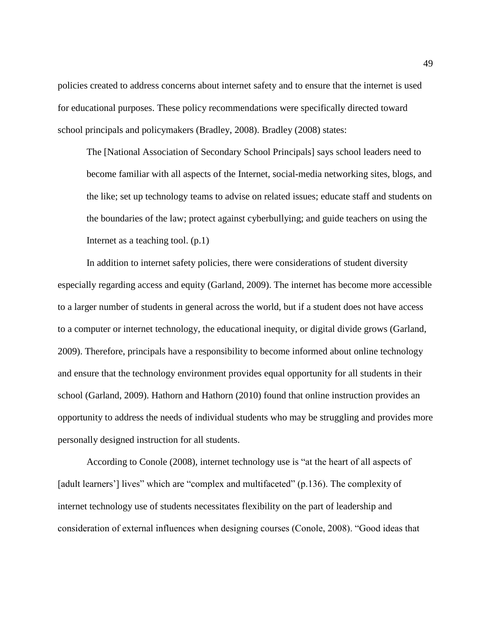policies created to address concerns about internet safety and to ensure that the internet is used for educational purposes. These policy recommendations were specifically directed toward school principals and policymakers (Bradley, 2008). Bradley (2008) states:

The [National Association of Secondary School Principals] says school leaders need to become familiar with all aspects of the Internet, social-media networking sites, blogs, and the like; set up technology teams to advise on related issues; educate staff and students on the boundaries of the law; protect against cyberbullying; and guide teachers on using the Internet as a teaching tool. (p.1)

In addition to internet safety policies, there were considerations of student diversity especially regarding access and equity (Garland, 2009). The internet has become more accessible to a larger number of students in general across the world, but if a student does not have access to a computer or internet technology, the educational inequity, or digital divide grows (Garland, 2009). Therefore, principals have a responsibility to become informed about online technology and ensure that the technology environment provides equal opportunity for all students in their school (Garland, 2009). Hathorn and Hathorn (2010) found that online instruction provides an opportunity to address the needs of individual students who may be struggling and provides more personally designed instruction for all students.

According to Conole (2008), internet technology use is "at the heart of all aspects of [adult learners'] lives" which are "complex and multifaceted" (p.136). The complexity of internet technology use of students necessitates flexibility on the part of leadership and consideration of external influences when designing courses (Conole, 2008). "Good ideas that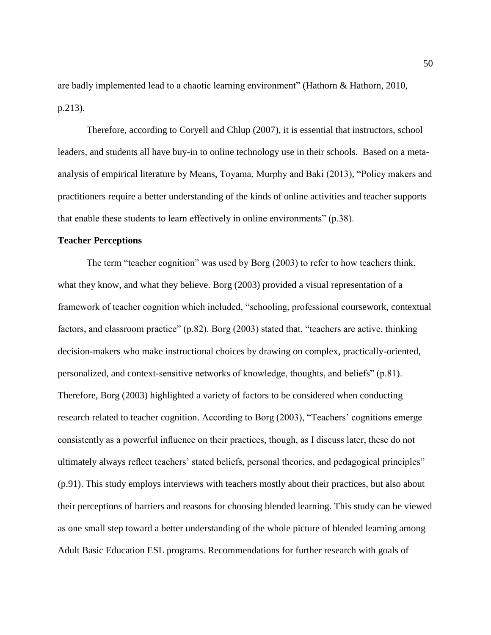are badly implemented lead to a chaotic learning environment" (Hathorn & Hathorn, 2010, p.213).

Therefore, according to Coryell and Chlup (2007), it is essential that instructors, school leaders, and students all have buy-in to online technology use in their schools. Based on a metaanalysis of empirical literature by Means, Toyama, Murphy and Baki (2013), "Policy makers and practitioners require a better understanding of the kinds of online activities and teacher supports that enable these students to learn effectively in online environments" (p.38).

# **Teacher Perceptions**

The term "teacher cognition" was used by Borg (2003) to refer to how teachers think, what they know, and what they believe. Borg (2003) provided a visual representation of a framework of teacher cognition which included, "schooling, professional coursework, contextual factors, and classroom practice" (p.82). Borg (2003) stated that, "teachers are active, thinking decision-makers who make instructional choices by drawing on complex, practically-oriented, personalized, and context-sensitive networks of knowledge, thoughts, and beliefs" (p.81). Therefore, Borg (2003) highlighted a variety of factors to be considered when conducting research related to teacher cognition. According to Borg (2003), "Teachers' cognitions emerge consistently as a powerful influence on their practices, though, as I discuss later, these do not ultimately always reflect teachers' stated beliefs, personal theories, and pedagogical principles" (p.91). This study employs interviews with teachers mostly about their practices, but also about their perceptions of barriers and reasons for choosing blended learning. This study can be viewed as one small step toward a better understanding of the whole picture of blended learning among Adult Basic Education ESL programs. Recommendations for further research with goals of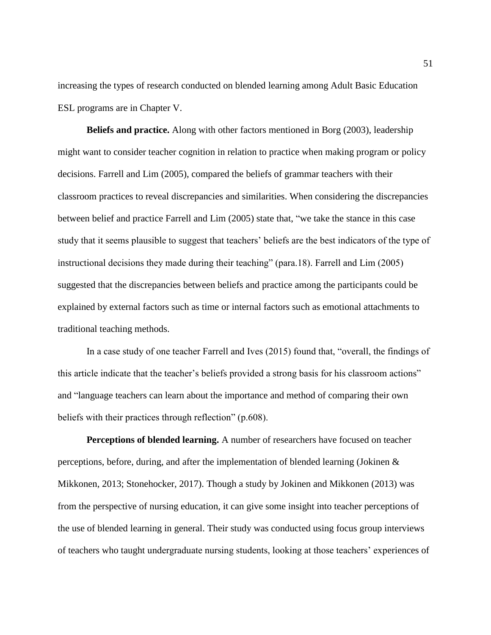increasing the types of research conducted on blended learning among Adult Basic Education ESL programs are in Chapter V.

**Beliefs and practice.** Along with other factors mentioned in Borg (2003), leadership might want to consider teacher cognition in relation to practice when making program or policy decisions. Farrell and Lim (2005), compared the beliefs of grammar teachers with their classroom practices to reveal discrepancies and similarities. When considering the discrepancies between belief and practice Farrell and Lim (2005) state that, "we take the stance in this case study that it seems plausible to suggest that teachers' beliefs are the best indicators of the type of instructional decisions they made during their teaching" (para.18). Farrell and Lim (2005) suggested that the discrepancies between beliefs and practice among the participants could be explained by external factors such as time or internal factors such as emotional attachments to traditional teaching methods.

In a case study of one teacher Farrell and Ives (2015) found that, "overall, the findings of this article indicate that the teacher's beliefs provided a strong basis for his classroom actions" and "language teachers can learn about the importance and method of comparing their own beliefs with their practices through reflection" (p.608).

**Perceptions of blended learning.** A number of researchers have focused on teacher perceptions, before, during, and after the implementation of blended learning (Jokinen & Mikkonen, 2013; Stonehocker, 2017). Though a study by Jokinen and Mikkonen (2013) was from the perspective of nursing education, it can give some insight into teacher perceptions of the use of blended learning in general. Their study was conducted using focus group interviews of teachers who taught undergraduate nursing students, looking at those teachers' experiences of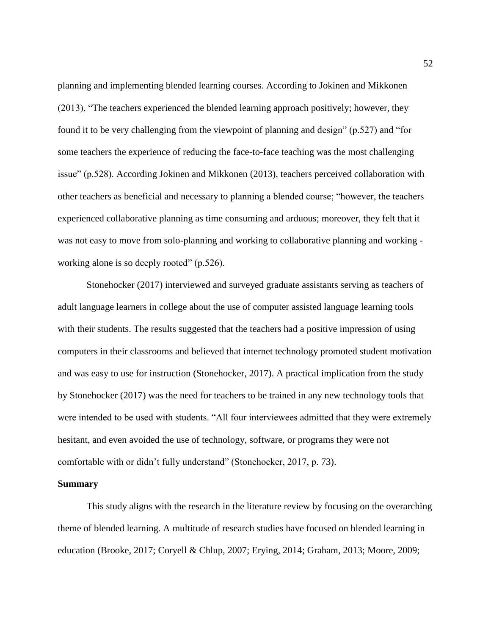planning and implementing blended learning courses. According to Jokinen and Mikkonen (2013), "The teachers experienced the blended learning approach positively; however, they found it to be very challenging from the viewpoint of planning and design" (p.527) and "for some teachers the experience of reducing the face-to-face teaching was the most challenging issue" (p.528). According Jokinen and Mikkonen (2013), teachers perceived collaboration with other teachers as beneficial and necessary to planning a blended course; "however, the teachers experienced collaborative planning as time consuming and arduous; moreover, they felt that it was not easy to move from solo-planning and working to collaborative planning and working working alone is so deeply rooted" (p.526).

Stonehocker (2017) interviewed and surveyed graduate assistants serving as teachers of adult language learners in college about the use of computer assisted language learning tools with their students. The results suggested that the teachers had a positive impression of using computers in their classrooms and believed that internet technology promoted student motivation and was easy to use for instruction (Stonehocker, 2017). A practical implication from the study by Stonehocker (2017) was the need for teachers to be trained in any new technology tools that were intended to be used with students. "All four interviewees admitted that they were extremely hesitant, and even avoided the use of technology, software, or programs they were not comfortable with or didn't fully understand" (Stonehocker, 2017, p. 73).

#### **Summary**

This study aligns with the research in the literature review by focusing on the overarching theme of blended learning. A multitude of research studies have focused on blended learning in education (Brooke, 2017; Coryell & Chlup, 2007; Erying, 2014; Graham, 2013; Moore, 2009;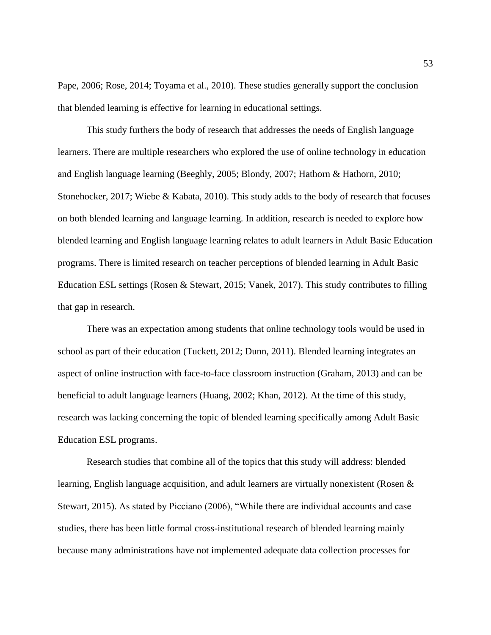Pape, 2006; Rose, 2014; Toyama et al., 2010). These studies generally support the conclusion that blended learning is effective for learning in educational settings.

This study furthers the body of research that addresses the needs of English language learners. There are multiple researchers who explored the use of online technology in education and English language learning (Beeghly, 2005; Blondy, 2007; Hathorn & Hathorn, 2010; Stonehocker, 2017; Wiebe & Kabata, 2010). This study adds to the body of research that focuses on both blended learning and language learning. In addition, research is needed to explore how blended learning and English language learning relates to adult learners in Adult Basic Education programs. There is limited research on teacher perceptions of blended learning in Adult Basic Education ESL settings (Rosen & Stewart, 2015; Vanek, 2017). This study contributes to filling that gap in research.

There was an expectation among students that online technology tools would be used in school as part of their education (Tuckett, 2012; Dunn, 2011). Blended learning integrates an aspect of online instruction with face-to-face classroom instruction (Graham, 2013) and can be beneficial to adult language learners (Huang, 2002; Khan, 2012). At the time of this study, research was lacking concerning the topic of blended learning specifically among Adult Basic Education ESL programs.

Research studies that combine all of the topics that this study will address: blended learning, English language acquisition, and adult learners are virtually nonexistent (Rosen & Stewart, 2015). As stated by Picciano (2006), "While there are individual accounts and case studies, there has been little formal cross-institutional research of blended learning mainly because many administrations have not implemented adequate data collection processes for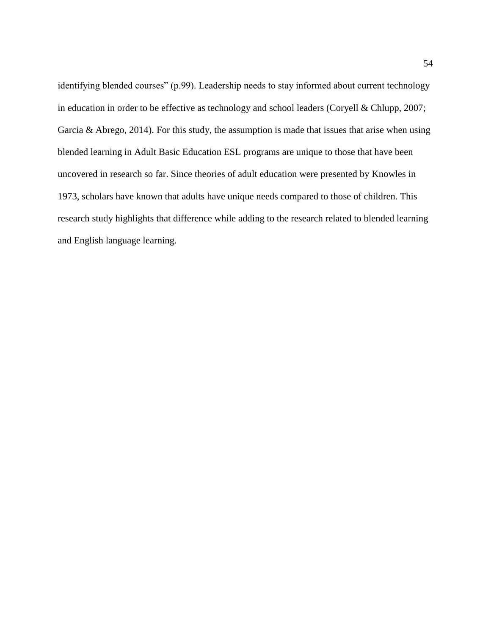identifying blended courses" (p.99). Leadership needs to stay informed about current technology in education in order to be effective as technology and school leaders (Coryell & Chlupp, 2007; Garcia & Abrego, 2014). For this study, the assumption is made that issues that arise when using blended learning in Adult Basic Education ESL programs are unique to those that have been uncovered in research so far. Since theories of adult education were presented by Knowles in 1973, scholars have known that adults have unique needs compared to those of children. This research study highlights that difference while adding to the research related to blended learning and English language learning.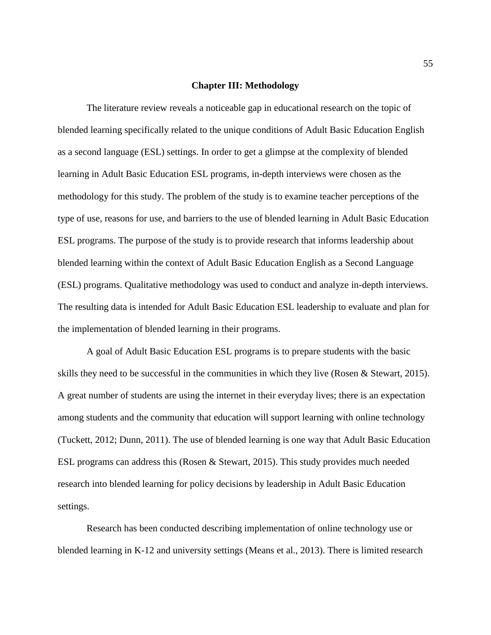### **Chapter III: Methodology**

The literature review reveals a noticeable gap in educational research on the topic of blended learning specifically related to the unique conditions of Adult Basic Education English as a second language (ESL) settings. In order to get a glimpse at the complexity of blended learning in Adult Basic Education ESL programs, in-depth interviews were chosen as the methodology for this study. The problem of the study is to examine teacher perceptions of the type of use, reasons for use, and barriers to the use of blended learning in Adult Basic Education ESL programs. The purpose of the study is to provide research that informs leadership about blended learning within the context of Adult Basic Education English as a Second Language (ESL) programs. Qualitative methodology was used to conduct and analyze in-depth interviews. The resulting data is intended for Adult Basic Education ESL leadership to evaluate and plan for the implementation of blended learning in their programs.

A goal of Adult Basic Education ESL programs is to prepare students with the basic skills they need to be successful in the communities in which they live (Rosen & Stewart, 2015). A great number of students are using the internet in their everyday lives; there is an expectation among students and the community that education will support learning with online technology (Tuckett, 2012; Dunn, 2011). The use of blended learning is one way that Adult Basic Education ESL programs can address this (Rosen & Stewart, 2015). This study provides much needed research into blended learning for policy decisions by leadership in Adult Basic Education settings.

Research has been conducted describing implementation of online technology use or blended learning in K-12 and university settings (Means et al., 2013). There is limited research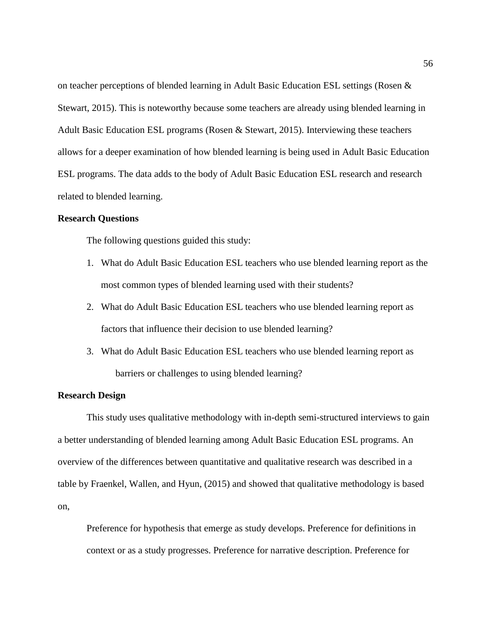on teacher perceptions of blended learning in Adult Basic Education ESL settings (Rosen & Stewart, 2015). This is noteworthy because some teachers are already using blended learning in Adult Basic Education ESL programs (Rosen & Stewart, 2015). Interviewing these teachers allows for a deeper examination of how blended learning is being used in Adult Basic Education ESL programs. The data adds to the body of Adult Basic Education ESL research and research related to blended learning.

# **Research Questions**

The following questions guided this study:

- 1. What do Adult Basic Education ESL teachers who use blended learning report as the most common types of blended learning used with their students?
- 2. What do Adult Basic Education ESL teachers who use blended learning report as factors that influence their decision to use blended learning?
- 3. What do Adult Basic Education ESL teachers who use blended learning report as barriers or challenges to using blended learning?

## **Research Design**

This study uses qualitative methodology with in-depth semi-structured interviews to gain a better understanding of blended learning among Adult Basic Education ESL programs. An overview of the differences between quantitative and qualitative research was described in a table by Fraenkel, Wallen, and Hyun, (2015) and showed that qualitative methodology is based on,

Preference for hypothesis that emerge as study develops. Preference for definitions in context or as a study progresses. Preference for narrative description. Preference for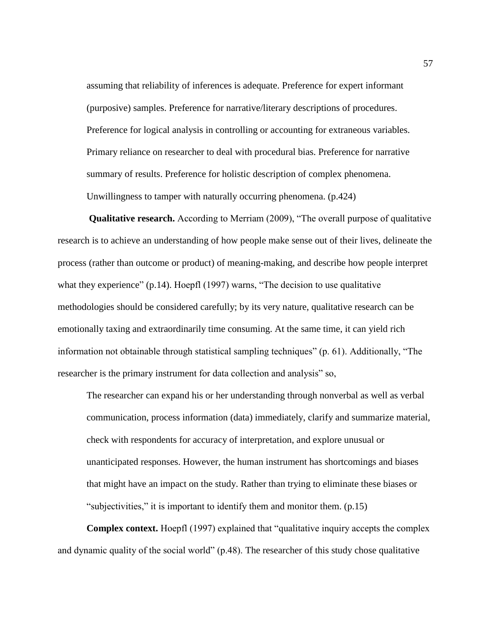assuming that reliability of inferences is adequate. Preference for expert informant (purposive) samples. Preference for narrative/literary descriptions of procedures. Preference for logical analysis in controlling or accounting for extraneous variables. Primary reliance on researcher to deal with procedural bias. Preference for narrative summary of results. Preference for holistic description of complex phenomena. Unwillingness to tamper with naturally occurring phenomena. (p.424)

**Qualitative research.** According to Merriam (2009), "The overall purpose of qualitative research is to achieve an understanding of how people make sense out of their lives, delineate the process (rather than outcome or product) of meaning-making, and describe how people interpret what they experience" (p.14). Hoepfl (1997) warns, "The decision to use qualitative methodologies should be considered carefully; by its very nature, qualitative research can be emotionally taxing and extraordinarily time consuming. At the same time, it can yield rich information not obtainable through statistical sampling techniques" (p. 61). Additionally, "The researcher is the primary instrument for data collection and analysis" so,

The researcher can expand his or her understanding through nonverbal as well as verbal communication, process information (data) immediately, clarify and summarize material, check with respondents for accuracy of interpretation, and explore unusual or unanticipated responses. However, the human instrument has shortcomings and biases that might have an impact on the study. Rather than trying to eliminate these biases or "subjectivities," it is important to identify them and monitor them. (p.15)

**Complex context.** Hoepfl (1997) explained that "qualitative inquiry accepts the complex and dynamic quality of the social world" (p.48). The researcher of this study chose qualitative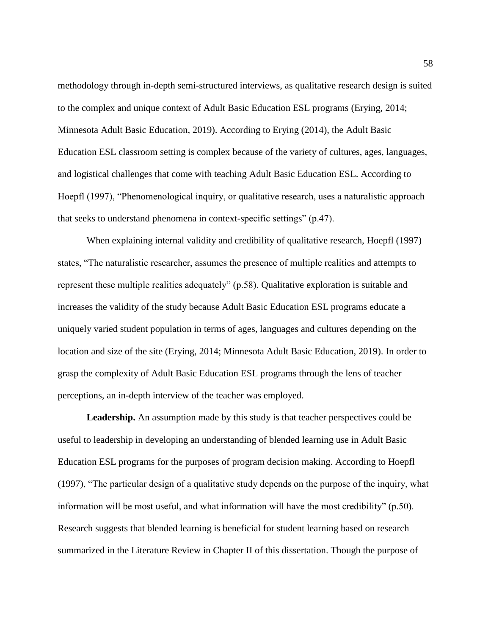methodology through in-depth semi-structured interviews, as qualitative research design is suited to the complex and unique context of Adult Basic Education ESL programs (Erying, 2014; Minnesota Adult Basic Education, 2019). According to Erying (2014), the Adult Basic Education ESL classroom setting is complex because of the variety of cultures, ages, languages, and logistical challenges that come with teaching Adult Basic Education ESL. According to Hoepfl (1997), "Phenomenological inquiry, or qualitative research, uses a naturalistic approach that seeks to understand phenomena in context-specific settings" (p.47).

When explaining internal validity and credibility of qualitative research, Hoepfl (1997) states, "The naturalistic researcher, assumes the presence of multiple realities and attempts to represent these multiple realities adequately" (p.58). Qualitative exploration is suitable and increases the validity of the study because Adult Basic Education ESL programs educate a uniquely varied student population in terms of ages, languages and cultures depending on the location and size of the site (Erying, 2014; Minnesota Adult Basic Education, 2019). In order to grasp the complexity of Adult Basic Education ESL programs through the lens of teacher perceptions, an in-depth interview of the teacher was employed.

**Leadership.** An assumption made by this study is that teacher perspectives could be useful to leadership in developing an understanding of blended learning use in Adult Basic Education ESL programs for the purposes of program decision making. According to Hoepfl (1997), "The particular design of a qualitative study depends on the purpose of the inquiry, what information will be most useful, and what information will have the most credibility" (p.50). Research suggests that blended learning is beneficial for student learning based on research summarized in the Literature Review in Chapter II of this dissertation. Though the purpose of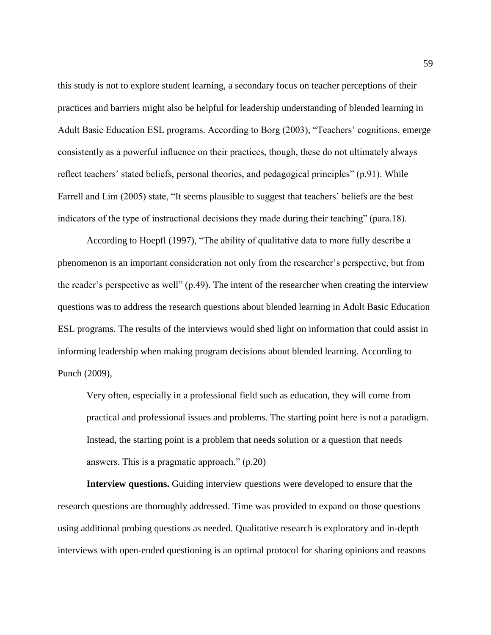this study is not to explore student learning, a secondary focus on teacher perceptions of their practices and barriers might also be helpful for leadership understanding of blended learning in Adult Basic Education ESL programs. According to Borg (2003), "Teachers' cognitions, emerge consistently as a powerful influence on their practices, though, these do not ultimately always reflect teachers' stated beliefs, personal theories, and pedagogical principles" (p.91). While Farrell and Lim (2005) state, "It seems plausible to suggest that teachers' beliefs are the best indicators of the type of instructional decisions they made during their teaching" (para.18).

According to Hoepfl (1997), "The ability of qualitative data to more fully describe a phenomenon is an important consideration not only from the researcher's perspective, but from the reader's perspective as well" (p.49). The intent of the researcher when creating the interview questions was to address the research questions about blended learning in Adult Basic Education ESL programs. The results of the interviews would shed light on information that could assist in informing leadership when making program decisions about blended learning. According to Punch (2009),

Very often, especially in a professional field such as education, they will come from practical and professional issues and problems. The starting point here is not a paradigm. Instead, the starting point is a problem that needs solution or a question that needs answers. This is a pragmatic approach." (p.20)

**Interview questions.** Guiding interview questions were developed to ensure that the research questions are thoroughly addressed. Time was provided to expand on those questions using additional probing questions as needed. Qualitative research is exploratory and in-depth interviews with open-ended questioning is an optimal protocol for sharing opinions and reasons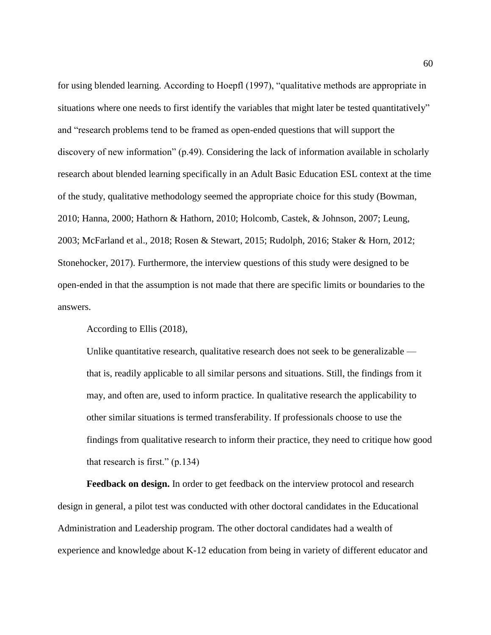for using blended learning. According to Hoepfl (1997), "qualitative methods are appropriate in situations where one needs to first identify the variables that might later be tested quantitatively" and "research problems tend to be framed as open-ended questions that will support the discovery of new information" (p.49). Considering the lack of information available in scholarly research about blended learning specifically in an Adult Basic Education ESL context at the time of the study, qualitative methodology seemed the appropriate choice for this study (Bowman, 2010; Hanna, 2000; Hathorn & Hathorn, 2010; Holcomb, Castek, & Johnson, 2007; Leung, 2003; McFarland et al., 2018; Rosen & Stewart, 2015; Rudolph, 2016; Staker & Horn, 2012; Stonehocker, 2017). Furthermore, the interview questions of this study were designed to be open-ended in that the assumption is not made that there are specific limits or boundaries to the answers.

According to Ellis (2018),

Unlike quantitative research, qualitative research does not seek to be generalizable that is, readily applicable to all similar persons and situations. Still, the findings from it may, and often are, used to inform practice. In qualitative research the applicability to other similar situations is termed transferability. If professionals choose to use the findings from qualitative research to inform their practice, they need to critique how good that research is first." (p.134)

**Feedback on design.** In order to get feedback on the interview protocol and research design in general, a pilot test was conducted with other doctoral candidates in the Educational Administration and Leadership program. The other doctoral candidates had a wealth of experience and knowledge about K-12 education from being in variety of different educator and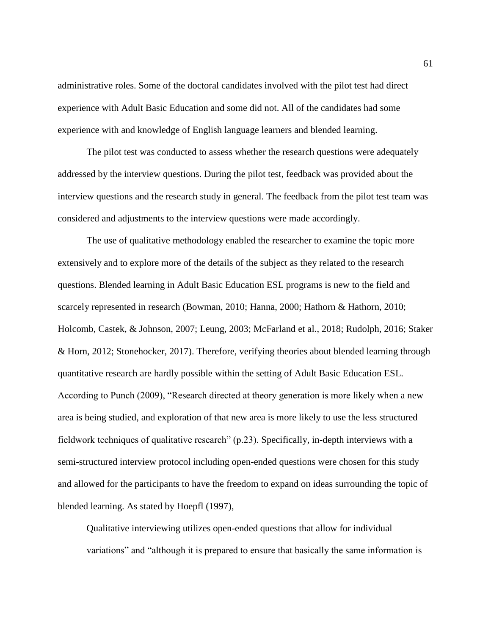administrative roles. Some of the doctoral candidates involved with the pilot test had direct experience with Adult Basic Education and some did not. All of the candidates had some experience with and knowledge of English language learners and blended learning.

The pilot test was conducted to assess whether the research questions were adequately addressed by the interview questions. During the pilot test, feedback was provided about the interview questions and the research study in general. The feedback from the pilot test team was considered and adjustments to the interview questions were made accordingly.

The use of qualitative methodology enabled the researcher to examine the topic more extensively and to explore more of the details of the subject as they related to the research questions. Blended learning in Adult Basic Education ESL programs is new to the field and scarcely represented in research (Bowman, 2010; Hanna, 2000; Hathorn & Hathorn, 2010; Holcomb, Castek, & Johnson, 2007; Leung, 2003; McFarland et al., 2018; Rudolph, 2016; Staker & Horn, 2012; Stonehocker, 2017). Therefore, verifying theories about blended learning through quantitative research are hardly possible within the setting of Adult Basic Education ESL. According to Punch (2009), "Research directed at theory generation is more likely when a new area is being studied, and exploration of that new area is more likely to use the less structured fieldwork techniques of qualitative research" (p.23). Specifically, in-depth interviews with a semi-structured interview protocol including open-ended questions were chosen for this study and allowed for the participants to have the freedom to expand on ideas surrounding the topic of blended learning. As stated by Hoepfl (1997),

Qualitative interviewing utilizes open-ended questions that allow for individual variations" and "although it is prepared to ensure that basically the same information is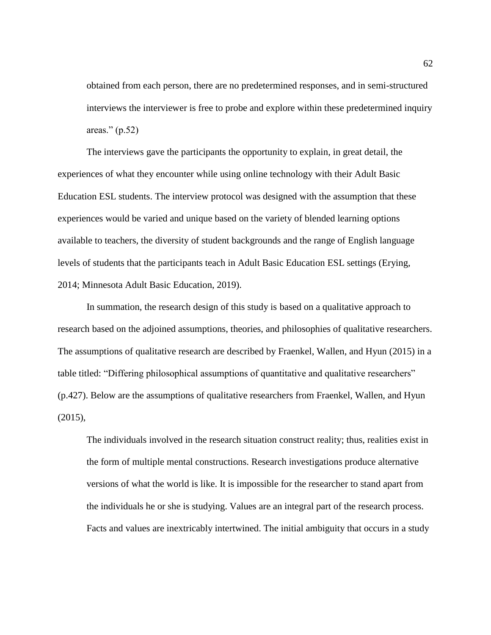obtained from each person, there are no predetermined responses, and in semi-structured interviews the interviewer is free to probe and explore within these predetermined inquiry areas." (p.52)

The interviews gave the participants the opportunity to explain, in great detail, the experiences of what they encounter while using online technology with their Adult Basic Education ESL students. The interview protocol was designed with the assumption that these experiences would be varied and unique based on the variety of blended learning options available to teachers, the diversity of student backgrounds and the range of English language levels of students that the participants teach in Adult Basic Education ESL settings (Erying, 2014; Minnesota Adult Basic Education, 2019).

In summation, the research design of this study is based on a qualitative approach to research based on the adjoined assumptions, theories, and philosophies of qualitative researchers. The assumptions of qualitative research are described by Fraenkel, Wallen, and Hyun (2015) in a table titled: "Differing philosophical assumptions of quantitative and qualitative researchers" (p.427). Below are the assumptions of qualitative researchers from Fraenkel, Wallen, and Hyun (2015),

The individuals involved in the research situation construct reality; thus, realities exist in the form of multiple mental constructions. Research investigations produce alternative versions of what the world is like. It is impossible for the researcher to stand apart from the individuals he or she is studying. Values are an integral part of the research process. Facts and values are inextricably intertwined. The initial ambiguity that occurs in a study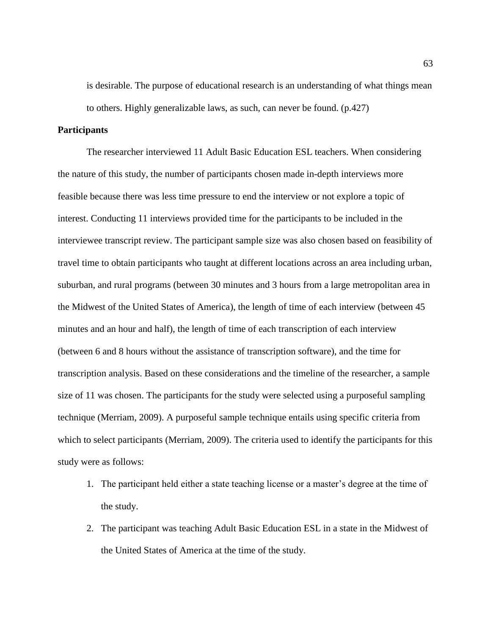is desirable. The purpose of educational research is an understanding of what things mean to others. Highly generalizable laws, as such, can never be found. (p.427)

## **Participants**

The researcher interviewed 11 Adult Basic Education ESL teachers. When considering the nature of this study, the number of participants chosen made in-depth interviews more feasible because there was less time pressure to end the interview or not explore a topic of interest. Conducting 11 interviews provided time for the participants to be included in the interviewee transcript review. The participant sample size was also chosen based on feasibility of travel time to obtain participants who taught at different locations across an area including urban, suburban, and rural programs (between 30 minutes and 3 hours from a large metropolitan area in the Midwest of the United States of America), the length of time of each interview (between 45 minutes and an hour and half), the length of time of each transcription of each interview (between 6 and 8 hours without the assistance of transcription software), and the time for transcription analysis. Based on these considerations and the timeline of the researcher, a sample size of 11 was chosen. The participants for the study were selected using a purposeful sampling technique (Merriam, 2009). A purposeful sample technique entails using specific criteria from which to select participants (Merriam, 2009). The criteria used to identify the participants for this study were as follows:

- 1. The participant held either a state teaching license or a master's degree at the time of the study.
- 2. The participant was teaching Adult Basic Education ESL in a state in the Midwest of the United States of America at the time of the study.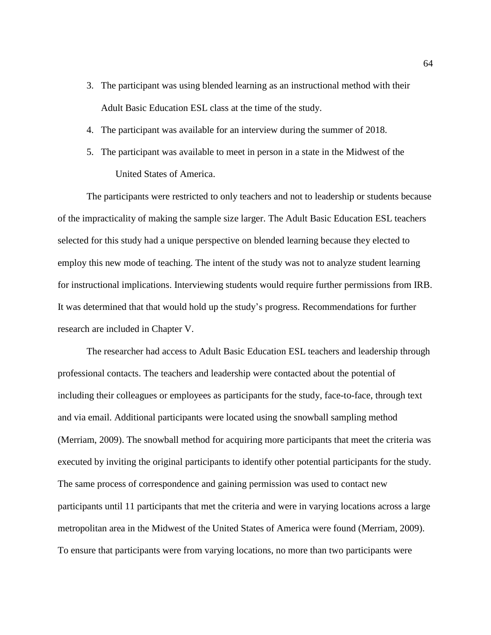- 3. The participant was using blended learning as an instructional method with their Adult Basic Education ESL class at the time of the study.
- 4. The participant was available for an interview during the summer of 2018.
- 5. The participant was available to meet in person in a state in the Midwest of the United States of America.

The participants were restricted to only teachers and not to leadership or students because of the impracticality of making the sample size larger. The Adult Basic Education ESL teachers selected for this study had a unique perspective on blended learning because they elected to employ this new mode of teaching. The intent of the study was not to analyze student learning for instructional implications. Interviewing students would require further permissions from IRB. It was determined that that would hold up the study's progress. Recommendations for further research are included in Chapter V.

The researcher had access to Adult Basic Education ESL teachers and leadership through professional contacts. The teachers and leadership were contacted about the potential of including their colleagues or employees as participants for the study, face-to-face, through text and via email. Additional participants were located using the snowball sampling method (Merriam, 2009). The snowball method for acquiring more participants that meet the criteria was executed by inviting the original participants to identify other potential participants for the study. The same process of correspondence and gaining permission was used to contact new participants until 11 participants that met the criteria and were in varying locations across a large metropolitan area in the Midwest of the United States of America were found (Merriam, 2009). To ensure that participants were from varying locations, no more than two participants were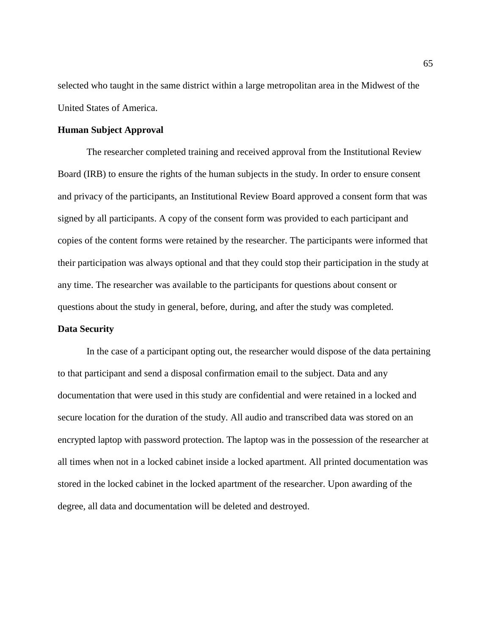selected who taught in the same district within a large metropolitan area in the Midwest of the United States of America.

#### **Human Subject Approval**

The researcher completed training and received approval from the Institutional Review Board (IRB) to ensure the rights of the human subjects in the study. In order to ensure consent and privacy of the participants, an Institutional Review Board approved a consent form that was signed by all participants. A copy of the consent form was provided to each participant and copies of the content forms were retained by the researcher. The participants were informed that their participation was always optional and that they could stop their participation in the study at any time. The researcher was available to the participants for questions about consent or questions about the study in general, before, during, and after the study was completed.

# **Data Security**

In the case of a participant opting out, the researcher would dispose of the data pertaining to that participant and send a disposal confirmation email to the subject. Data and any documentation that were used in this study are confidential and were retained in a locked and secure location for the duration of the study. All audio and transcribed data was stored on an encrypted laptop with password protection. The laptop was in the possession of the researcher at all times when not in a locked cabinet inside a locked apartment. All printed documentation was stored in the locked cabinet in the locked apartment of the researcher. Upon awarding of the degree, all data and documentation will be deleted and destroyed.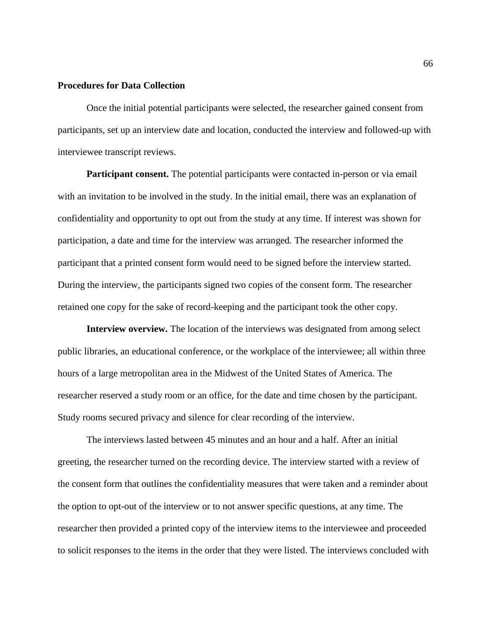# **Procedures for Data Collection**

Once the initial potential participants were selected, the researcher gained consent from participants, set up an interview date and location, conducted the interview and followed-up with interviewee transcript reviews.

**Participant consent.** The potential participants were contacted in-person or via email with an invitation to be involved in the study. In the initial email, there was an explanation of confidentiality and opportunity to opt out from the study at any time. If interest was shown for participation, a date and time for the interview was arranged. The researcher informed the participant that a printed consent form would need to be signed before the interview started. During the interview, the participants signed two copies of the consent form. The researcher retained one copy for the sake of record-keeping and the participant took the other copy.

**Interview overview.** The location of the interviews was designated from among select public libraries, an educational conference, or the workplace of the interviewee; all within three hours of a large metropolitan area in the Midwest of the United States of America. The researcher reserved a study room or an office, for the date and time chosen by the participant. Study rooms secured privacy and silence for clear recording of the interview.

The interviews lasted between 45 minutes and an hour and a half. After an initial greeting, the researcher turned on the recording device. The interview started with a review of the consent form that outlines the confidentiality measures that were taken and a reminder about the option to opt-out of the interview or to not answer specific questions, at any time. The researcher then provided a printed copy of the interview items to the interviewee and proceeded to solicit responses to the items in the order that they were listed. The interviews concluded with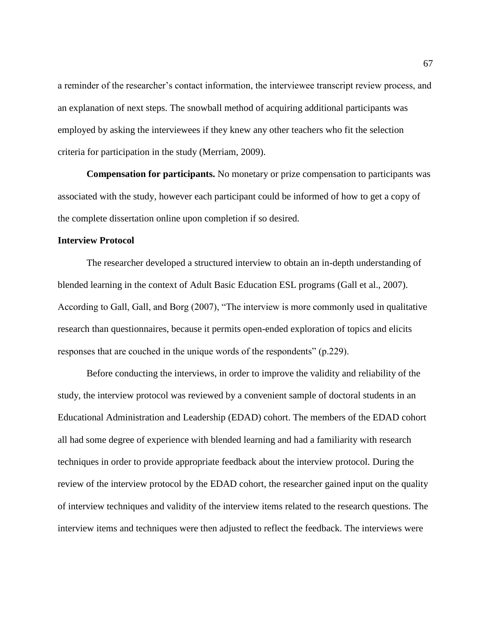a reminder of the researcher's contact information, the interviewee transcript review process, and an explanation of next steps. The snowball method of acquiring additional participants was employed by asking the interviewees if they knew any other teachers who fit the selection criteria for participation in the study (Merriam, 2009).

**Compensation for participants.** No monetary or prize compensation to participants was associated with the study, however each participant could be informed of how to get a copy of the complete dissertation online upon completion if so desired.

### **Interview Protocol**

The researcher developed a structured interview to obtain an in-depth understanding of blended learning in the context of Adult Basic Education ESL programs (Gall et al., 2007). According to Gall, Gall, and Borg (2007), "The interview is more commonly used in qualitative research than questionnaires, because it permits open-ended exploration of topics and elicits responses that are couched in the unique words of the respondents" (p.229).

Before conducting the interviews, in order to improve the validity and reliability of the study, the interview protocol was reviewed by a convenient sample of doctoral students in an Educational Administration and Leadership (EDAD) cohort. The members of the EDAD cohort all had some degree of experience with blended learning and had a familiarity with research techniques in order to provide appropriate feedback about the interview protocol. During the review of the interview protocol by the EDAD cohort, the researcher gained input on the quality of interview techniques and validity of the interview items related to the research questions. The interview items and techniques were then adjusted to reflect the feedback. The interviews were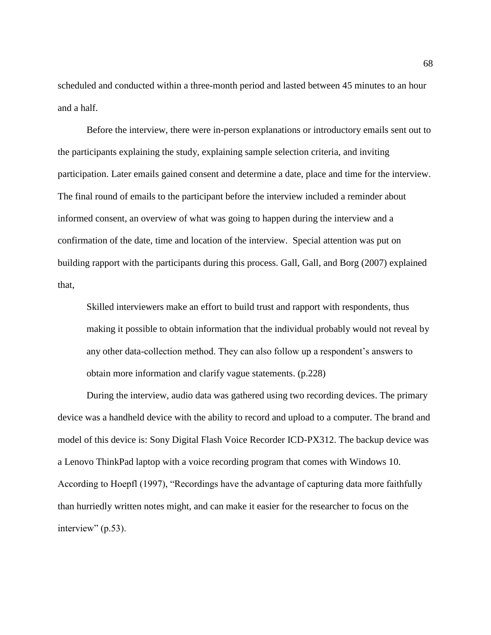scheduled and conducted within a three-month period and lasted between 45 minutes to an hour and a half.

Before the interview, there were in-person explanations or introductory emails sent out to the participants explaining the study, explaining sample selection criteria, and inviting participation. Later emails gained consent and determine a date, place and time for the interview. The final round of emails to the participant before the interview included a reminder about informed consent, an overview of what was going to happen during the interview and a confirmation of the date, time and location of the interview. Special attention was put on building rapport with the participants during this process. Gall, Gall, and Borg (2007) explained that,

Skilled interviewers make an effort to build trust and rapport with respondents, thus making it possible to obtain information that the individual probably would not reveal by any other data-collection method. They can also follow up a respondent's answers to obtain more information and clarify vague statements. (p.228)

During the interview, audio data was gathered using two recording devices. The primary device was a handheld device with the ability to record and upload to a computer. The brand and model of this device is: Sony Digital Flash Voice Recorder ICD-PX312. The backup device was a Lenovo ThinkPad laptop with a voice recording program that comes with Windows 10. According to Hoepfl (1997), "Recordings have the advantage of capturing data more faithfully than hurriedly written notes might, and can make it easier for the researcher to focus on the interview" (p.53).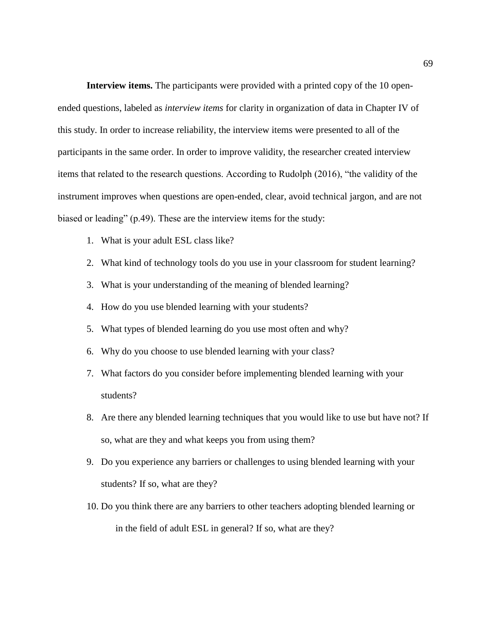**Interview items.** The participants were provided with a printed copy of the 10 openended questions, labeled as *interview items* for clarity in organization of data in Chapter IV of this study. In order to increase reliability, the interview items were presented to all of the participants in the same order. In order to improve validity, the researcher created interview items that related to the research questions. According to Rudolph (2016), "the validity of the instrument improves when questions are open-ended, clear, avoid technical jargon, and are not biased or leading" (p.49). These are the interview items for the study:

- 1. What is your adult ESL class like?
- 2. What kind of technology tools do you use in your classroom for student learning?
- 3. What is your understanding of the meaning of blended learning?
- 4. How do you use blended learning with your students?
- 5. What types of blended learning do you use most often and why?
- 6. Why do you choose to use blended learning with your class?
- 7. What factors do you consider before implementing blended learning with your students?
- 8. Are there any blended learning techniques that you would like to use but have not? If so, what are they and what keeps you from using them?
- 9. Do you experience any barriers or challenges to using blended learning with your students? If so, what are they?
- 10. Do you think there are any barriers to other teachers adopting blended learning or in the field of adult ESL in general? If so, what are they?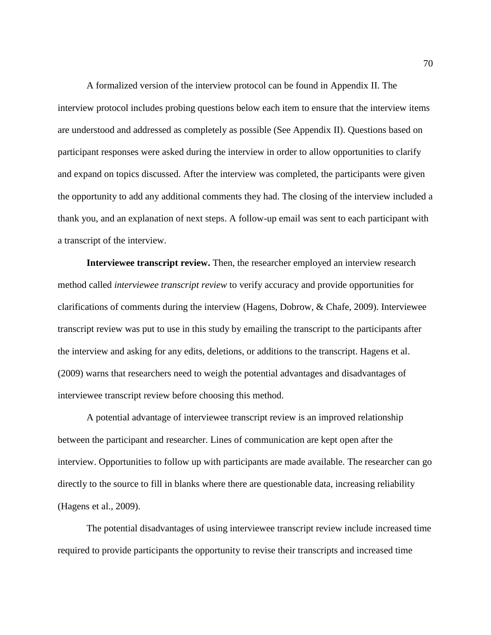A formalized version of the interview protocol can be found in Appendix II. The interview protocol includes probing questions below each item to ensure that the interview items are understood and addressed as completely as possible (See Appendix II). Questions based on participant responses were asked during the interview in order to allow opportunities to clarify and expand on topics discussed. After the interview was completed, the participants were given the opportunity to add any additional comments they had. The closing of the interview included a thank you, and an explanation of next steps. A follow-up email was sent to each participant with a transcript of the interview.

**Interviewee transcript review.** Then, the researcher employed an interview research method called *interviewee transcript review* to verify accuracy and provide opportunities for clarifications of comments during the interview (Hagens, Dobrow, & Chafe, 2009). Interviewee transcript review was put to use in this study by emailing the transcript to the participants after the interview and asking for any edits, deletions, or additions to the transcript. Hagens et al. (2009) warns that researchers need to weigh the potential advantages and disadvantages of interviewee transcript review before choosing this method.

A potential advantage of interviewee transcript review is an improved relationship between the participant and researcher. Lines of communication are kept open after the interview. Opportunities to follow up with participants are made available. The researcher can go directly to the source to fill in blanks where there are questionable data, increasing reliability (Hagens et al., 2009).

The potential disadvantages of using interviewee transcript review include increased time required to provide participants the opportunity to revise their transcripts and increased time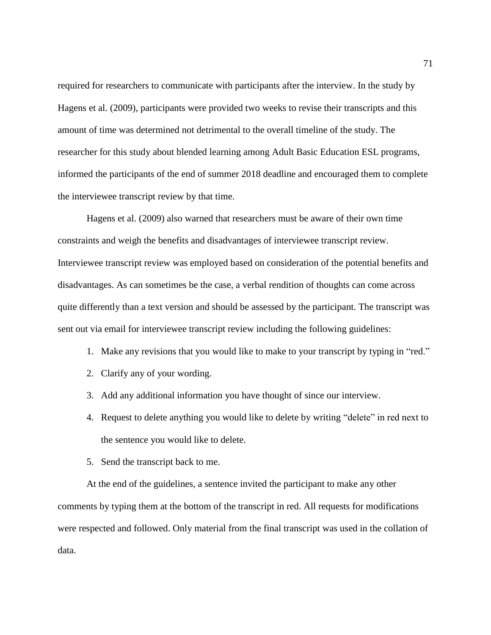required for researchers to communicate with participants after the interview. In the study by Hagens et al. (2009), participants were provided two weeks to revise their transcripts and this amount of time was determined not detrimental to the overall timeline of the study. The researcher for this study about blended learning among Adult Basic Education ESL programs, informed the participants of the end of summer 2018 deadline and encouraged them to complete the interviewee transcript review by that time.

Hagens et al. (2009) also warned that researchers must be aware of their own time constraints and weigh the benefits and disadvantages of interviewee transcript review. Interviewee transcript review was employed based on consideration of the potential benefits and disadvantages. As can sometimes be the case, a verbal rendition of thoughts can come across quite differently than a text version and should be assessed by the participant. The transcript was sent out via email for interviewee transcript review including the following guidelines:

- 1. Make any revisions that you would like to make to your transcript by typing in "red."
- 2. Clarify any of your wording.
- 3. Add any additional information you have thought of since our interview.
- 4. Request to delete anything you would like to delete by writing "delete" in red next to the sentence you would like to delete.
- 5. Send the transcript back to me.

At the end of the guidelines, a sentence invited the participant to make any other comments by typing them at the bottom of the transcript in red. All requests for modifications were respected and followed. Only material from the final transcript was used in the collation of data.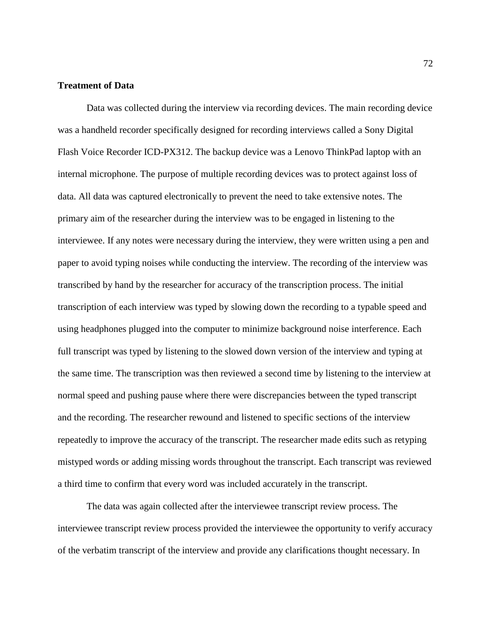### **Treatment of Data**

Data was collected during the interview via recording devices. The main recording device was a handheld recorder specifically designed for recording interviews called a Sony Digital Flash Voice Recorder ICD-PX312. The backup device was a Lenovo ThinkPad laptop with an internal microphone. The purpose of multiple recording devices was to protect against loss of data. All data was captured electronically to prevent the need to take extensive notes. The primary aim of the researcher during the interview was to be engaged in listening to the interviewee. If any notes were necessary during the interview, they were written using a pen and paper to avoid typing noises while conducting the interview. The recording of the interview was transcribed by hand by the researcher for accuracy of the transcription process. The initial transcription of each interview was typed by slowing down the recording to a typable speed and using headphones plugged into the computer to minimize background noise interference. Each full transcript was typed by listening to the slowed down version of the interview and typing at the same time. The transcription was then reviewed a second time by listening to the interview at normal speed and pushing pause where there were discrepancies between the typed transcript and the recording. The researcher rewound and listened to specific sections of the interview repeatedly to improve the accuracy of the transcript. The researcher made edits such as retyping mistyped words or adding missing words throughout the transcript. Each transcript was reviewed a third time to confirm that every word was included accurately in the transcript.

The data was again collected after the interviewee transcript review process. The interviewee transcript review process provided the interviewee the opportunity to verify accuracy of the verbatim transcript of the interview and provide any clarifications thought necessary. In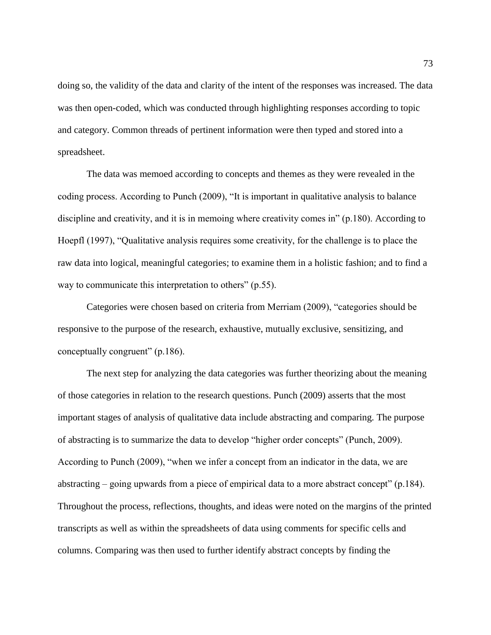doing so, the validity of the data and clarity of the intent of the responses was increased. The data was then open-coded, which was conducted through highlighting responses according to topic and category. Common threads of pertinent information were then typed and stored into a spreadsheet.

The data was memoed according to concepts and themes as they were revealed in the coding process. According to Punch (2009), "It is important in qualitative analysis to balance discipline and creativity, and it is in memoing where creativity comes in" (p.180). According to Hoepfl (1997), "Qualitative analysis requires some creativity, for the challenge is to place the raw data into logical, meaningful categories; to examine them in a holistic fashion; and to find a way to communicate this interpretation to others" (p.55).

Categories were chosen based on criteria from Merriam (2009), "categories should be responsive to the purpose of the research, exhaustive, mutually exclusive, sensitizing, and conceptually congruent" (p.186).

The next step for analyzing the data categories was further theorizing about the meaning of those categories in relation to the research questions. Punch (2009) asserts that the most important stages of analysis of qualitative data include abstracting and comparing. The purpose of abstracting is to summarize the data to develop "higher order concepts" (Punch, 2009). According to Punch (2009), "when we infer a concept from an indicator in the data, we are abstracting – going upwards from a piece of empirical data to a more abstract concept" (p.184). Throughout the process, reflections, thoughts, and ideas were noted on the margins of the printed transcripts as well as within the spreadsheets of data using comments for specific cells and columns. Comparing was then used to further identify abstract concepts by finding the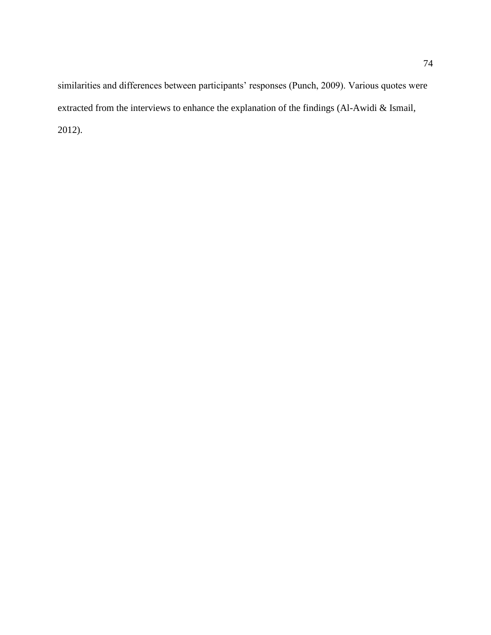similarities and differences between participants' responses (Punch, 2009). Various quotes were extracted from the interviews to enhance the explanation of the findings (Al-Awidi & Ismail, 2012).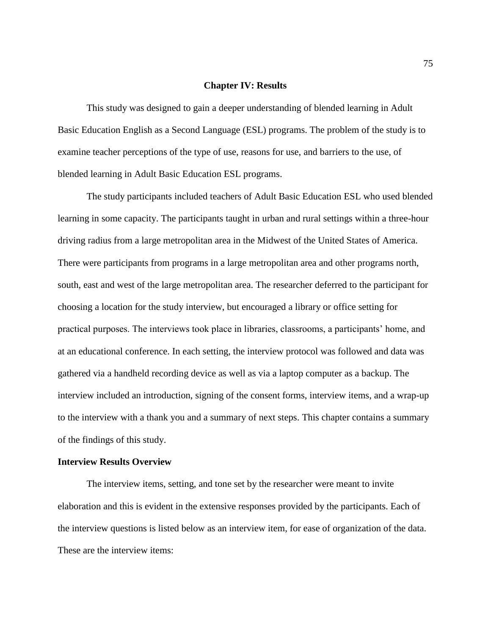### **Chapter IV: Results**

This study was designed to gain a deeper understanding of blended learning in Adult Basic Education English as a Second Language (ESL) programs. The problem of the study is to examine teacher perceptions of the type of use, reasons for use, and barriers to the use, of blended learning in Adult Basic Education ESL programs.

The study participants included teachers of Adult Basic Education ESL who used blended learning in some capacity. The participants taught in urban and rural settings within a three-hour driving radius from a large metropolitan area in the Midwest of the United States of America. There were participants from programs in a large metropolitan area and other programs north, south, east and west of the large metropolitan area. The researcher deferred to the participant for choosing a location for the study interview, but encouraged a library or office setting for practical purposes. The interviews took place in libraries, classrooms, a participants' home, and at an educational conference. In each setting, the interview protocol was followed and data was gathered via a handheld recording device as well as via a laptop computer as a backup. The interview included an introduction, signing of the consent forms, interview items, and a wrap-up to the interview with a thank you and a summary of next steps. This chapter contains a summary of the findings of this study.

#### **Interview Results Overview**

The interview items, setting, and tone set by the researcher were meant to invite elaboration and this is evident in the extensive responses provided by the participants. Each of the interview questions is listed below as an interview item, for ease of organization of the data. These are the interview items: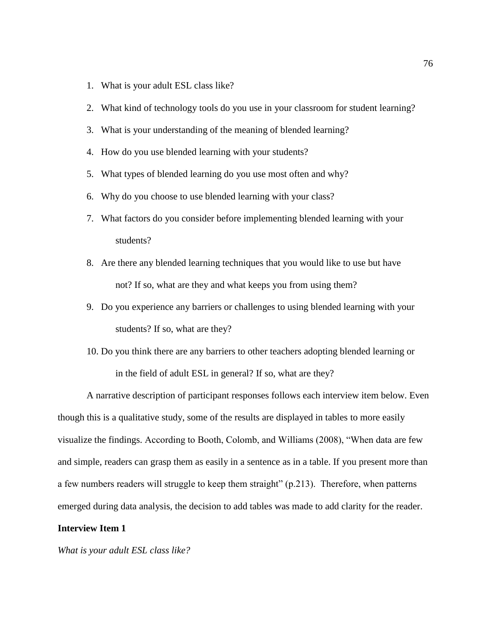- 1. What is your adult ESL class like?
- 2. What kind of technology tools do you use in your classroom for student learning?
- 3. What is your understanding of the meaning of blended learning?
- 4. How do you use blended learning with your students?
- 5. What types of blended learning do you use most often and why?
- 6. Why do you choose to use blended learning with your class?
- 7. What factors do you consider before implementing blended learning with your students?
- 8. Are there any blended learning techniques that you would like to use but have not? If so, what are they and what keeps you from using them?
- 9. Do you experience any barriers or challenges to using blended learning with your students? If so, what are they?
- 10. Do you think there are any barriers to other teachers adopting blended learning or in the field of adult ESL in general? If so, what are they?

A narrative description of participant responses follows each interview item below. Even though this is a qualitative study, some of the results are displayed in tables to more easily visualize the findings. According to Booth, Colomb, and Williams (2008), "When data are few and simple, readers can grasp them as easily in a sentence as in a table. If you present more than a few numbers readers will struggle to keep them straight" (p.213). Therefore, when patterns emerged during data analysis, the decision to add tables was made to add clarity for the reader.

### **Interview Item 1**

*What is your adult ESL class like?*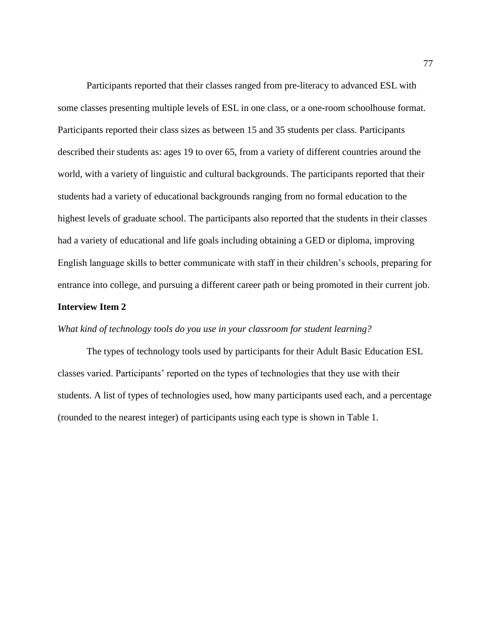Participants reported that their classes ranged from pre-literacy to advanced ESL with some classes presenting multiple levels of ESL in one class, or a one-room schoolhouse format. Participants reported their class sizes as between 15 and 35 students per class. Participants described their students as: ages 19 to over 65, from a variety of different countries around the world, with a variety of linguistic and cultural backgrounds. The participants reported that their students had a variety of educational backgrounds ranging from no formal education to the highest levels of graduate school. The participants also reported that the students in their classes had a variety of educational and life goals including obtaining a GED or diploma, improving English language skills to better communicate with staff in their children's schools, preparing for entrance into college, and pursuing a different career path or being promoted in their current job.

### **Interview Item 2**

### *What kind of technology tools do you use in your classroom for student learning?*

The types of technology tools used by participants for their Adult Basic Education ESL classes varied. Participants' reported on the types of technologies that they use with their students. A list of types of technologies used, how many participants used each, and a percentage (rounded to the nearest integer) of participants using each type is shown in Table 1.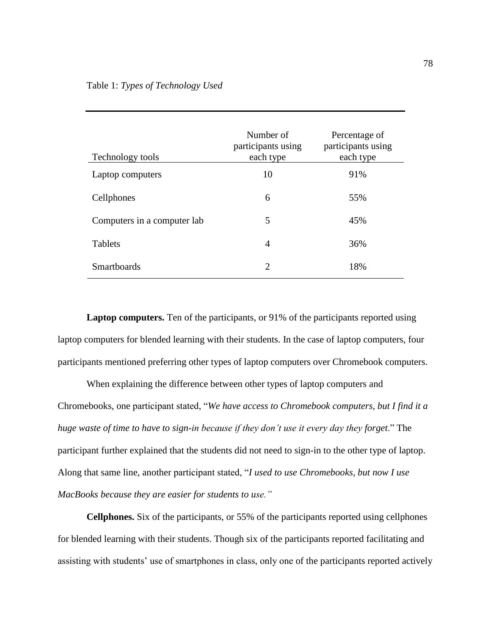| Technology tools            | Number of<br>participants using<br>each type | Percentage of<br>participants using<br>each type |
|-----------------------------|----------------------------------------------|--------------------------------------------------|
| Laptop computers            | 10                                           | 91%                                              |
| Cellphones                  | 6                                            | 55%                                              |
| Computers in a computer lab | 5                                            | 45%                                              |
| <b>Tablets</b>              | 4                                            | 36%                                              |
| <b>Smartboards</b>          | 2                                            | 18%                                              |

Laptop computers. Ten of the participants, or 91% of the participants reported using laptop computers for blended learning with their students. In the case of laptop computers, four participants mentioned preferring other types of laptop computers over Chromebook computers.

When explaining the difference between other types of laptop computers and Chromebooks, one participant stated, "*We have access to Chromebook computers, but I find it a huge waste of time to have to sign-in because if they don't use it every day they forget*." The participant further explained that the students did not need to sign-in to the other type of laptop. Along that same line, another participant stated, "*I used to use Chromebooks, but now I use MacBooks because they are easier for students to use."*

**Cellphones.** Six of the participants, or 55% of the participants reported using cellphones for blended learning with their students. Though six of the participants reported facilitating and assisting with students' use of smartphones in class, only one of the participants reported actively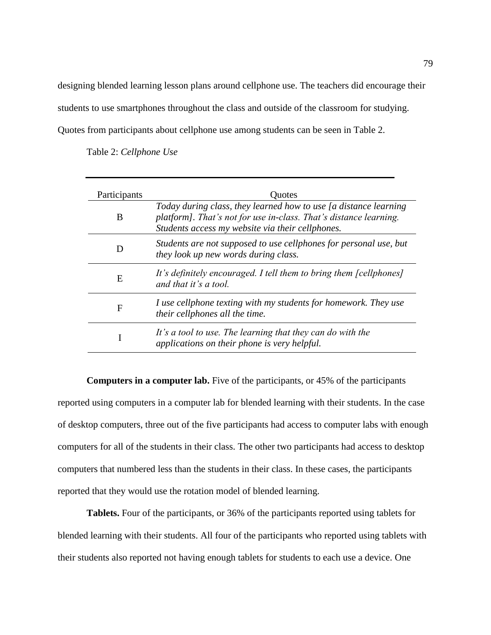designing blended learning lesson plans around cellphone use. The teachers did encourage their students to use smartphones throughout the class and outside of the classroom for studying. Quotes from participants about cellphone use among students can be seen in Table 2.

Table 2: *Cellphone Use*

| Participants | Quotes                                                                                                                                                                                    |
|--------------|-------------------------------------------------------------------------------------------------------------------------------------------------------------------------------------------|
| B            | Today during class, they learned how to use [a distance learning<br>platform]. That's not for use in-class. That's distance learning.<br>Students access my website via their cellphones. |
|              | Students are not supposed to use cellphones for personal use, but<br>they look up new words during class.                                                                                 |
| E            | It's definitely encouraged. I tell them to bring them [cellphones]<br>and that it's a tool.                                                                                               |
| F            | I use cellphone texting with my students for homework. They use<br>their cellphones all the time.                                                                                         |
|              | It's a tool to use. The learning that they can do with the<br>applications on their phone is very helpful.                                                                                |

**Computers in a computer lab.** Five of the participants, or 45% of the participants reported using computers in a computer lab for blended learning with their students. In the case of desktop computers, three out of the five participants had access to computer labs with enough computers for all of the students in their class. The other two participants had access to desktop computers that numbered less than the students in their class. In these cases, the participants reported that they would use the rotation model of blended learning.

**Tablets.** Four of the participants, or 36% of the participants reported using tablets for blended learning with their students. All four of the participants who reported using tablets with their students also reported not having enough tablets for students to each use a device. One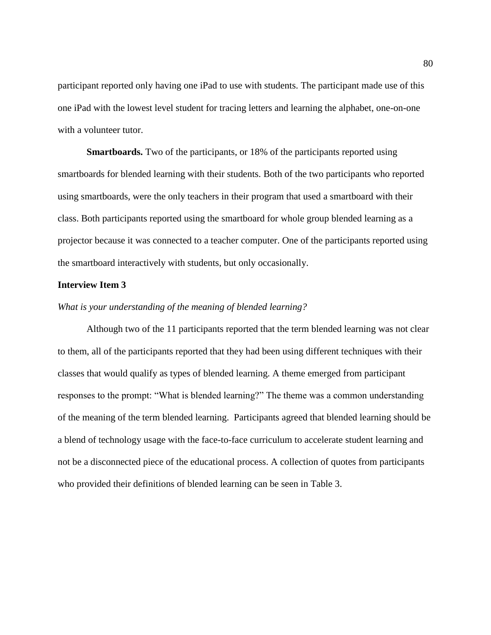participant reported only having one iPad to use with students. The participant made use of this one iPad with the lowest level student for tracing letters and learning the alphabet, one-on-one with a volunteer tutor.

**Smartboards.** Two of the participants, or 18% of the participants reported using smartboards for blended learning with their students. Both of the two participants who reported using smartboards, were the only teachers in their program that used a smartboard with their class. Both participants reported using the smartboard for whole group blended learning as a projector because it was connected to a teacher computer. One of the participants reported using the smartboard interactively with students, but only occasionally.

### **Interview Item 3**

### *What is your understanding of the meaning of blended learning?*

Although two of the 11 participants reported that the term blended learning was not clear to them, all of the participants reported that they had been using different techniques with their classes that would qualify as types of blended learning. A theme emerged from participant responses to the prompt: "What is blended learning?" The theme was a common understanding of the meaning of the term blended learning. Participants agreed that blended learning should be a blend of technology usage with the face-to-face curriculum to accelerate student learning and not be a disconnected piece of the educational process. A collection of quotes from participants who provided their definitions of blended learning can be seen in Table 3.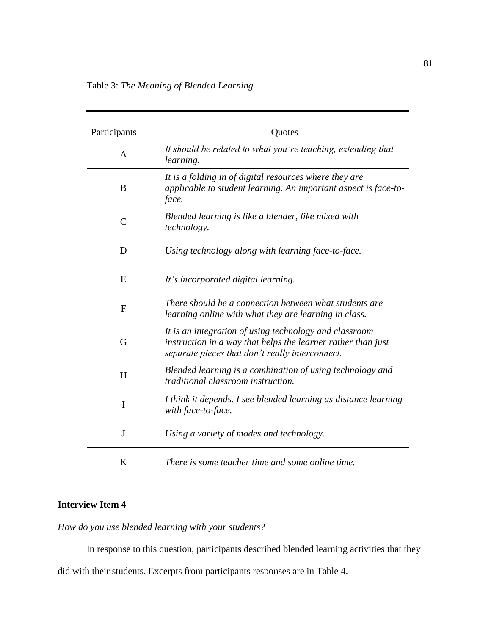| Participants  | Quotes                                                                                                                                                                    |
|---------------|---------------------------------------------------------------------------------------------------------------------------------------------------------------------------|
| $\mathsf{A}$  | It should be related to what you're teaching, extending that<br>learning.                                                                                                 |
| B             | It is a folding in of digital resources where they are<br>applicable to student learning. An important aspect is face-to-<br>face.                                        |
| $\mathcal{C}$ | Blended learning is like a blender, like mixed with<br>technology.                                                                                                        |
| D             | Using technology along with learning face-to-face.                                                                                                                        |
| E             | It's incorporated digital learning.                                                                                                                                       |
| F             | There should be a connection between what students are<br>learning online with what they are learning in class.                                                           |
| G             | It is an integration of using technology and classroom<br>instruction in a way that helps the learner rather than just<br>separate pieces that don't really interconnect. |
| H             | Blended learning is a combination of using technology and<br>traditional classroom instruction.                                                                           |
| I             | I think it depends. I see blended learning as distance learning<br>with face-to-face.                                                                                     |
| J             | Using a variety of modes and technology.                                                                                                                                  |
| K             | There is some teacher time and some online time.                                                                                                                          |

# **Interview Item 4**

*How do you use blended learning with your students?* 

In response to this question, participants described blended learning activities that they

did with their students. Excerpts from participants responses are in Table 4.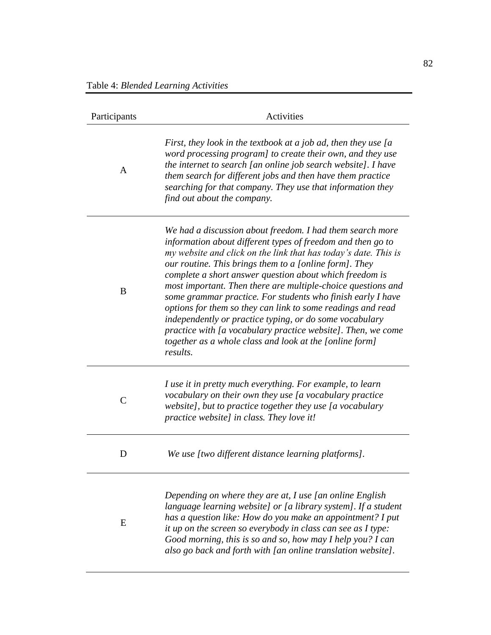| Participants  | Activities                                                                                                                                                                                                                                                                                                                                                                                                                                                                                                                                                                                                                                                                                                       |  |
|---------------|------------------------------------------------------------------------------------------------------------------------------------------------------------------------------------------------------------------------------------------------------------------------------------------------------------------------------------------------------------------------------------------------------------------------------------------------------------------------------------------------------------------------------------------------------------------------------------------------------------------------------------------------------------------------------------------------------------------|--|
| $\mathsf{A}$  | First, they look in the textbook at a job ad, then they use [a<br>word processing program] to create their own, and they use<br>the internet to search [an online job search website]. I have<br>them search for different jobs and then have them practice<br>searching for that company. They use that information they<br>find out about the company.                                                                                                                                                                                                                                                                                                                                                         |  |
| B             | We had a discussion about freedom. I had them search more<br>information about different types of freedom and then go to<br>my website and click on the link that has today's date. This is<br>our routine. This brings them to a [online form]. They<br>complete a short answer question about which freedom is<br>most important. Then there are multiple-choice questions and<br>some grammar practice. For students who finish early I have<br>options for them so they can link to some readings and read<br>independently or practice typing, or do some vocabulary<br>practice with [a vocabulary practice website]. Then, we come<br>together as a whole class and look at the [online form]<br>results. |  |
| $\mathcal{C}$ | I use it in pretty much everything. For example, to learn<br>vocabulary on their own they use [a vocabulary practice<br>website], but to practice together they use $[a$ vocabulary<br>practice website] in class. They love it!                                                                                                                                                                                                                                                                                                                                                                                                                                                                                 |  |
| D             | We use [two different distance learning platforms].                                                                                                                                                                                                                                                                                                                                                                                                                                                                                                                                                                                                                                                              |  |
| E             | Depending on where they are at, I use [an online English<br>language learning website] or [a library system]. If a student<br>has a question like: How do you make an appointment? I put<br>it up on the screen so everybody in class can see as I type:<br>Good morning, this is so and so, how may I help you? I can<br>also go back and forth with [an online translation website].                                                                                                                                                                                                                                                                                                                           |  |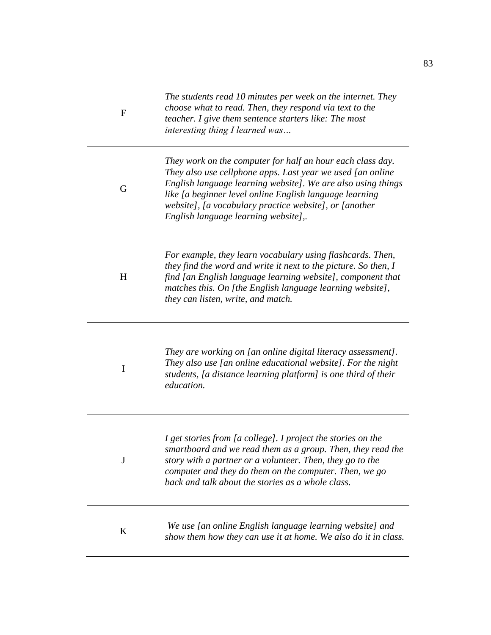| $\mathbf{F}$ | The students read 10 minutes per week on the internet. They<br>choose what to read. Then, they respond via text to the<br>teacher. I give them sentence starters like: The most<br>interesting thing I learned was                                                                                                                                    |
|--------------|-------------------------------------------------------------------------------------------------------------------------------------------------------------------------------------------------------------------------------------------------------------------------------------------------------------------------------------------------------|
| G            | They work on the computer for half an hour each class day.<br>They also use cellphone apps. Last year we used [an online<br>English language learning website]. We are also using things<br>like [a beginner level online English language learning<br>website], [a vocabulary practice website], or [another<br>English language learning website],. |
| H            | For example, they learn vocabulary using flashcards. Then,<br>they find the word and write it next to the picture. So then, I<br>find [an English language learning website], component that<br>matches this. On [the English language learning website],<br>they can listen, write, and match.                                                       |
| I            | They are working on [an online digital literacy assessment].<br>They also use [an online educational website]. For the night<br>students, [a distance learning platform] is one third of their<br>education.                                                                                                                                          |
| J            | I get stories from [a college]. I project the stories on the<br>smartboard and we read them as a group. Then, they read the<br>story with a partner or a volunteer. Then, they go to the<br>computer and they do them on the computer. Then, we go<br>back and talk about the stories as a whole class.                                               |
| K            | We use [an online English language learning website] and<br>show them how they can use it at home. We also do it in class.                                                                                                                                                                                                                            |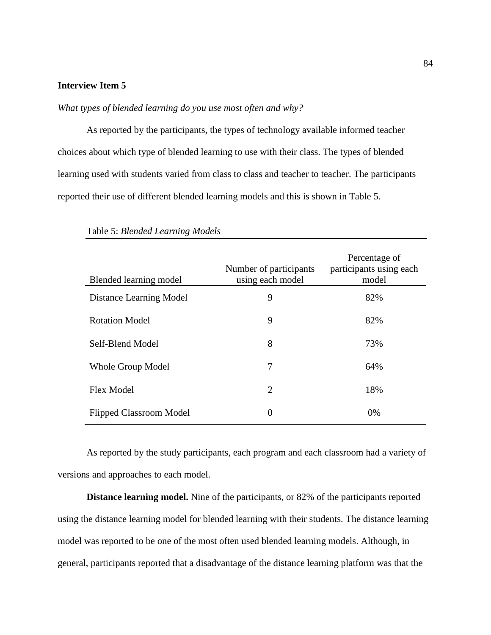# **Interview Item 5**

# *What types of blended learning do you use most often and why?*

As reported by the participants, the types of technology available informed teacher choices about which type of blended learning to use with their class. The types of blended learning used with students varied from class to class and teacher to teacher. The participants reported their use of different blended learning models and this is shown in Table 5.

| Blended learning model         | Number of participants<br>using each model | Percentage of<br>participants using each<br>model |
|--------------------------------|--------------------------------------------|---------------------------------------------------|
| Distance Learning Model        | 9                                          | 82%                                               |
| <b>Rotation Model</b>          | 9                                          | 82%                                               |
| Self-Blend Model               | 8                                          | 73%                                               |
| Whole Group Model              | 7                                          | 64%                                               |
| <b>Flex Model</b>              | $\overline{2}$                             | 18%                                               |
| <b>Flipped Classroom Model</b> | $\overline{0}$                             | $0\%$                                             |

Table 5: *Blended Learning Models*

As reported by the study participants, each program and each classroom had a variety of versions and approaches to each model.

**Distance learning model.** Nine of the participants, or 82% of the participants reported using the distance learning model for blended learning with their students. The distance learning model was reported to be one of the most often used blended learning models. Although, in general, participants reported that a disadvantage of the distance learning platform was that the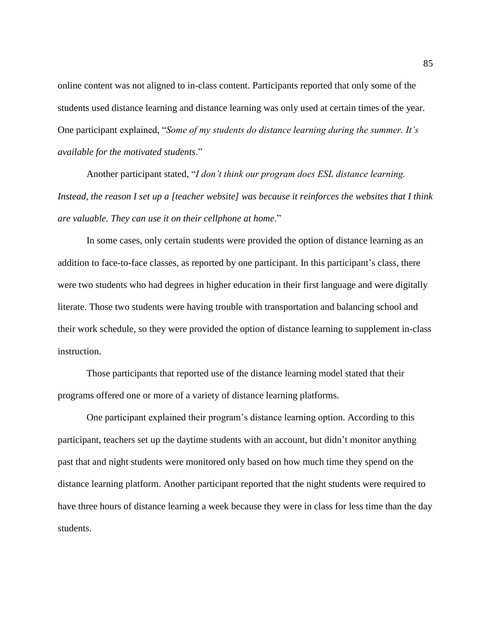online content was not aligned to in-class content. Participants reported that only some of the students used distance learning and distance learning was only used at certain times of the year. One participant explained, "*Some of my students do distance learning during the summer. It's available for the motivated students*."

Another participant stated, "*I don't think our program does ESL distance learning. Instead, the reason I set up a [teacher website] was because it reinforces the websites that I think are valuable. They can use it on their cellphone at home*."

In some cases, only certain students were provided the option of distance learning as an addition to face-to-face classes, as reported by one participant. In this participant's class, there were two students who had degrees in higher education in their first language and were digitally literate. Those two students were having trouble with transportation and balancing school and their work schedule, so they were provided the option of distance learning to supplement in-class instruction.

Those participants that reported use of the distance learning model stated that their programs offered one or more of a variety of distance learning platforms.

One participant explained their program's distance learning option. According to this participant, teachers set up the daytime students with an account, but didn't monitor anything past that and night students were monitored only based on how much time they spend on the distance learning platform. Another participant reported that the night students were required to have three hours of distance learning a week because they were in class for less time than the day students.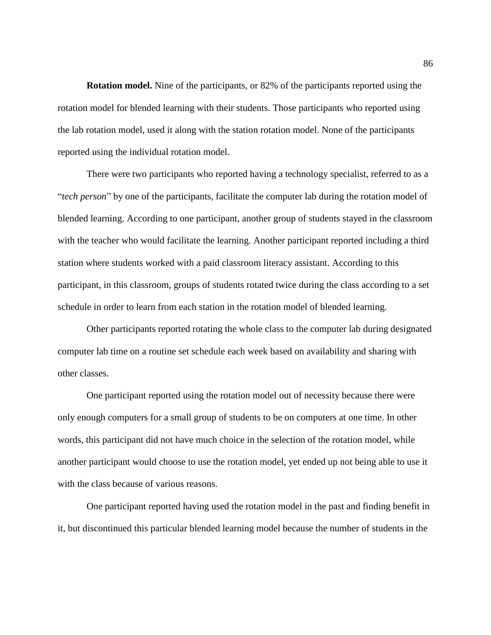**Rotation model.** Nine of the participants, or 82% of the participants reported using the rotation model for blended learning with their students. Those participants who reported using the lab rotation model, used it along with the station rotation model. None of the participants reported using the individual rotation model.

There were two participants who reported having a technology specialist, referred to as a "*tech person*" by one of the participants, facilitate the computer lab during the rotation model of blended learning. According to one participant, another group of students stayed in the classroom with the teacher who would facilitate the learning. Another participant reported including a third station where students worked with a paid classroom literacy assistant. According to this participant, in this classroom, groups of students rotated twice during the class according to a set schedule in order to learn from each station in the rotation model of blended learning.

Other participants reported rotating the whole class to the computer lab during designated computer lab time on a routine set schedule each week based on availability and sharing with other classes.

One participant reported using the rotation model out of necessity because there were only enough computers for a small group of students to be on computers at one time. In other words, this participant did not have much choice in the selection of the rotation model, while another participant would choose to use the rotation model, yet ended up not being able to use it with the class because of various reasons.

One participant reported having used the rotation model in the past and finding benefit in it, but discontinued this particular blended learning model because the number of students in the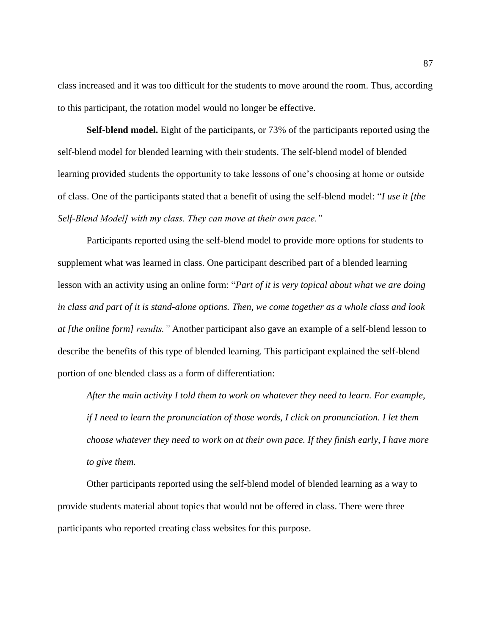class increased and it was too difficult for the students to move around the room. Thus, according to this participant, the rotation model would no longer be effective.

**Self-blend model.** Eight of the participants, or 73% of the participants reported using the self-blend model for blended learning with their students. The self-blend model of blended learning provided students the opportunity to take lessons of one's choosing at home or outside of class. One of the participants stated that a benefit of using the self-blend model: "*I use it [the Self-Blend Model] with my class. They can move at their own pace."*

Participants reported using the self-blend model to provide more options for students to supplement what was learned in class. One participant described part of a blended learning lesson with an activity using an online form: "*Part of it is very topical about what we are doing in class and part of it is stand-alone options. Then, we come together as a whole class and look at [the online form] results."* Another participant also gave an example of a self-blend lesson to describe the benefits of this type of blended learning. This participant explained the self-blend portion of one blended class as a form of differentiation:

*After the main activity I told them to work on whatever they need to learn. For example, if I need to learn the pronunciation of those words, I click on pronunciation. I let them choose whatever they need to work on at their own pace. If they finish early, I have more to give them.*

Other participants reported using the self-blend model of blended learning as a way to provide students material about topics that would not be offered in class. There were three participants who reported creating class websites for this purpose.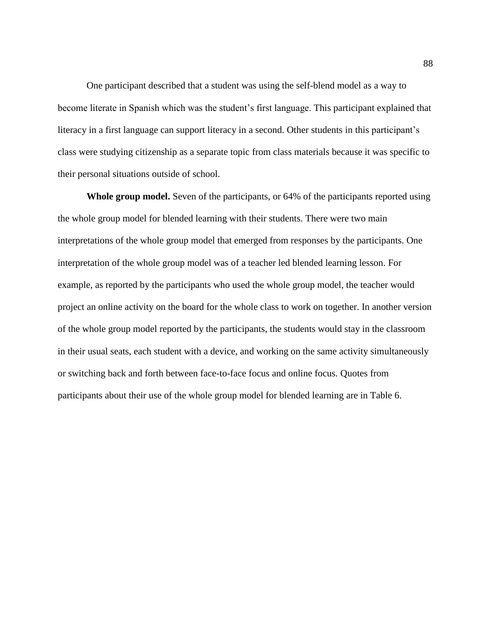One participant described that a student was using the self-blend model as a way to become literate in Spanish which was the student's first language. This participant explained that literacy in a first language can support literacy in a second. Other students in this participant's class were studying citizenship as a separate topic from class materials because it was specific to their personal situations outside of school.

**Whole group model.** Seven of the participants, or 64% of the participants reported using the whole group model for blended learning with their students. There were two main interpretations of the whole group model that emerged from responses by the participants. One interpretation of the whole group model was of a teacher led blended learning lesson. For example, as reported by the participants who used the whole group model, the teacher would project an online activity on the board for the whole class to work on together. In another version of the whole group model reported by the participants, the students would stay in the classroom in their usual seats, each student with a device, and working on the same activity simultaneously or switching back and forth between face-to-face focus and online focus. Quotes from participants about their use of the whole group model for blended learning are in Table 6.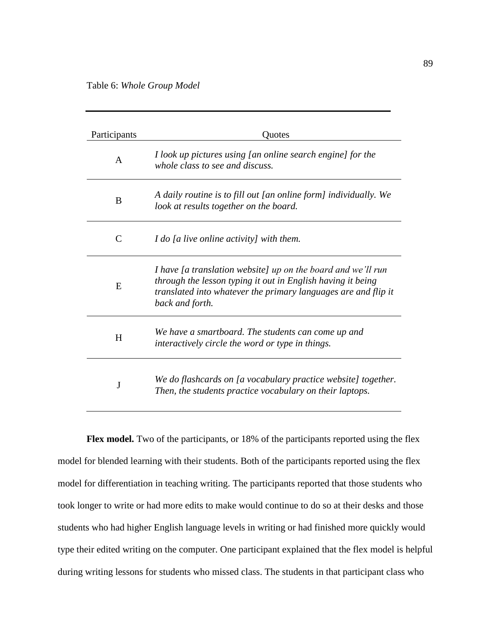| Participants                | Ouotes                                                                                                                                                                                                           |
|-----------------------------|------------------------------------------------------------------------------------------------------------------------------------------------------------------------------------------------------------------|
| $\mathsf{A}$                | I look up pictures using [an online search engine] for the<br>whole class to see and discuss.                                                                                                                    |
| B                           | A daily routine is to fill out [an online form] individually. We<br>look at results together on the board.                                                                                                       |
| $\mathcal{C}_{\mathcal{C}}$ | I do [a live online activity] with them.                                                                                                                                                                         |
| E                           | I have [a translation website] up on the board and we'll run<br>through the lesson typing it out in English having it being<br>translated into whatever the primary languages are and flip it<br>back and forth. |
| H                           | We have a smartboard. The students can come up and<br>interactively circle the word or type in things.                                                                                                           |
| J                           | We do flashcards on [a vocabulary practice website] together.<br>Then, the students practice vocabulary on their laptops.                                                                                        |

Flex model. Two of the participants, or 18% of the participants reported using the flex model for blended learning with their students. Both of the participants reported using the flex model for differentiation in teaching writing. The participants reported that those students who took longer to write or had more edits to make would continue to do so at their desks and those students who had higher English language levels in writing or had finished more quickly would type their edited writing on the computer. One participant explained that the flex model is helpful during writing lessons for students who missed class. The students in that participant class who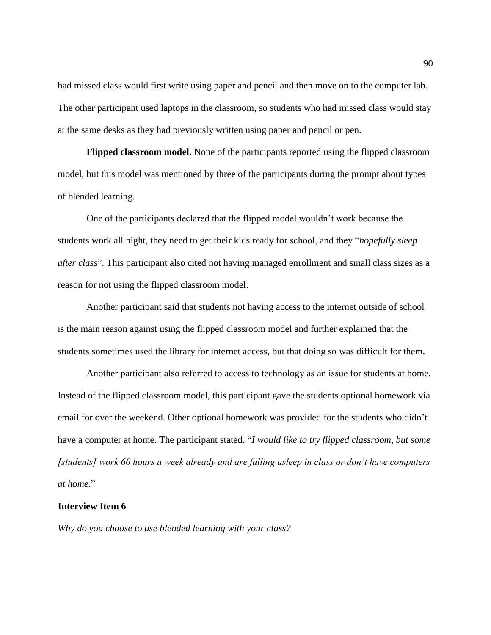had missed class would first write using paper and pencil and then move on to the computer lab. The other participant used laptops in the classroom, so students who had missed class would stay at the same desks as they had previously written using paper and pencil or pen.

**Flipped classroom model.** None of the participants reported using the flipped classroom model, but this model was mentioned by three of the participants during the prompt about types of blended learning.

One of the participants declared that the flipped model wouldn't work because the students work all night, they need to get their kids ready for school, and they "*hopefully sleep after class*". This participant also cited not having managed enrollment and small class sizes as a reason for not using the flipped classroom model.

Another participant said that students not having access to the internet outside of school is the main reason against using the flipped classroom model and further explained that the students sometimes used the library for internet access, but that doing so was difficult for them.

Another participant also referred to access to technology as an issue for students at home. Instead of the flipped classroom model, this participant gave the students optional homework via email for over the weekend. Other optional homework was provided for the students who didn't have a computer at home. The participant stated, "*I would like to try flipped classroom, but some [students] work 60 hours a week already and are falling asleep in class or don't have computers at home*."

### **Interview Item 6**

*Why do you choose to use blended learning with your class?*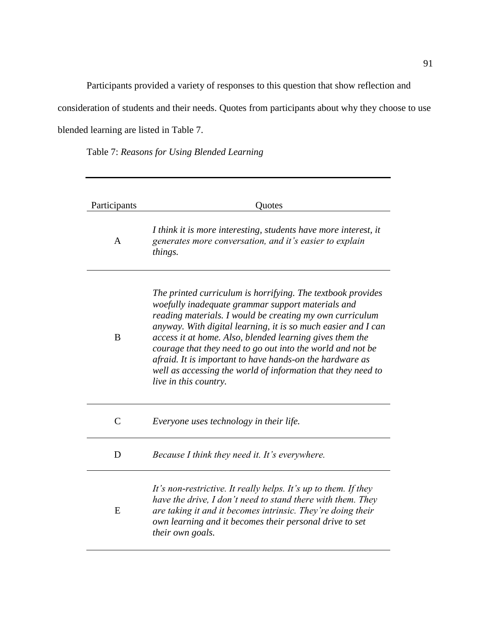Participants provided a variety of responses to this question that show reflection and

consideration of students and their needs. Quotes from participants about why they choose to use

blended learning are listed in Table 7.

Table 7: *Reasons for Using Blended Learning*

| Participants  | Quotes                                                                                                                                                                                                                                                                                                                                                                                                                                                                                                                       |
|---------------|------------------------------------------------------------------------------------------------------------------------------------------------------------------------------------------------------------------------------------------------------------------------------------------------------------------------------------------------------------------------------------------------------------------------------------------------------------------------------------------------------------------------------|
| $\mathsf{A}$  | I think it is more interesting, students have more interest, it<br>generates more conversation, and it's easier to explain<br>things.                                                                                                                                                                                                                                                                                                                                                                                        |
| B             | The printed curriculum is horrifying. The textbook provides<br>woefully inadequate grammar support materials and<br>reading materials. I would be creating my own curriculum<br>anyway. With digital learning, it is so much easier and I can<br>access it at home. Also, blended learning gives them the<br>courage that they need to go out into the world and not be<br>afraid. It is important to have hands-on the hardware as<br>well as accessing the world of information that they need to<br>live in this country. |
| $\mathcal{C}$ | Everyone uses technology in their life.                                                                                                                                                                                                                                                                                                                                                                                                                                                                                      |
| D             | Because I think they need it. It's everywhere.                                                                                                                                                                                                                                                                                                                                                                                                                                                                               |
| E             | It's non-restrictive. It really helps. It's up to them. If they<br>have the drive, I don't need to stand there with them. They<br>are taking it and it becomes intrinsic. They're doing their<br>own learning and it becomes their personal drive to set<br>their own goals.                                                                                                                                                                                                                                                 |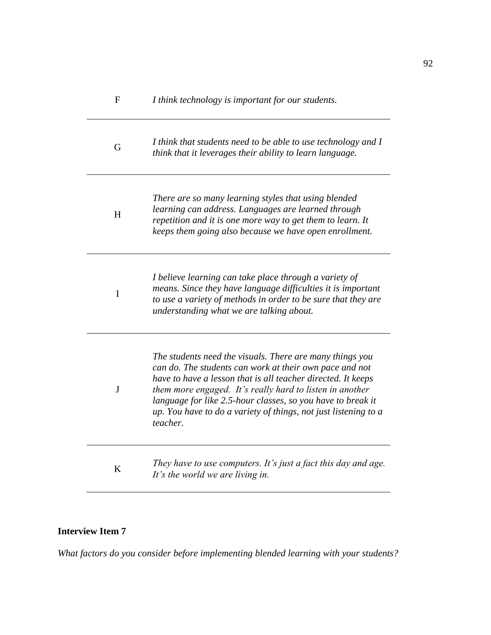| F            | I think technology is important for our students.                                                                                                                                                                                                                                                                                                                                             |
|--------------|-----------------------------------------------------------------------------------------------------------------------------------------------------------------------------------------------------------------------------------------------------------------------------------------------------------------------------------------------------------------------------------------------|
| G            | I think that students need to be able to use technology and I<br>think that it leverages their ability to learn language.                                                                                                                                                                                                                                                                     |
| H            | There are so many learning styles that using blended<br>learning can address. Languages are learned through<br>repetition and it is one more way to get them to learn. It<br>keeps them going also because we have open enrollment.                                                                                                                                                           |
| $\mathbf I$  | I believe learning can take place through a variety of<br>means. Since they have language difficulties it is important<br>to use a variety of methods in order to be sure that they are<br>understanding what we are talking about.                                                                                                                                                           |
| $\mathbf{J}$ | The students need the visuals. There are many things you<br>can do. The students can work at their own pace and not<br>have to have a lesson that is all teacher directed. It keeps<br>them more engaged. It's really hard to listen in another<br>language for like 2.5-hour classes, so you have to break it<br>up. You have to do a variety of things, not just listening to a<br>teacher. |
| K            | They have to use computers. It's just a fact this day and age.<br>It's the world we are living in.                                                                                                                                                                                                                                                                                            |

# **Interview Item 7**

*What factors do you consider before implementing blended learning with your students?*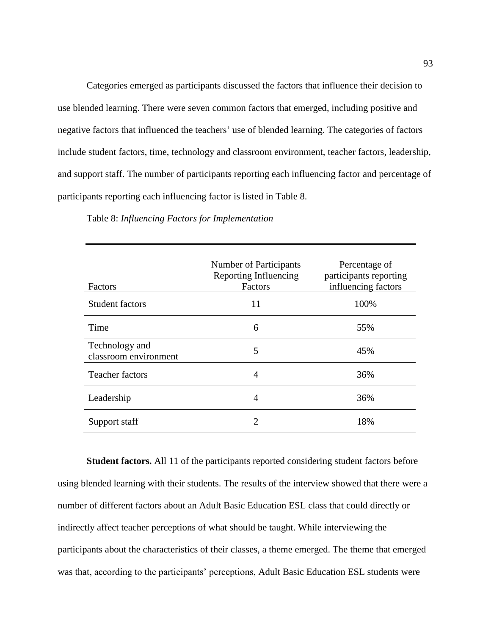Categories emerged as participants discussed the factors that influence their decision to use blended learning. There were seven common factors that emerged, including positive and negative factors that influenced the teachers' use of blended learning. The categories of factors include student factors, time, technology and classroom environment, teacher factors, leadership, and support staff. The number of participants reporting each influencing factor and percentage of participants reporting each influencing factor is listed in Table 8.

| Factors                                 | Number of Participants<br>Reporting Influencing<br>Factors | Percentage of<br>participants reporting<br>influencing factors |
|-----------------------------------------|------------------------------------------------------------|----------------------------------------------------------------|
| <b>Student factors</b>                  | 11                                                         | 100%                                                           |
| Time                                    | 6                                                          | 55%                                                            |
| Technology and<br>classroom environment | 5                                                          | 45%                                                            |
| <b>Teacher factors</b>                  | 4                                                          | 36%                                                            |
| Leadership                              | 4                                                          | 36%                                                            |
| Support staff                           |                                                            | 18%                                                            |

Table 8: *Influencing Factors for Implementation*

**Student factors.** All 11 of the participants reported considering student factors before using blended learning with their students. The results of the interview showed that there were a number of different factors about an Adult Basic Education ESL class that could directly or indirectly affect teacher perceptions of what should be taught. While interviewing the participants about the characteristics of their classes, a theme emerged. The theme that emerged was that, according to the participants' perceptions, Adult Basic Education ESL students were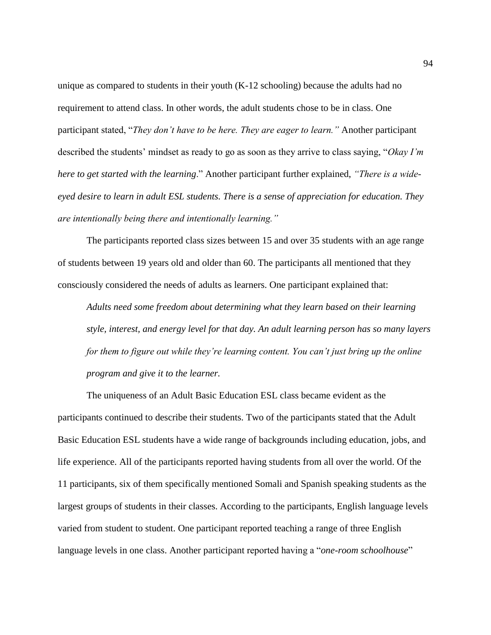unique as compared to students in their youth (K-12 schooling) because the adults had no requirement to attend class. In other words, the adult students chose to be in class. One participant stated, "*They don't have to be here. They are eager to learn."* Another participant described the students' mindset as ready to go as soon as they arrive to class saying, "*Okay I'm here to get started with the learning*." Another participant further explained, *"There is a wideeyed desire to learn in adult ESL students. There is a sense of appreciation for education. They are intentionally being there and intentionally learning."*

The participants reported class sizes between 15 and over 35 students with an age range of students between 19 years old and older than 60. The participants all mentioned that they consciously considered the needs of adults as learners. One participant explained that:

*Adults need some freedom about determining what they learn based on their learning style, interest, and energy level for that day. An adult learning person has so many layers for them to figure out while they're learning content. You can't just bring up the online program and give it to the learner.* 

The uniqueness of an Adult Basic Education ESL class became evident as the participants continued to describe their students. Two of the participants stated that the Adult Basic Education ESL students have a wide range of backgrounds including education, jobs, and life experience. All of the participants reported having students from all over the world. Of the 11 participants, six of them specifically mentioned Somali and Spanish speaking students as the largest groups of students in their classes. According to the participants, English language levels varied from student to student. One participant reported teaching a range of three English language levels in one class. Another participant reported having a "*one-room schoolhouse*"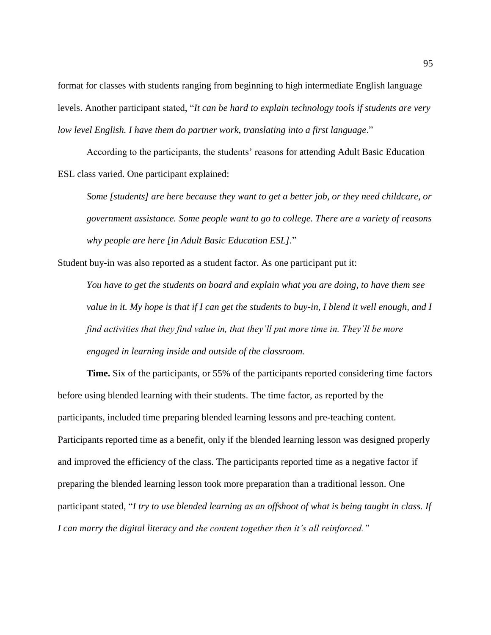format for classes with students ranging from beginning to high intermediate English language levels. Another participant stated, "*It can be hard to explain technology tools if students are very low level English. I have them do partner work, translating into a first language*."

According to the participants, the students' reasons for attending Adult Basic Education ESL class varied. One participant explained:

*Some [students] are here because they want to get a better job, or they need childcare, or government assistance. Some people want to go to college. There are a variety of reasons why people are here [in Adult Basic Education ESL].*"

Student buy-in was also reported as a student factor. As one participant put it:

*You have to get the students on board and explain what you are doing, to have them see value in it. My hope is that if I can get the students to buy-in, I blend it well enough, and I find activities that they find value in, that they'll put more time in. They'll be more engaged in learning inside and outside of the classroom.* 

**Time.** Six of the participants, or 55% of the participants reported considering time factors before using blended learning with their students. The time factor, as reported by the participants, included time preparing blended learning lessons and pre-teaching content. Participants reported time as a benefit, only if the blended learning lesson was designed properly and improved the efficiency of the class. The participants reported time as a negative factor if preparing the blended learning lesson took more preparation than a traditional lesson. One participant stated, "*I try to use blended learning as an offshoot of what is being taught in class. If I can marry the digital literacy and the content together then it's all reinforced."*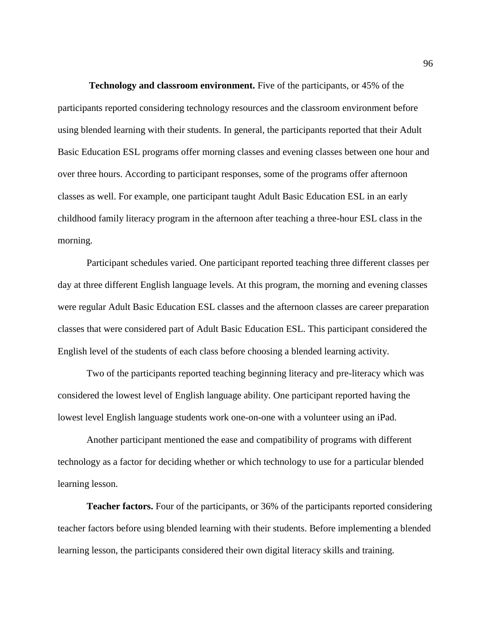**Technology and classroom environment.** Five of the participants, or 45% of the participants reported considering technology resources and the classroom environment before using blended learning with their students. In general, the participants reported that their Adult Basic Education ESL programs offer morning classes and evening classes between one hour and over three hours. According to participant responses, some of the programs offer afternoon classes as well. For example, one participant taught Adult Basic Education ESL in an early childhood family literacy program in the afternoon after teaching a three-hour ESL class in the morning.

Participant schedules varied. One participant reported teaching three different classes per day at three different English language levels. At this program, the morning and evening classes were regular Adult Basic Education ESL classes and the afternoon classes are career preparation classes that were considered part of Adult Basic Education ESL. This participant considered the English level of the students of each class before choosing a blended learning activity.

Two of the participants reported teaching beginning literacy and pre-literacy which was considered the lowest level of English language ability. One participant reported having the lowest level English language students work one-on-one with a volunteer using an iPad.

Another participant mentioned the ease and compatibility of programs with different technology as a factor for deciding whether or which technology to use for a particular blended learning lesson.

**Teacher factors.** Four of the participants, or 36% of the participants reported considering teacher factors before using blended learning with their students. Before implementing a blended learning lesson, the participants considered their own digital literacy skills and training.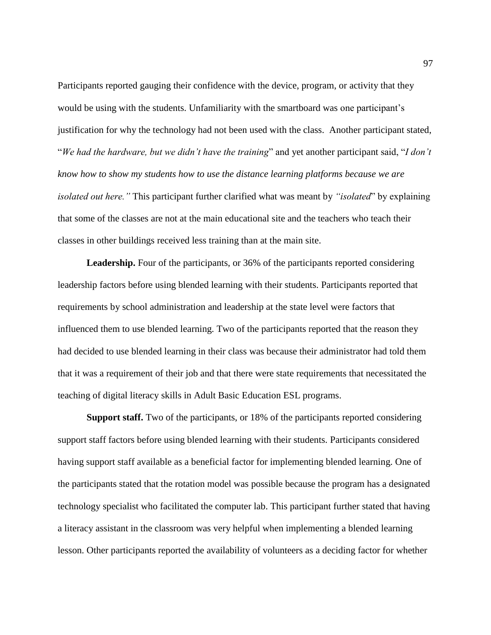Participants reported gauging their confidence with the device, program, or activity that they would be using with the students. Unfamiliarity with the smartboard was one participant's justification for why the technology had not been used with the class. Another participant stated, "*We had the hardware, but we didn't have the training*" and yet another participant said, "*I don't know how to show my students how to use the distance learning platforms because we are isolated out here."* This participant further clarified what was meant by *"isolated*" by explaining that some of the classes are not at the main educational site and the teachers who teach their classes in other buildings received less training than at the main site.

Leadership. Four of the participants, or 36% of the participants reported considering leadership factors before using blended learning with their students. Participants reported that requirements by school administration and leadership at the state level were factors that influenced them to use blended learning. Two of the participants reported that the reason they had decided to use blended learning in their class was because their administrator had told them that it was a requirement of their job and that there were state requirements that necessitated the teaching of digital literacy skills in Adult Basic Education ESL programs.

**Support staff.** Two of the participants, or 18% of the participants reported considering support staff factors before using blended learning with their students. Participants considered having support staff available as a beneficial factor for implementing blended learning. One of the participants stated that the rotation model was possible because the program has a designated technology specialist who facilitated the computer lab. This participant further stated that having a literacy assistant in the classroom was very helpful when implementing a blended learning lesson. Other participants reported the availability of volunteers as a deciding factor for whether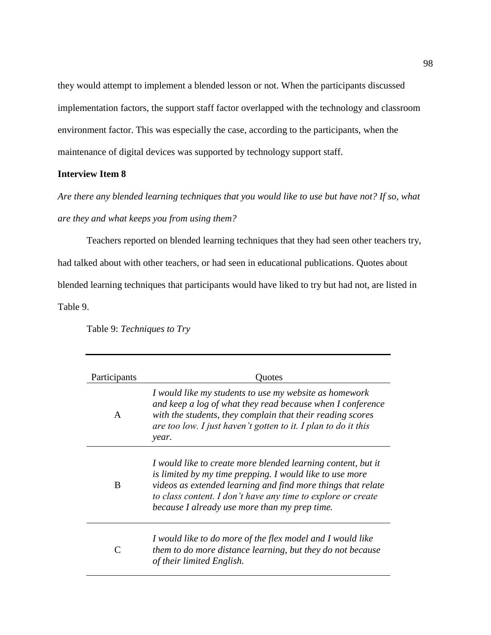they would attempt to implement a blended lesson or not. When the participants discussed implementation factors, the support staff factor overlapped with the technology and classroom environment factor. This was especially the case, according to the participants, when the maintenance of digital devices was supported by technology support staff.

# **Interview Item 8**

*Are there any blended learning techniques that you would like to use but have not? If so, what are they and what keeps you from using them?* 

Teachers reported on blended learning techniques that they had seen other teachers try, had talked about with other teachers, or had seen in educational publications. Quotes about blended learning techniques that participants would have liked to try but had not, are listed in Table 9.

Table 9: *Techniques to Try*

| Participants | Ouotes                                                                                                                                                                                                                                                                                                    |
|--------------|-----------------------------------------------------------------------------------------------------------------------------------------------------------------------------------------------------------------------------------------------------------------------------------------------------------|
| A            | I would like my students to use my website as homework<br>and keep a log of what they read because when I conference<br>with the students, they complain that their reading scores<br>are too low. I just haven't gotten to it. I plan to do it this<br>year.                                             |
| B            | I would like to create more blended learning content, but it<br>is limited by my time prepping. I would like to use more<br>videos as extended learning and find more things that relate<br>to class content. I don't have any time to explore or create<br>because I already use more than my prep time. |
|              | I would like to do more of the flex model and I would like<br>them to do more distance learning, but they do not because<br>of their limited English.                                                                                                                                                     |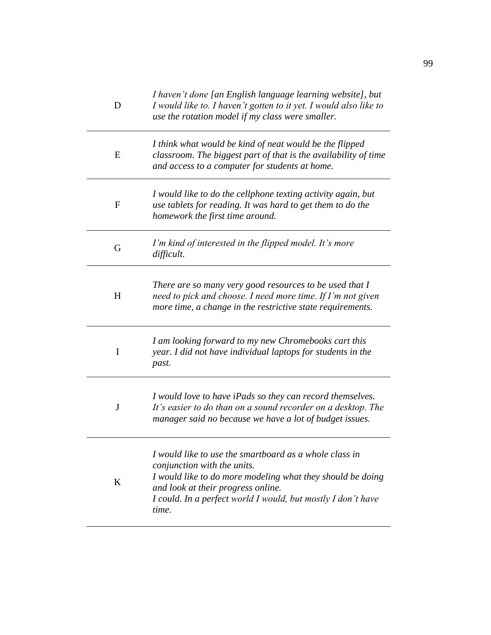| D              | I haven't done [an English language learning website], but<br>I would like to. I haven't gotten to it yet. I would also like to<br>use the rotation model if my class were smaller.                                                                                |
|----------------|--------------------------------------------------------------------------------------------------------------------------------------------------------------------------------------------------------------------------------------------------------------------|
| E              | I think what would be kind of neat would be the flipped<br>classroom. The biggest part of that is the availability of time<br>and access to a computer for students at home.                                                                                       |
| $\overline{F}$ | I would like to do the cellphone texting activity again, but<br>use tablets for reading. It was hard to get them to do the<br>homework the first time around.                                                                                                      |
| G              | I'm kind of interested in the flipped model. It's more<br>difficult.                                                                                                                                                                                               |
| H              | There are so many very good resources to be used that I<br>need to pick and choose. I need more time. If I'm not given<br>more time, a change in the restrictive state requirements.                                                                               |
| I              | I am looking forward to my new Chromebooks cart this<br>year. I did not have individual laptops for students in the<br>past.                                                                                                                                       |
| $\bf J$        | I would love to have iPads so they can record themselves.<br>It's easier to do than on a sound recorder on a desktop. The<br>manager said no because we have a lot of budget issues.                                                                               |
| K              | I would like to use the smartboard as a whole class in<br>conjunction with the units.<br>I would like to do more modeling what they should be doing<br>and look at their progress online.<br>I could. In a perfect world I would, but mostly I don't have<br>time. |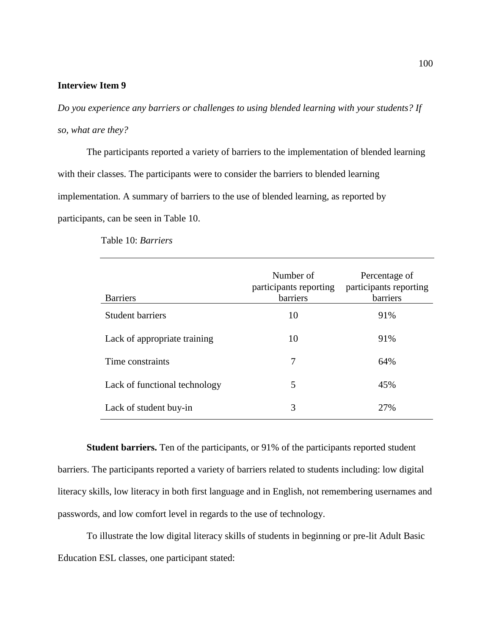# **Interview Item 9**

*Do you experience any barriers or challenges to using blended learning with your students? If so, what are they?* 

The participants reported a variety of barriers to the implementation of blended learning with their classes. The participants were to consider the barriers to blended learning implementation. A summary of barriers to the use of blended learning, as reported by participants, can be seen in Table 10.

| <b>Barriers</b>               | Number of<br>participants reporting<br>barriers | Percentage of<br>participants reporting<br>barriers |
|-------------------------------|-------------------------------------------------|-----------------------------------------------------|
| <b>Student barriers</b>       | 10                                              | 91%                                                 |
| Lack of appropriate training  | 10                                              | 91%                                                 |
| Time constraints              | 7                                               | 64%                                                 |
| Lack of functional technology | 5                                               | 45%                                                 |
| Lack of student buy-in        | 3                                               | 27%                                                 |

Table 10: *Barriers*

**Student barriers.** Ten of the participants, or 91% of the participants reported student barriers. The participants reported a variety of barriers related to students including: low digital literacy skills, low literacy in both first language and in English, not remembering usernames and passwords, and low comfort level in regards to the use of technology.

To illustrate the low digital literacy skills of students in beginning or pre-lit Adult Basic Education ESL classes, one participant stated: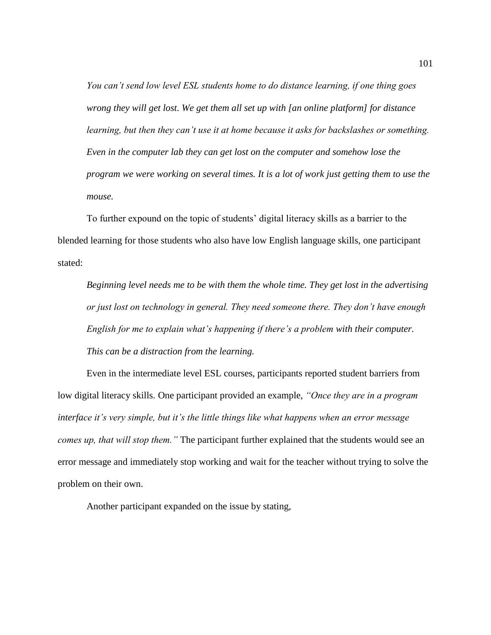*You can't send low level ESL students home to do distance learning, if one thing goes wrong they will get lost. We get them all set up with [an online platform] for distance learning, but then they can't use it at home because it asks for backslashes or something. Even in the computer lab they can get lost on the computer and somehow lose the program we were working on several times. It is a lot of work just getting them to use the mouse.* 

To further expound on the topic of students' digital literacy skills as a barrier to the blended learning for those students who also have low English language skills, one participant stated:

*Beginning level needs me to be with them the whole time. They get lost in the advertising or just lost on technology in general. They need someone there. They don't have enough English for me to explain what's happening if there's a problem with their computer. This can be a distraction from the learning.* 

Even in the intermediate level ESL courses, participants reported student barriers from low digital literacy skills. One participant provided an example, *"Once they are in a program interface it's very simple, but it's the little things like what happens when an error message comes up, that will stop them."* The participant further explained that the students would see an error message and immediately stop working and wait for the teacher without trying to solve the problem on their own.

Another participant expanded on the issue by stating,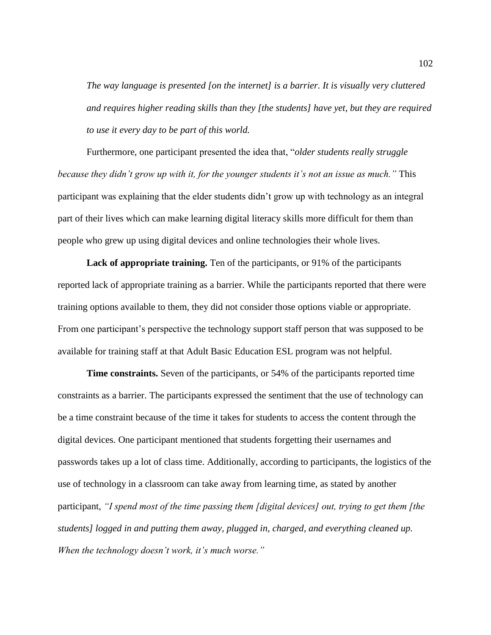*The way language is presented [on the internet] is a barrier. It is visually very cluttered and requires higher reading skills than they [the students] have yet, but they are required to use it every day to be part of this world.*

Furthermore, one participant presented the idea that, "*older students really struggle because they didn't grow up with it, for the younger students it's not an issue as much."* This participant was explaining that the elder students didn't grow up with technology as an integral part of their lives which can make learning digital literacy skills more difficult for them than people who grew up using digital devices and online technologies their whole lives.

**Lack of appropriate training.** Ten of the participants, or 91% of the participants reported lack of appropriate training as a barrier. While the participants reported that there were training options available to them, they did not consider those options viable or appropriate. From one participant's perspective the technology support staff person that was supposed to be available for training staff at that Adult Basic Education ESL program was not helpful.

**Time constraints.** Seven of the participants, or 54% of the participants reported time constraints as a barrier. The participants expressed the sentiment that the use of technology can be a time constraint because of the time it takes for students to access the content through the digital devices. One participant mentioned that students forgetting their usernames and passwords takes up a lot of class time. Additionally, according to participants, the logistics of the use of technology in a classroom can take away from learning time, as stated by another participant, *"I spend most of the time passing them [digital devices] out, trying to get them [the students] logged in and putting them away, plugged in, charged, and everything cleaned up. When the technology doesn't work, it's much worse."*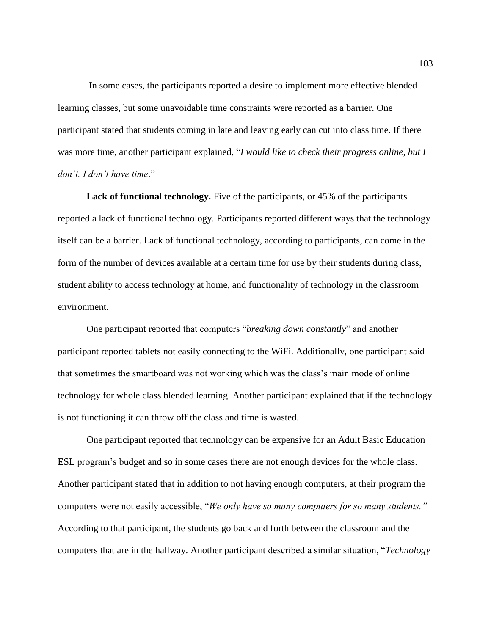In some cases, the participants reported a desire to implement more effective blended learning classes, but some unavoidable time constraints were reported as a barrier. One participant stated that students coming in late and leaving early can cut into class time. If there was more time, another participant explained, "*I would like to check their progress online, but I don't. I don't have time*."

**Lack of functional technology.** Five of the participants, or 45% of the participants reported a lack of functional technology. Participants reported different ways that the technology itself can be a barrier. Lack of functional technology, according to participants, can come in the form of the number of devices available at a certain time for use by their students during class, student ability to access technology at home, and functionality of technology in the classroom environment.

One participant reported that computers "*breaking down constantly*" and another participant reported tablets not easily connecting to the WiFi. Additionally, one participant said that sometimes the smartboard was not working which was the class's main mode of online technology for whole class blended learning. Another participant explained that if the technology is not functioning it can throw off the class and time is wasted.

One participant reported that technology can be expensive for an Adult Basic Education ESL program's budget and so in some cases there are not enough devices for the whole class. Another participant stated that in addition to not having enough computers, at their program the computers were not easily accessible, "*We only have so many computers for so many students."*  According to that participant, the students go back and forth between the classroom and the computers that are in the hallway. Another participant described a similar situation, "*Technology*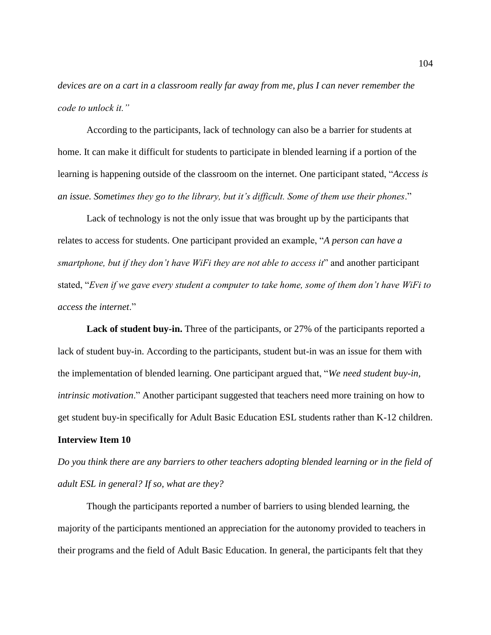*devices are on a cart in a classroom really far away from me, plus I can never remember the code to unlock it."*

According to the participants, lack of technology can also be a barrier for students at home. It can make it difficult for students to participate in blended learning if a portion of the learning is happening outside of the classroom on the internet. One participant stated, "*Access is an issue. Sometimes they go to the library, but it's difficult. Some of them use their phones*."

Lack of technology is not the only issue that was brought up by the participants that relates to access for students. One participant provided an example, "*A person can have a smartphone, but if they don't have WiFi they are not able to access it*" and another participant stated, "*Even if we gave every student a computer to take home, some of them don't have WiFi to access the internet*."

Lack of student buy-in. Three of the participants, or 27% of the participants reported a lack of student buy-in. According to the participants, student but-in was an issue for them with the implementation of blended learning. One participant argued that, "*We need student buy-in, intrinsic motivation*." Another participant suggested that teachers need more training on how to get student buy-in specifically for Adult Basic Education ESL students rather than K-12 children.

# **Interview Item 10**

*Do you think there are any barriers to other teachers adopting blended learning or in the field of adult ESL in general? If so, what are they?*

Though the participants reported a number of barriers to using blended learning, the majority of the participants mentioned an appreciation for the autonomy provided to teachers in their programs and the field of Adult Basic Education. In general, the participants felt that they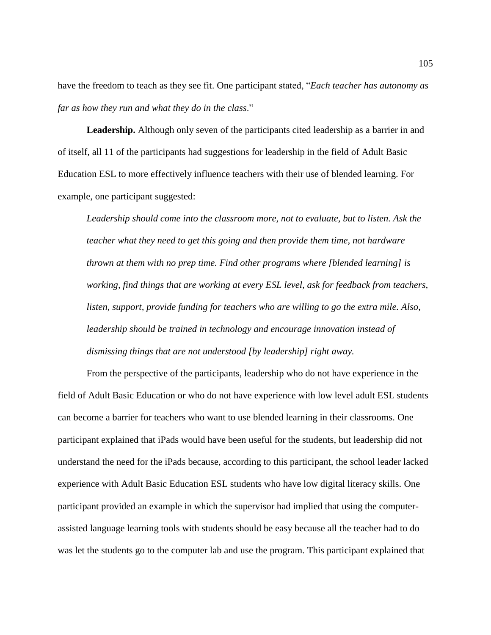have the freedom to teach as they see fit. One participant stated, "*Each teacher has autonomy as far as how they run and what they do in the class*."

**Leadership.** Although only seven of the participants cited leadership as a barrier in and of itself, all 11 of the participants had suggestions for leadership in the field of Adult Basic Education ESL to more effectively influence teachers with their use of blended learning. For example, one participant suggested:

*Leadership should come into the classroom more, not to evaluate, but to listen. Ask the teacher what they need to get this going and then provide them time, not hardware thrown at them with no prep time. Find other programs where [blended learning] is working, find things that are working at every ESL level, ask for feedback from teachers, listen, support, provide funding for teachers who are willing to go the extra mile. Also, leadership should be trained in technology and encourage innovation instead of dismissing things that are not understood [by leadership] right away.* 

From the perspective of the participants, leadership who do not have experience in the field of Adult Basic Education or who do not have experience with low level adult ESL students can become a barrier for teachers who want to use blended learning in their classrooms. One participant explained that iPads would have been useful for the students, but leadership did not understand the need for the iPads because, according to this participant, the school leader lacked experience with Adult Basic Education ESL students who have low digital literacy skills. One participant provided an example in which the supervisor had implied that using the computerassisted language learning tools with students should be easy because all the teacher had to do was let the students go to the computer lab and use the program. This participant explained that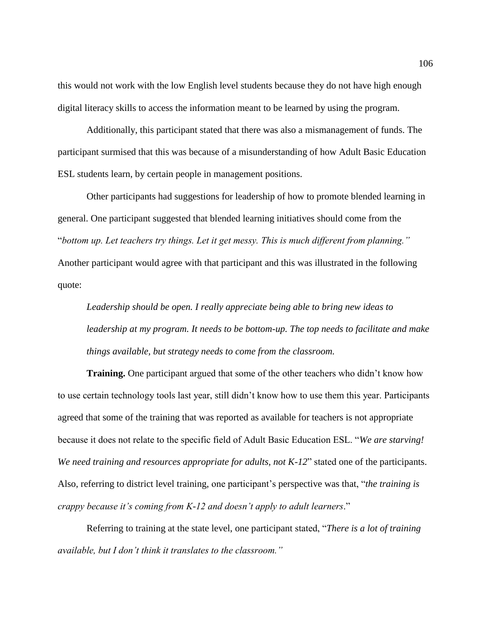this would not work with the low English level students because they do not have high enough digital literacy skills to access the information meant to be learned by using the program.

Additionally, this participant stated that there was also a mismanagement of funds. The participant surmised that this was because of a misunderstanding of how Adult Basic Education ESL students learn, by certain people in management positions.

Other participants had suggestions for leadership of how to promote blended learning in general. One participant suggested that blended learning initiatives should come from the "*bottom up. Let teachers try things. Let it get messy. This is much different from planning."* Another participant would agree with that participant and this was illustrated in the following quote:

*Leadership should be open. I really appreciate being able to bring new ideas to leadership at my program. It needs to be bottom-up. The top needs to facilitate and make things available, but strategy needs to come from the classroom.*

**Training.** One participant argued that some of the other teachers who didn't know how to use certain technology tools last year, still didn't know how to use them this year. Participants agreed that some of the training that was reported as available for teachers is not appropriate because it does not relate to the specific field of Adult Basic Education ESL. "*We are starving! We need training and resources appropriate for adults, not K-12*" stated one of the participants. Also, referring to district level training, one participant's perspective was that, "*the training is crappy because it's coming from K-12 and doesn't apply to adult learners*."

Referring to training at the state level, one participant stated, "*There is a lot of training available, but I don't think it translates to the classroom."*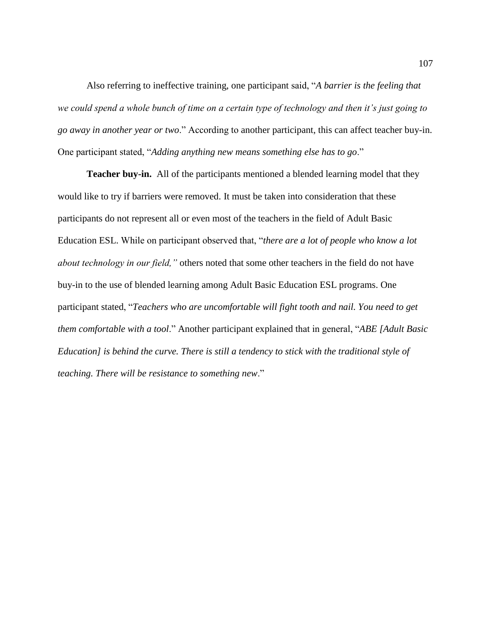Also referring to ineffective training, one participant said, "*A barrier is the feeling that we could spend a whole bunch of time on a certain type of technology and then it's just going to go away in another year or two*." According to another participant, this can affect teacher buy-in. One participant stated, "*Adding anything new means something else has to go*."

**Teacher buy-in.** All of the participants mentioned a blended learning model that they would like to try if barriers were removed. It must be taken into consideration that these participants do not represent all or even most of the teachers in the field of Adult Basic Education ESL. While on participant observed that, "*there are a lot of people who know a lot about technology in our field,"* others noted that some other teachers in the field do not have buy-in to the use of blended learning among Adult Basic Education ESL programs. One participant stated, "*Teachers who are uncomfortable will fight tooth and nail. You need to get them comfortable with a tool*." Another participant explained that in general, "*ABE [Adult Basic Education] is behind the curve. There is still a tendency to stick with the traditional style of teaching. There will be resistance to something new*."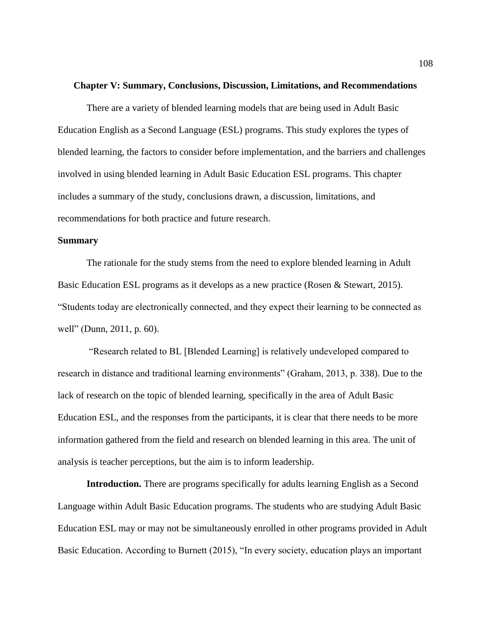#### **Chapter V: Summary, Conclusions, Discussion, Limitations, and Recommendations**

There are a variety of blended learning models that are being used in Adult Basic Education English as a Second Language (ESL) programs. This study explores the types of blended learning, the factors to consider before implementation, and the barriers and challenges involved in using blended learning in Adult Basic Education ESL programs. This chapter includes a summary of the study, conclusions drawn, a discussion, limitations, and recommendations for both practice and future research.

# **Summary**

The rationale for the study stems from the need to explore blended learning in Adult Basic Education ESL programs as it develops as a new practice (Rosen & Stewart, 2015). "Students today are electronically connected, and they expect their learning to be connected as well" (Dunn, 2011, p. 60).

"Research related to BL [Blended Learning] is relatively undeveloped compared to research in distance and traditional learning environments" (Graham, 2013, p. 338). Due to the lack of research on the topic of blended learning, specifically in the area of Adult Basic Education ESL, and the responses from the participants, it is clear that there needs to be more information gathered from the field and research on blended learning in this area. The unit of analysis is teacher perceptions, but the aim is to inform leadership.

**Introduction.** There are programs specifically for adults learning English as a Second Language within Adult Basic Education programs. The students who are studying Adult Basic Education ESL may or may not be simultaneously enrolled in other programs provided in Adult Basic Education. According to Burnett (2015), "In every society, education plays an important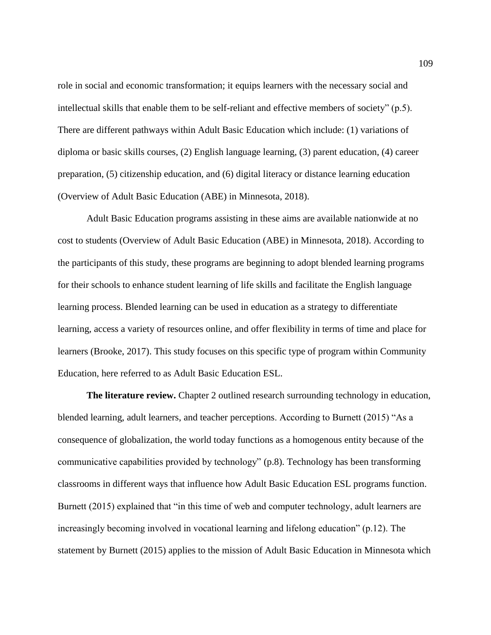role in social and economic transformation; it equips learners with the necessary social and intellectual skills that enable them to be self-reliant and effective members of society" (p.5). There are different pathways within Adult Basic Education which include: (1) variations of diploma or basic skills courses, (2) English language learning, (3) parent education, (4) career preparation, (5) citizenship education, and (6) digital literacy or distance learning education (Overview of Adult Basic Education (ABE) in Minnesota, 2018).

Adult Basic Education programs assisting in these aims are available nationwide at no cost to students (Overview of Adult Basic Education (ABE) in Minnesota, 2018). According to the participants of this study, these programs are beginning to adopt blended learning programs for their schools to enhance student learning of life skills and facilitate the English language learning process. Blended learning can be used in education as a strategy to differentiate learning, access a variety of resources online, and offer flexibility in terms of time and place for learners (Brooke, 2017). This study focuses on this specific type of program within Community Education, here referred to as Adult Basic Education ESL.

**The literature review.** Chapter 2 outlined research surrounding technology in education, blended learning, adult learners, and teacher perceptions. According to Burnett (2015) "As a consequence of globalization, the world today functions as a homogenous entity because of the communicative capabilities provided by technology" (p.8). Technology has been transforming classrooms in different ways that influence how Adult Basic Education ESL programs function. Burnett (2015) explained that "in this time of web and computer technology, adult learners are increasingly becoming involved in vocational learning and lifelong education" (p.12). The statement by Burnett (2015) applies to the mission of Adult Basic Education in Minnesota which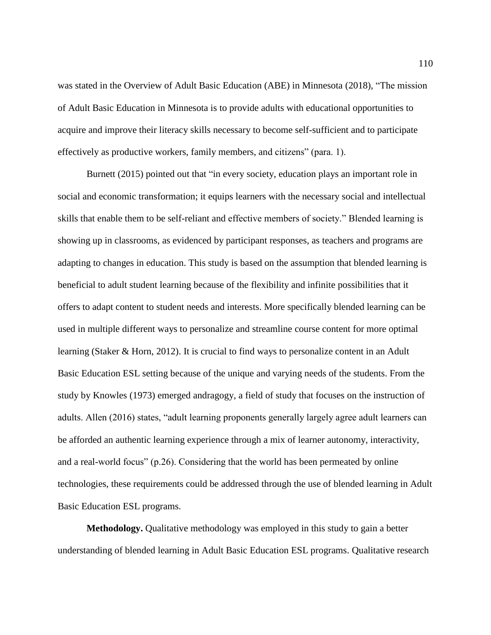was stated in the Overview of Adult Basic Education (ABE) in Minnesota (2018), "The mission of Adult Basic Education in Minnesota is to provide adults with educational opportunities to acquire and improve their literacy skills necessary to become self-sufficient and to participate effectively as productive workers, family members, and citizens" (para. 1).

Burnett (2015) pointed out that "in every society, education plays an important role in social and economic transformation; it equips learners with the necessary social and intellectual skills that enable them to be self-reliant and effective members of society." Blended learning is showing up in classrooms, as evidenced by participant responses, as teachers and programs are adapting to changes in education. This study is based on the assumption that blended learning is beneficial to adult student learning because of the flexibility and infinite possibilities that it offers to adapt content to student needs and interests. More specifically blended learning can be used in multiple different ways to personalize and streamline course content for more optimal learning (Staker & Horn, 2012). It is crucial to find ways to personalize content in an Adult Basic Education ESL setting because of the unique and varying needs of the students. From the study by Knowles (1973) emerged andragogy, a field of study that focuses on the instruction of adults. Allen (2016) states, "adult learning proponents generally largely agree adult learners can be afforded an authentic learning experience through a mix of learner autonomy, interactivity, and a real-world focus" (p.26). Considering that the world has been permeated by online technologies, these requirements could be addressed through the use of blended learning in Adult Basic Education ESL programs.

**Methodology.** Qualitative methodology was employed in this study to gain a better understanding of blended learning in Adult Basic Education ESL programs. Qualitative research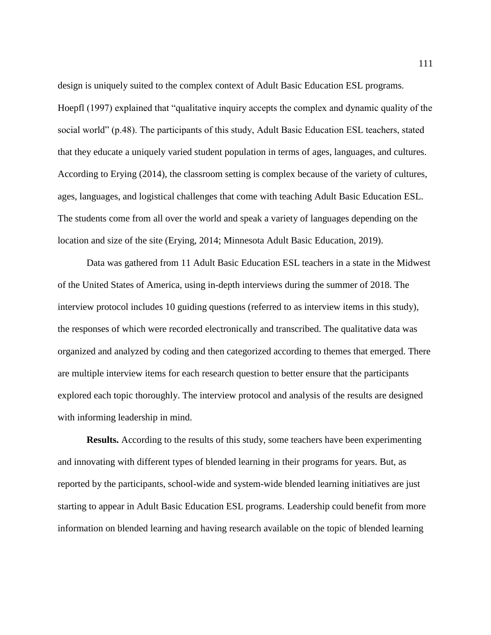design is uniquely suited to the complex context of Adult Basic Education ESL programs. Hoepfl (1997) explained that "qualitative inquiry accepts the complex and dynamic quality of the social world" (p.48). The participants of this study, Adult Basic Education ESL teachers, stated that they educate a uniquely varied student population in terms of ages, languages, and cultures. According to Erying (2014), the classroom setting is complex because of the variety of cultures, ages, languages, and logistical challenges that come with teaching Adult Basic Education ESL. The students come from all over the world and speak a variety of languages depending on the location and size of the site (Erying, 2014; Minnesota Adult Basic Education, 2019).

Data was gathered from 11 Adult Basic Education ESL teachers in a state in the Midwest of the United States of America, using in-depth interviews during the summer of 2018. The interview protocol includes 10 guiding questions (referred to as interview items in this study), the responses of which were recorded electronically and transcribed. The qualitative data was organized and analyzed by coding and then categorized according to themes that emerged. There are multiple interview items for each research question to better ensure that the participants explored each topic thoroughly. The interview protocol and analysis of the results are designed with informing leadership in mind.

**Results.** According to the results of this study, some teachers have been experimenting and innovating with different types of blended learning in their programs for years. But, as reported by the participants, school-wide and system-wide blended learning initiatives are just starting to appear in Adult Basic Education ESL programs. Leadership could benefit from more information on blended learning and having research available on the topic of blended learning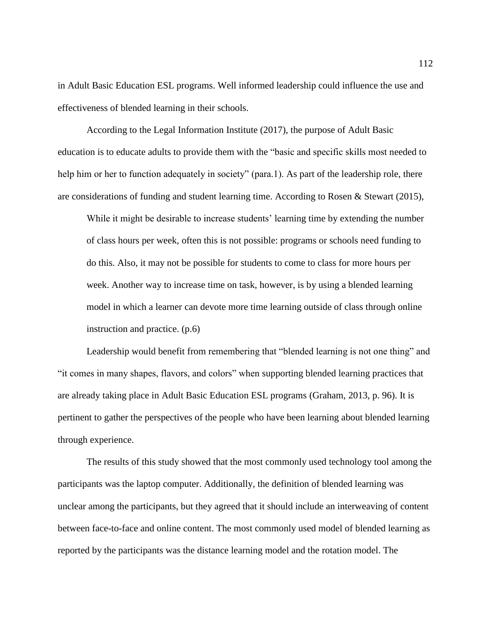in Adult Basic Education ESL programs. Well informed leadership could influence the use and effectiveness of blended learning in their schools.

According to the Legal Information Institute (2017), the purpose of Adult Basic education is to educate adults to provide them with the "basic and specific skills most needed to help him or her to function adequately in society" (para.1). As part of the leadership role, there are considerations of funding and student learning time. According to Rosen & Stewart (2015),

While it might be desirable to increase students' learning time by extending the number of class hours per week, often this is not possible: programs or schools need funding to do this. Also, it may not be possible for students to come to class for more hours per week. Another way to increase time on task, however, is by using a blended learning model in which a learner can devote more time learning outside of class through online instruction and practice. (p.6)

Leadership would benefit from remembering that "blended learning is not one thing" and "it comes in many shapes, flavors, and colors" when supporting blended learning practices that are already taking place in Adult Basic Education ESL programs (Graham, 2013, p. 96). It is pertinent to gather the perspectives of the people who have been learning about blended learning through experience.

The results of this study showed that the most commonly used technology tool among the participants was the laptop computer. Additionally, the definition of blended learning was unclear among the participants, but they agreed that it should include an interweaving of content between face-to-face and online content. The most commonly used model of blended learning as reported by the participants was the distance learning model and the rotation model. The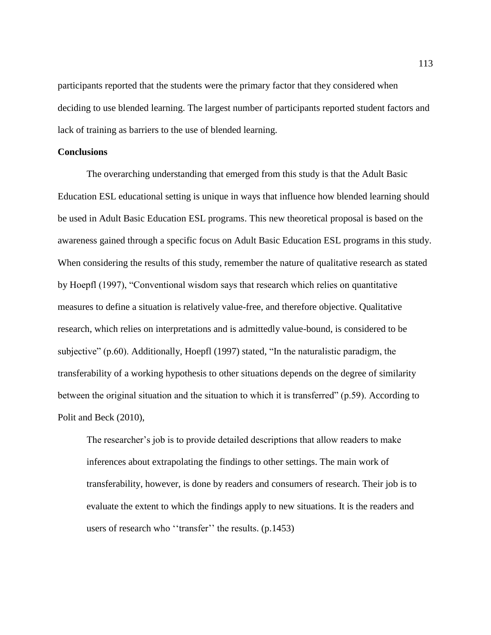participants reported that the students were the primary factor that they considered when deciding to use blended learning. The largest number of participants reported student factors and lack of training as barriers to the use of blended learning.

## **Conclusions**

The overarching understanding that emerged from this study is that the Adult Basic Education ESL educational setting is unique in ways that influence how blended learning should be used in Adult Basic Education ESL programs. This new theoretical proposal is based on the awareness gained through a specific focus on Adult Basic Education ESL programs in this study. When considering the results of this study, remember the nature of qualitative research as stated by Hoepfl (1997), "Conventional wisdom says that research which relies on quantitative measures to define a situation is relatively value-free, and therefore objective. Qualitative research, which relies on interpretations and is admittedly value-bound, is considered to be subjective" (p.60). Additionally, Hoepfl (1997) stated, "In the naturalistic paradigm, the transferability of a working hypothesis to other situations depends on the degree of similarity between the original situation and the situation to which it is transferred" (p.59). According to Polit and Beck (2010),

The researcher's job is to provide detailed descriptions that allow readers to make inferences about extrapolating the findings to other settings. The main work of transferability, however, is done by readers and consumers of research. Their job is to evaluate the extent to which the findings apply to new situations. It is the readers and users of research who ''transfer'' the results. (p.1453)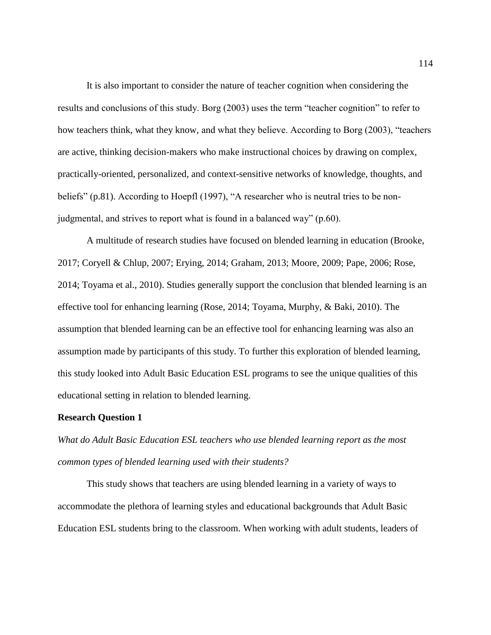It is also important to consider the nature of teacher cognition when considering the results and conclusions of this study. Borg (2003) uses the term "teacher cognition" to refer to how teachers think, what they know, and what they believe. According to Borg (2003), "teachers are active, thinking decision-makers who make instructional choices by drawing on complex, practically-oriented, personalized, and context-sensitive networks of knowledge, thoughts, and beliefs" (p.81). According to Hoepfl (1997), "A researcher who is neutral tries to be nonjudgmental, and strives to report what is found in a balanced way" (p.60).

A multitude of research studies have focused on blended learning in education (Brooke, 2017; Coryell & Chlup, 2007; Erying, 2014; Graham, 2013; Moore, 2009; Pape, 2006; Rose, 2014; Toyama et al., 2010). Studies generally support the conclusion that blended learning is an effective tool for enhancing learning (Rose, 2014; Toyama, Murphy, & Baki, 2010). The assumption that blended learning can be an effective tool for enhancing learning was also an assumption made by participants of this study. To further this exploration of blended learning, this study looked into Adult Basic Education ESL programs to see the unique qualities of this educational setting in relation to blended learning.

## **Research Question 1**

*What do Adult Basic Education ESL teachers who use blended learning report as the most common types of blended learning used with their students?*

This study shows that teachers are using blended learning in a variety of ways to accommodate the plethora of learning styles and educational backgrounds that Adult Basic Education ESL students bring to the classroom. When working with adult students, leaders of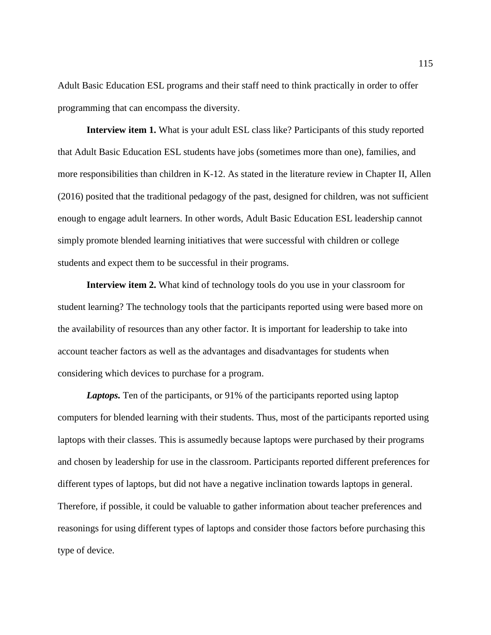Adult Basic Education ESL programs and their staff need to think practically in order to offer programming that can encompass the diversity.

**Interview item 1.** What is your adult ESL class like? Participants of this study reported that Adult Basic Education ESL students have jobs (sometimes more than one), families, and more responsibilities than children in K-12. As stated in the literature review in Chapter II, Allen (2016) posited that the traditional pedagogy of the past, designed for children, was not sufficient enough to engage adult learners. In other words, Adult Basic Education ESL leadership cannot simply promote blended learning initiatives that were successful with children or college students and expect them to be successful in their programs.

**Interview item 2.** What kind of technology tools do you use in your classroom for student learning? The technology tools that the participants reported using were based more on the availability of resources than any other factor. It is important for leadership to take into account teacher factors as well as the advantages and disadvantages for students when considering which devices to purchase for a program.

*Laptops.* Ten of the participants, or 91% of the participants reported using laptop computers for blended learning with their students. Thus, most of the participants reported using laptops with their classes. This is assumedly because laptops were purchased by their programs and chosen by leadership for use in the classroom. Participants reported different preferences for different types of laptops, but did not have a negative inclination towards laptops in general. Therefore, if possible, it could be valuable to gather information about teacher preferences and reasonings for using different types of laptops and consider those factors before purchasing this type of device.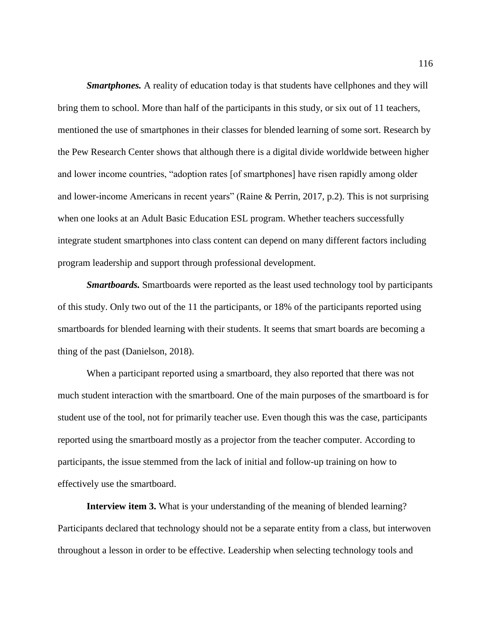*Smartphones.* A reality of education today is that students have cellphones and they will bring them to school. More than half of the participants in this study, or six out of 11 teachers, mentioned the use of smartphones in their classes for blended learning of some sort. Research by the Pew Research Center shows that although there is a digital divide worldwide between higher and lower income countries, "adoption rates [of smartphones] have risen rapidly among older and lower-income Americans in recent years" (Raine & Perrin, 2017, p.2). This is not surprising when one looks at an Adult Basic Education ESL program. Whether teachers successfully integrate student smartphones into class content can depend on many different factors including program leadership and support through professional development.

*Smartboards.* Smartboards were reported as the least used technology tool by participants of this study. Only two out of the 11 the participants, or 18% of the participants reported using smartboards for blended learning with their students. It seems that smart boards are becoming a thing of the past (Danielson, 2018).

When a participant reported using a smartboard, they also reported that there was not much student interaction with the smartboard. One of the main purposes of the smartboard is for student use of the tool, not for primarily teacher use. Even though this was the case, participants reported using the smartboard mostly as a projector from the teacher computer. According to participants, the issue stemmed from the lack of initial and follow-up training on how to effectively use the smartboard.

**Interview item 3.** What is your understanding of the meaning of blended learning? Participants declared that technology should not be a separate entity from a class, but interwoven throughout a lesson in order to be effective. Leadership when selecting technology tools and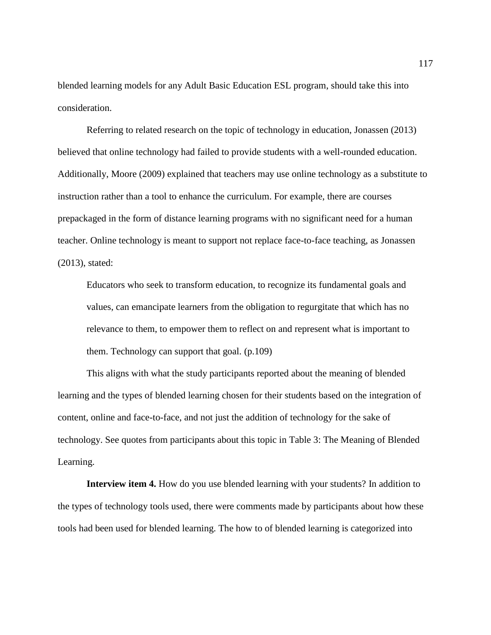blended learning models for any Adult Basic Education ESL program, should take this into consideration.

Referring to related research on the topic of technology in education, Jonassen (2013) believed that online technology had failed to provide students with a well-rounded education. Additionally, Moore (2009) explained that teachers may use online technology as a substitute to instruction rather than a tool to enhance the curriculum. For example, there are courses prepackaged in the form of distance learning programs with no significant need for a human teacher. Online technology is meant to support not replace face-to-face teaching, as Jonassen (2013), stated:

Educators who seek to transform education, to recognize its fundamental goals and values, can emancipate learners from the obligation to regurgitate that which has no relevance to them, to empower them to reflect on and represent what is important to them. Technology can support that goal. (p.109)

This aligns with what the study participants reported about the meaning of blended learning and the types of blended learning chosen for their students based on the integration of content, online and face-to-face, and not just the addition of technology for the sake of technology. See quotes from participants about this topic in Table 3: The Meaning of Blended Learning.

**Interview item 4.** How do you use blended learning with your students? In addition to the types of technology tools used, there were comments made by participants about how these tools had been used for blended learning. The how to of blended learning is categorized into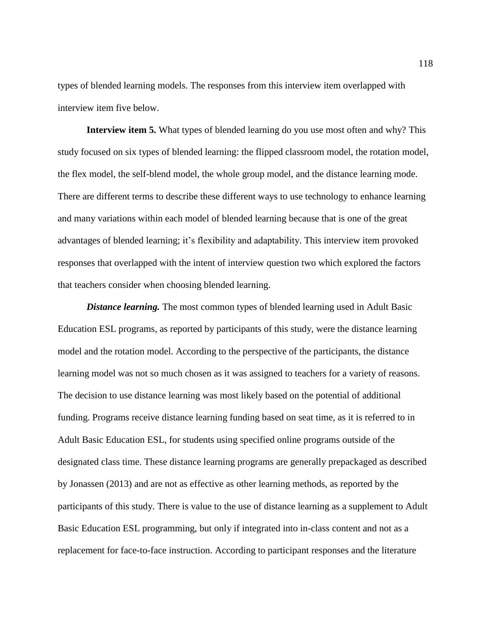types of blended learning models. The responses from this interview item overlapped with interview item five below.

**Interview item 5.** What types of blended learning do you use most often and why? This study focused on six types of blended learning: the flipped classroom model, the rotation model, the flex model, the self-blend model, the whole group model, and the distance learning mode. There are different terms to describe these different ways to use technology to enhance learning and many variations within each model of blended learning because that is one of the great advantages of blended learning; it's flexibility and adaptability. This interview item provoked responses that overlapped with the intent of interview question two which explored the factors that teachers consider when choosing blended learning.

*Distance learning.* The most common types of blended learning used in Adult Basic Education ESL programs, as reported by participants of this study, were the distance learning model and the rotation model. According to the perspective of the participants, the distance learning model was not so much chosen as it was assigned to teachers for a variety of reasons. The decision to use distance learning was most likely based on the potential of additional funding. Programs receive distance learning funding based on seat time, as it is referred to in Adult Basic Education ESL, for students using specified online programs outside of the designated class time. These distance learning programs are generally prepackaged as described by Jonassen (2013) and are not as effective as other learning methods, as reported by the participants of this study. There is value to the use of distance learning as a supplement to Adult Basic Education ESL programming, but only if integrated into in-class content and not as a replacement for face-to-face instruction. According to participant responses and the literature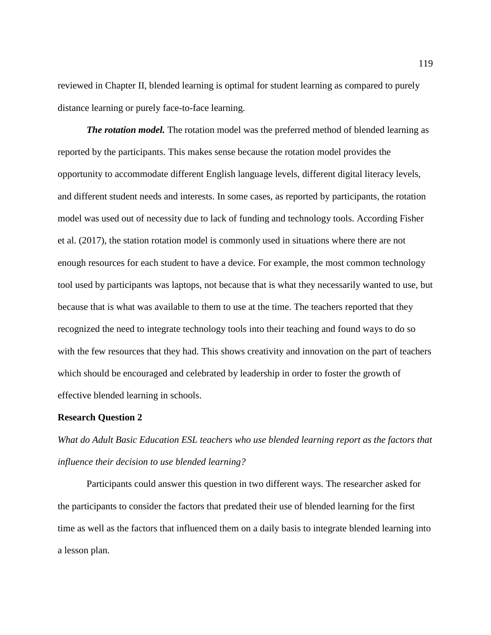reviewed in Chapter II, blended learning is optimal for student learning as compared to purely distance learning or purely face-to-face learning.

*The rotation model.* The rotation model was the preferred method of blended learning as reported by the participants. This makes sense because the rotation model provides the opportunity to accommodate different English language levels, different digital literacy levels, and different student needs and interests. In some cases, as reported by participants, the rotation model was used out of necessity due to lack of funding and technology tools. According Fisher et al. (2017), the station rotation model is commonly used in situations where there are not enough resources for each student to have a device. For example, the most common technology tool used by participants was laptops, not because that is what they necessarily wanted to use, but because that is what was available to them to use at the time. The teachers reported that they recognized the need to integrate technology tools into their teaching and found ways to do so with the few resources that they had. This shows creativity and innovation on the part of teachers which should be encouraged and celebrated by leadership in order to foster the growth of effective blended learning in schools.

#### **Research Question 2**

*What do Adult Basic Education ESL teachers who use blended learning report as the factors that influence their decision to use blended learning?*

Participants could answer this question in two different ways. The researcher asked for the participants to consider the factors that predated their use of blended learning for the first time as well as the factors that influenced them on a daily basis to integrate blended learning into a lesson plan.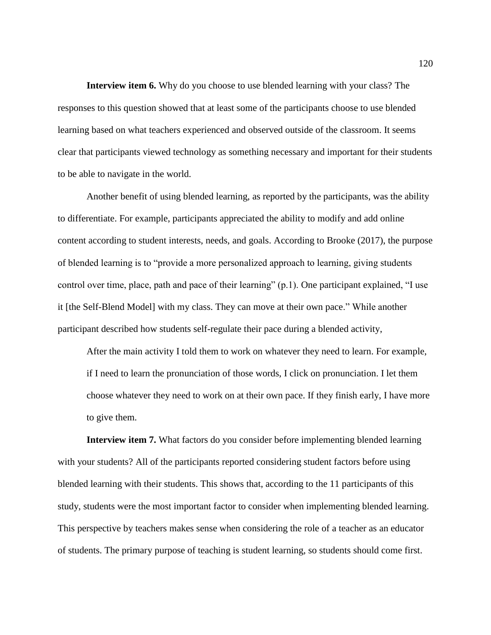**Interview item 6.** Why do you choose to use blended learning with your class? The responses to this question showed that at least some of the participants choose to use blended learning based on what teachers experienced and observed outside of the classroom. It seems clear that participants viewed technology as something necessary and important for their students to be able to navigate in the world.

Another benefit of using blended learning, as reported by the participants, was the ability to differentiate. For example, participants appreciated the ability to modify and add online content according to student interests, needs, and goals. According to Brooke (2017), the purpose of blended learning is to "provide a more personalized approach to learning, giving students control over time, place, path and pace of their learning" (p.1). One participant explained, "I use it [the Self-Blend Model] with my class. They can move at their own pace." While another participant described how students self-regulate their pace during a blended activity,

After the main activity I told them to work on whatever they need to learn. For example, if I need to learn the pronunciation of those words, I click on pronunciation. I let them choose whatever they need to work on at their own pace. If they finish early, I have more to give them.

**Interview item 7.** What factors do you consider before implementing blended learning with your students? All of the participants reported considering student factors before using blended learning with their students. This shows that, according to the 11 participants of this study, students were the most important factor to consider when implementing blended learning. This perspective by teachers makes sense when considering the role of a teacher as an educator of students. The primary purpose of teaching is student learning, so students should come first.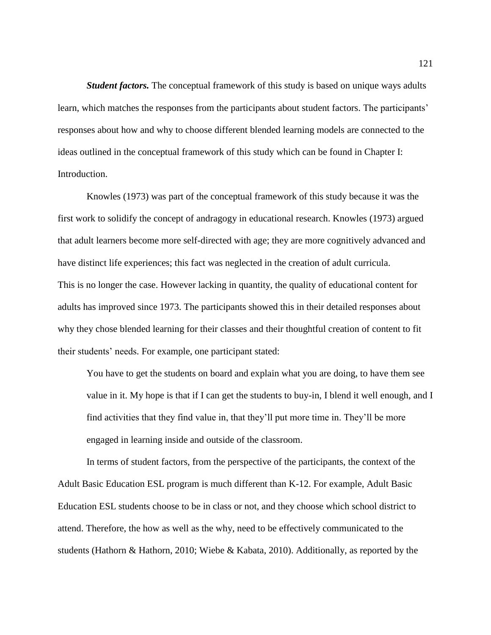*Student factors.* The conceptual framework of this study is based on unique ways adults learn, which matches the responses from the participants about student factors. The participants' responses about how and why to choose different blended learning models are connected to the ideas outlined in the conceptual framework of this study which can be found in Chapter I: Introduction.

Knowles (1973) was part of the conceptual framework of this study because it was the first work to solidify the concept of andragogy in educational research. Knowles (1973) argued that adult learners become more self-directed with age; they are more cognitively advanced and have distinct life experiences; this fact was neglected in the creation of adult curricula. This is no longer the case. However lacking in quantity, the quality of educational content for adults has improved since 1973. The participants showed this in their detailed responses about why they chose blended learning for their classes and their thoughtful creation of content to fit their students' needs. For example, one participant stated:

You have to get the students on board and explain what you are doing, to have them see value in it. My hope is that if I can get the students to buy-in, I blend it well enough, and I find activities that they find value in, that they'll put more time in. They'll be more engaged in learning inside and outside of the classroom.

In terms of student factors, from the perspective of the participants, the context of the Adult Basic Education ESL program is much different than K-12. For example, Adult Basic Education ESL students choose to be in class or not, and they choose which school district to attend. Therefore, the how as well as the why, need to be effectively communicated to the students (Hathorn & Hathorn, 2010; Wiebe & Kabata, 2010). Additionally, as reported by the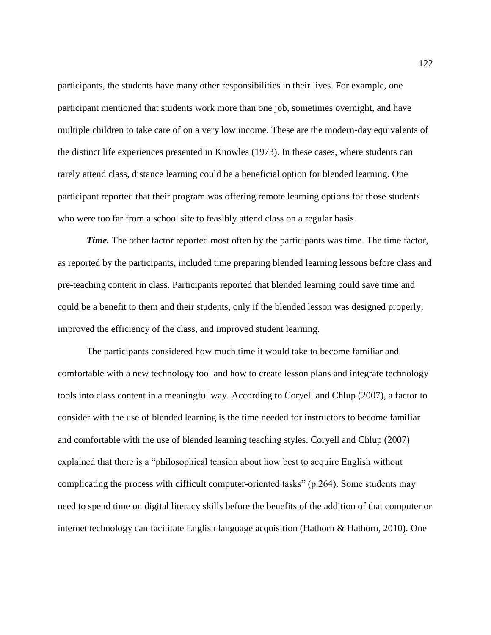participants, the students have many other responsibilities in their lives. For example, one participant mentioned that students work more than one job, sometimes overnight, and have multiple children to take care of on a very low income. These are the modern-day equivalents of the distinct life experiences presented in Knowles (1973). In these cases, where students can rarely attend class, distance learning could be a beneficial option for blended learning. One participant reported that their program was offering remote learning options for those students who were too far from a school site to feasibly attend class on a regular basis.

*Time*. The other factor reported most often by the participants was time. The time factor, as reported by the participants, included time preparing blended learning lessons before class and pre-teaching content in class. Participants reported that blended learning could save time and could be a benefit to them and their students, only if the blended lesson was designed properly, improved the efficiency of the class, and improved student learning.

The participants considered how much time it would take to become familiar and comfortable with a new technology tool and how to create lesson plans and integrate technology tools into class content in a meaningful way. According to Coryell and Chlup (2007), a factor to consider with the use of blended learning is the time needed for instructors to become familiar and comfortable with the use of blended learning teaching styles. Coryell and Chlup (2007) explained that there is a "philosophical tension about how best to acquire English without complicating the process with difficult computer-oriented tasks" (p.264). Some students may need to spend time on digital literacy skills before the benefits of the addition of that computer or internet technology can facilitate English language acquisition (Hathorn & Hathorn, 2010). One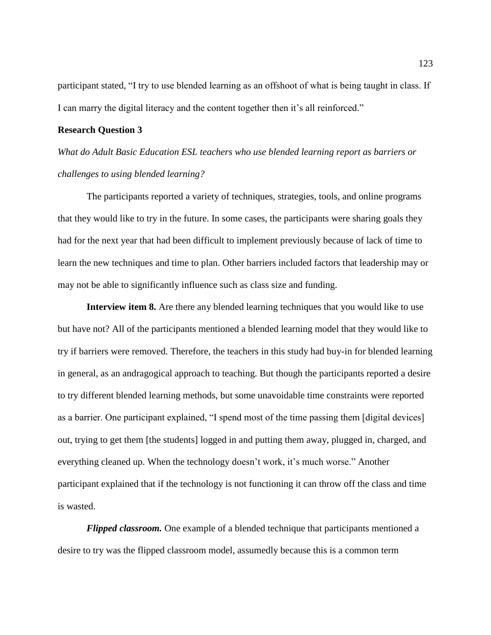participant stated, "I try to use blended learning as an offshoot of what is being taught in class. If I can marry the digital literacy and the content together then it's all reinforced."

## **Research Question 3**

*What do Adult Basic Education ESL teachers who use blended learning report as barriers or challenges to using blended learning?* 

The participants reported a variety of techniques, strategies, tools, and online programs that they would like to try in the future. In some cases, the participants were sharing goals they had for the next year that had been difficult to implement previously because of lack of time to learn the new techniques and time to plan. Other barriers included factors that leadership may or may not be able to significantly influence such as class size and funding.

**Interview item 8.** Are there any blended learning techniques that you would like to use but have not? All of the participants mentioned a blended learning model that they would like to try if barriers were removed. Therefore, the teachers in this study had buy-in for blended learning in general, as an andragogical approach to teaching. But though the participants reported a desire to try different blended learning methods, but some unavoidable time constraints were reported as a barrier. One participant explained, "I spend most of the time passing them [digital devices] out, trying to get them [the students] logged in and putting them away, plugged in, charged, and everything cleaned up. When the technology doesn't work, it's much worse." Another participant explained that if the technology is not functioning it can throw off the class and time is wasted.

*Flipped classroom.* One example of a blended technique that participants mentioned a desire to try was the flipped classroom model, assumedly because this is a common term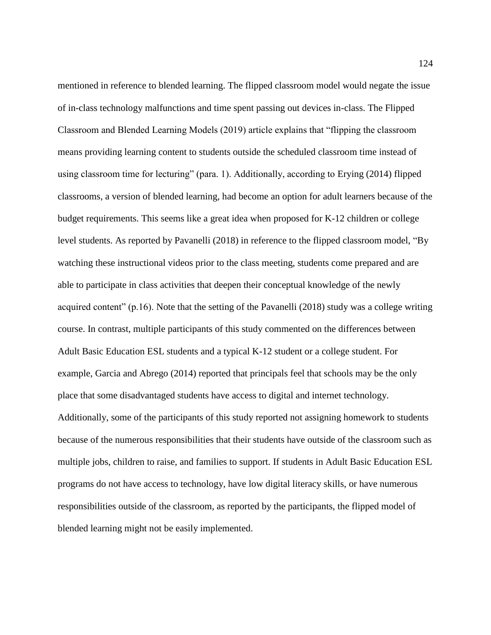mentioned in reference to blended learning. The flipped classroom model would negate the issue of in-class technology malfunctions and time spent passing out devices in-class. The Flipped Classroom and Blended Learning Models (2019) article explains that "flipping the classroom means providing learning content to students outside the scheduled classroom time instead of using classroom time for lecturing" (para. 1). Additionally, according to Erying (2014) flipped classrooms, a version of blended learning, had become an option for adult learners because of the budget requirements. This seems like a great idea when proposed for K-12 children or college level students. As reported by Pavanelli (2018) in reference to the flipped classroom model, "By watching these instructional videos prior to the class meeting, students come prepared and are able to participate in class activities that deepen their conceptual knowledge of the newly acquired content" (p.16). Note that the setting of the Pavanelli (2018) study was a college writing course. In contrast, multiple participants of this study commented on the differences between Adult Basic Education ESL students and a typical K-12 student or a college student. For example, Garcia and Abrego (2014) reported that principals feel that schools may be the only place that some disadvantaged students have access to digital and internet technology. Additionally, some of the participants of this study reported not assigning homework to students because of the numerous responsibilities that their students have outside of the classroom such as multiple jobs, children to raise, and families to support. If students in Adult Basic Education ESL programs do not have access to technology, have low digital literacy skills, or have numerous responsibilities outside of the classroom, as reported by the participants, the flipped model of blended learning might not be easily implemented.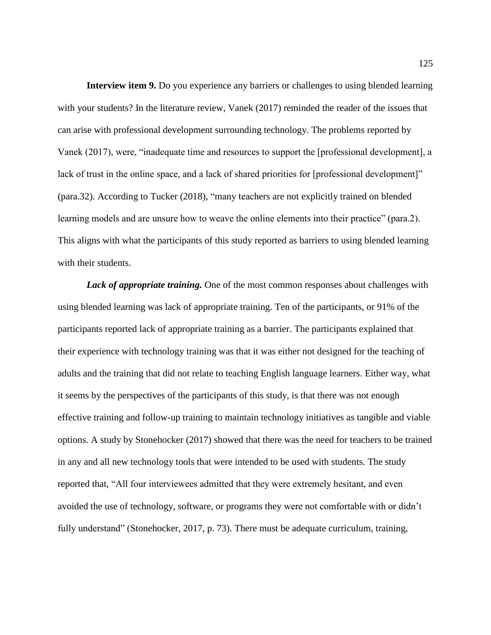**Interview item 9.** Do you experience any barriers or challenges to using blended learning with your students? In the literature review, Vanek (2017) reminded the reader of the issues that can arise with professional development surrounding technology. The problems reported by Vanek (2017), were, "inadequate time and resources to support the [professional development], a lack of trust in the online space, and a lack of shared priorities for [professional development]" (para.32). According to Tucker (2018), "many teachers are not explicitly trained on blended learning models and are unsure how to weave the online elements into their practice" (para.2). This aligns with what the participants of this study reported as barriers to using blended learning with their students.

*Lack of appropriate training.* One of the most common responses about challenges with using blended learning was lack of appropriate training. Ten of the participants, or 91% of the participants reported lack of appropriate training as a barrier. The participants explained that their experience with technology training was that it was either not designed for the teaching of adults and the training that did not relate to teaching English language learners. Either way, what it seems by the perspectives of the participants of this study, is that there was not enough effective training and follow-up training to maintain technology initiatives as tangible and viable options. A study by Stonehocker (2017) showed that there was the need for teachers to be trained in any and all new technology tools that were intended to be used with students. The study reported that, "All four interviewees admitted that they were extremely hesitant, and even avoided the use of technology, software, or programs they were not comfortable with or didn't fully understand" (Stonehocker, 2017, p. 73). There must be adequate curriculum, training,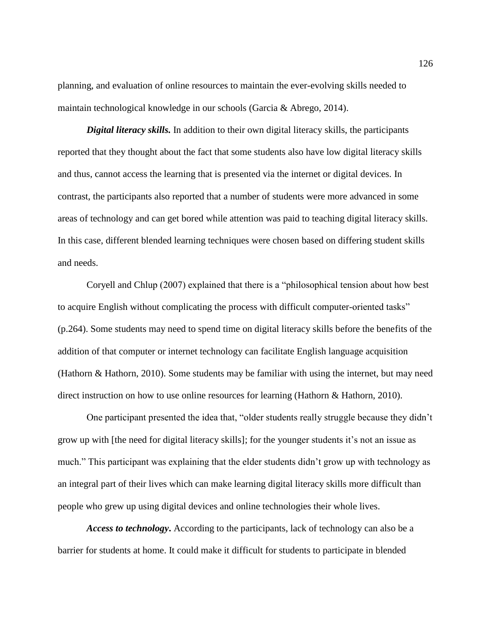planning, and evaluation of online resources to maintain the ever-evolving skills needed to maintain technological knowledge in our schools (Garcia & Abrego, 2014).

*Digital literacy skills.* In addition to their own digital literacy skills, the participants reported that they thought about the fact that some students also have low digital literacy skills and thus, cannot access the learning that is presented via the internet or digital devices. In contrast, the participants also reported that a number of students were more advanced in some areas of technology and can get bored while attention was paid to teaching digital literacy skills. In this case, different blended learning techniques were chosen based on differing student skills and needs.

Coryell and Chlup (2007) explained that there is a "philosophical tension about how best to acquire English without complicating the process with difficult computer-oriented tasks" (p.264). Some students may need to spend time on digital literacy skills before the benefits of the addition of that computer or internet technology can facilitate English language acquisition (Hathorn & Hathorn, 2010). Some students may be familiar with using the internet, but may need direct instruction on how to use online resources for learning (Hathorn & Hathorn, 2010).

One participant presented the idea that, "older students really struggle because they didn't grow up with [the need for digital literacy skills]; for the younger students it's not an issue as much." This participant was explaining that the elder students didn't grow up with technology as an integral part of their lives which can make learning digital literacy skills more difficult than people who grew up using digital devices and online technologies their whole lives.

*Access to technology***.** According to the participants, lack of technology can also be a barrier for students at home. It could make it difficult for students to participate in blended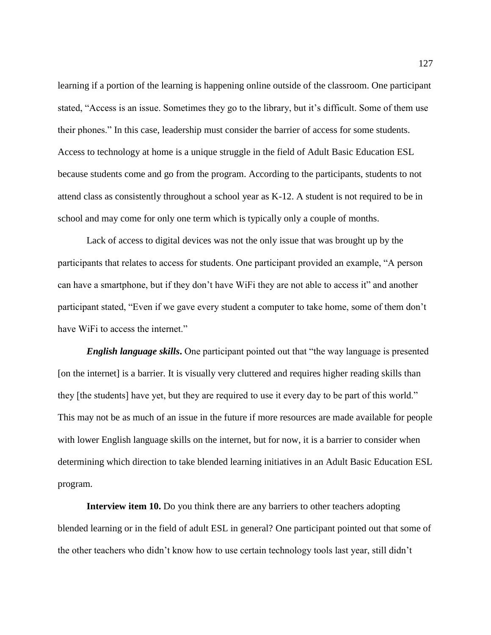learning if a portion of the learning is happening online outside of the classroom. One participant stated, "Access is an issue. Sometimes they go to the library, but it's difficult. Some of them use their phones." In this case, leadership must consider the barrier of access for some students. Access to technology at home is a unique struggle in the field of Adult Basic Education ESL because students come and go from the program. According to the participants, students to not attend class as consistently throughout a school year as K-12. A student is not required to be in school and may come for only one term which is typically only a couple of months.

Lack of access to digital devices was not the only issue that was brought up by the participants that relates to access for students. One participant provided an example, "A person can have a smartphone, but if they don't have WiFi they are not able to access it" and another participant stated, "Even if we gave every student a computer to take home, some of them don't have WiFi to access the internet."

*English language skills***.** One participant pointed out that "the way language is presented [on the internet] is a barrier. It is visually very cluttered and requires higher reading skills than they [the students] have yet, but they are required to use it every day to be part of this world." This may not be as much of an issue in the future if more resources are made available for people with lower English language skills on the internet, but for now, it is a barrier to consider when determining which direction to take blended learning initiatives in an Adult Basic Education ESL program.

**Interview item 10.** Do you think there are any barriers to other teachers adopting blended learning or in the field of adult ESL in general? One participant pointed out that some of the other teachers who didn't know how to use certain technology tools last year, still didn't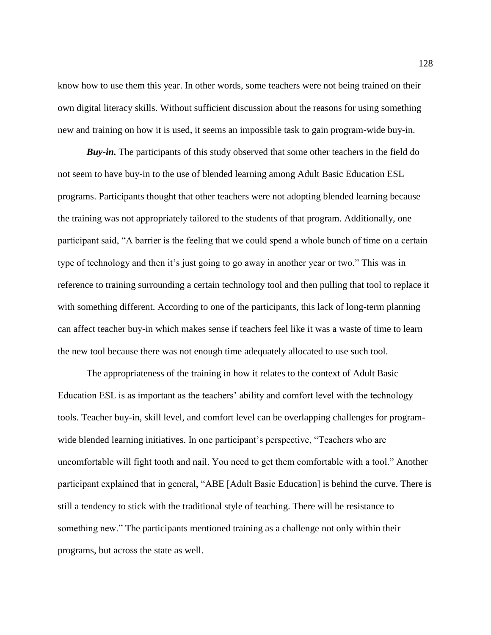know how to use them this year. In other words, some teachers were not being trained on their own digital literacy skills. Without sufficient discussion about the reasons for using something new and training on how it is used, it seems an impossible task to gain program-wide buy-in.

*Buy-in.* The participants of this study observed that some other teachers in the field do not seem to have buy-in to the use of blended learning among Adult Basic Education ESL programs. Participants thought that other teachers were not adopting blended learning because the training was not appropriately tailored to the students of that program. Additionally, one participant said, "A barrier is the feeling that we could spend a whole bunch of time on a certain type of technology and then it's just going to go away in another year or two." This was in reference to training surrounding a certain technology tool and then pulling that tool to replace it with something different. According to one of the participants, this lack of long-term planning can affect teacher buy-in which makes sense if teachers feel like it was a waste of time to learn the new tool because there was not enough time adequately allocated to use such tool.

The appropriateness of the training in how it relates to the context of Adult Basic Education ESL is as important as the teachers' ability and comfort level with the technology tools. Teacher buy-in, skill level, and comfort level can be overlapping challenges for programwide blended learning initiatives. In one participant's perspective, "Teachers who are uncomfortable will fight tooth and nail. You need to get them comfortable with a tool." Another participant explained that in general, "ABE [Adult Basic Education] is behind the curve. There is still a tendency to stick with the traditional style of teaching. There will be resistance to something new." The participants mentioned training as a challenge not only within their programs, but across the state as well.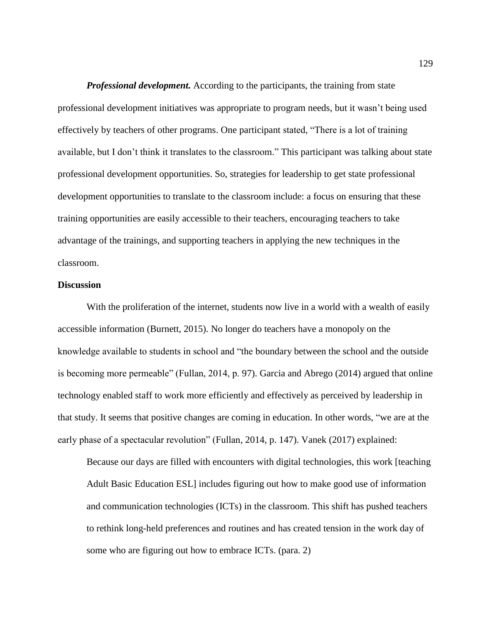*Professional development.* According to the participants, the training from state professional development initiatives was appropriate to program needs, but it wasn't being used effectively by teachers of other programs. One participant stated, "There is a lot of training available, but I don't think it translates to the classroom." This participant was talking about state professional development opportunities. So, strategies for leadership to get state professional development opportunities to translate to the classroom include: a focus on ensuring that these training opportunities are easily accessible to their teachers, encouraging teachers to take advantage of the trainings, and supporting teachers in applying the new techniques in the classroom.

### **Discussion**

With the proliferation of the internet, students now live in a world with a wealth of easily accessible information (Burnett, 2015). No longer do teachers have a monopoly on the knowledge available to students in school and "the boundary between the school and the outside is becoming more permeable" (Fullan, 2014, p. 97). Garcia and Abrego (2014) argued that online technology enabled staff to work more efficiently and effectively as perceived by leadership in that study. It seems that positive changes are coming in education. In other words, "we are at the early phase of a spectacular revolution" (Fullan, 2014, p. 147). Vanek (2017) explained:

Because our days are filled with encounters with digital technologies, this work [teaching Adult Basic Education ESL] includes figuring out how to make good use of information and communication technologies (ICTs) in the classroom. This shift has pushed teachers to rethink long-held preferences and routines and has created tension in the work day of some who are figuring out how to embrace ICTs. (para. 2)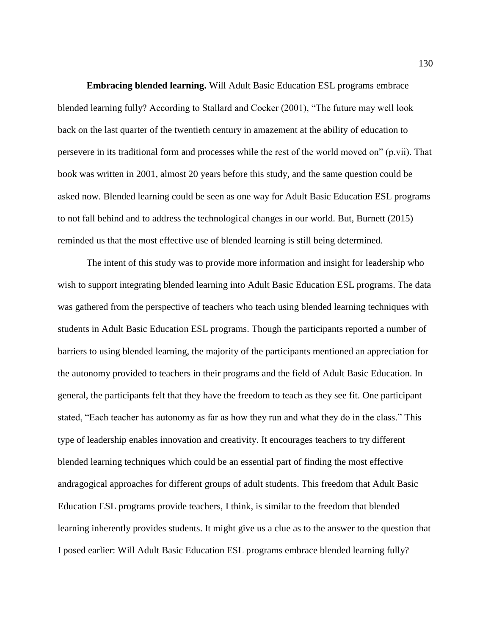**Embracing blended learning.** Will Adult Basic Education ESL programs embrace blended learning fully? According to Stallard and Cocker (2001), "The future may well look back on the last quarter of the twentieth century in amazement at the ability of education to persevere in its traditional form and processes while the rest of the world moved on" (p.vii). That book was written in 2001, almost 20 years before this study, and the same question could be asked now. Blended learning could be seen as one way for Adult Basic Education ESL programs to not fall behind and to address the technological changes in our world. But, Burnett (2015) reminded us that the most effective use of blended learning is still being determined.

The intent of this study was to provide more information and insight for leadership who wish to support integrating blended learning into Adult Basic Education ESL programs. The data was gathered from the perspective of teachers who teach using blended learning techniques with students in Adult Basic Education ESL programs. Though the participants reported a number of barriers to using blended learning, the majority of the participants mentioned an appreciation for the autonomy provided to teachers in their programs and the field of Adult Basic Education. In general, the participants felt that they have the freedom to teach as they see fit. One participant stated, "Each teacher has autonomy as far as how they run and what they do in the class." This type of leadership enables innovation and creativity. It encourages teachers to try different blended learning techniques which could be an essential part of finding the most effective andragogical approaches for different groups of adult students. This freedom that Adult Basic Education ESL programs provide teachers, I think, is similar to the freedom that blended learning inherently provides students. It might give us a clue as to the answer to the question that I posed earlier: Will Adult Basic Education ESL programs embrace blended learning fully?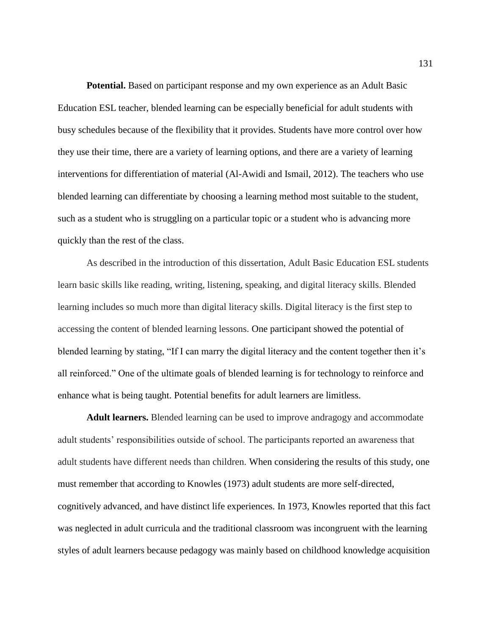**Potential.** Based on participant response and my own experience as an Adult Basic Education ESL teacher, blended learning can be especially beneficial for adult students with busy schedules because of the flexibility that it provides. Students have more control over how they use their time, there are a variety of learning options, and there are a variety of learning interventions for differentiation of material (Al-Awidi and Ismail, 2012). The teachers who use blended learning can differentiate by choosing a learning method most suitable to the student, such as a student who is struggling on a particular topic or a student who is advancing more quickly than the rest of the class.

As described in the introduction of this dissertation, Adult Basic Education ESL students learn basic skills like reading, writing, listening, speaking, and digital literacy skills. Blended learning includes so much more than digital literacy skills. Digital literacy is the first step to accessing the content of blended learning lessons. One participant showed the potential of blended learning by stating, "If I can marry the digital literacy and the content together then it's all reinforced." One of the ultimate goals of blended learning is for technology to reinforce and enhance what is being taught. Potential benefits for adult learners are limitless.

**Adult learners.** Blended learning can be used to improve andragogy and accommodate adult students' responsibilities outside of school. The participants reported an awareness that adult students have different needs than children. When considering the results of this study, one must remember that according to Knowles (1973) adult students are more self-directed, cognitively advanced, and have distinct life experiences. In 1973, Knowles reported that this fact was neglected in adult curricula and the traditional classroom was incongruent with the learning styles of adult learners because pedagogy was mainly based on childhood knowledge acquisition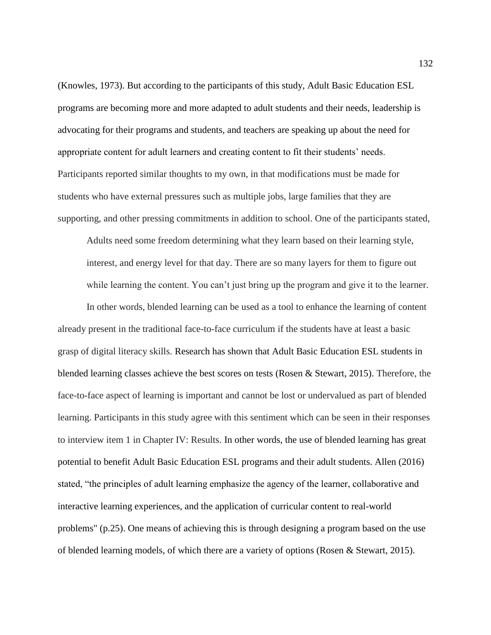(Knowles, 1973). But according to the participants of this study, Adult Basic Education ESL programs are becoming more and more adapted to adult students and their needs, leadership is advocating for their programs and students, and teachers are speaking up about the need for appropriate content for adult learners and creating content to fit their students' needs. Participants reported similar thoughts to my own, in that modifications must be made for students who have external pressures such as multiple jobs, large families that they are supporting, and other pressing commitments in addition to school. One of the participants stated,

Adults need some freedom determining what they learn based on their learning style, interest, and energy level for that day. There are so many layers for them to figure out while learning the content. You can't just bring up the program and give it to the learner.

In other words, blended learning can be used as a tool to enhance the learning of content already present in the traditional face-to-face curriculum if the students have at least a basic grasp of digital literacy skills. Research has shown that Adult Basic Education ESL students in blended learning classes achieve the best scores on tests (Rosen & Stewart, 2015). Therefore, the face-to-face aspect of learning is important and cannot be lost or undervalued as part of blended learning. Participants in this study agree with this sentiment which can be seen in their responses to interview item 1 in Chapter IV: Results. In other words, the use of blended learning has great potential to benefit Adult Basic Education ESL programs and their adult students. Allen (2016) stated, "the principles of adult learning emphasize the agency of the learner, collaborative and interactive learning experiences, and the application of curricular content to real-world problems" (p.25). One means of achieving this is through designing a program based on the use of blended learning models, of which there are a variety of options (Rosen & Stewart, 2015).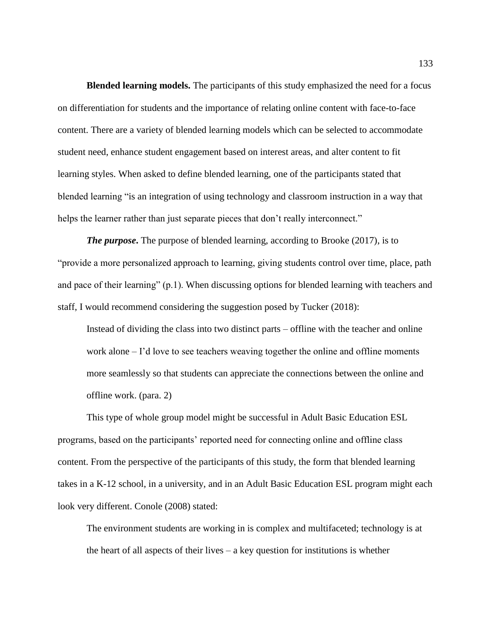**Blended learning models.** The participants of this study emphasized the need for a focus on differentiation for students and the importance of relating online content with face-to-face content. There are a variety of blended learning models which can be selected to accommodate student need, enhance student engagement based on interest areas, and alter content to fit learning styles. When asked to define blended learning, one of the participants stated that blended learning "is an integration of using technology and classroom instruction in a way that helps the learner rather than just separate pieces that don't really interconnect."

*The purpose*. The purpose of blended learning, according to Brooke (2017), is to "provide a more personalized approach to learning, giving students control over time, place, path and pace of their learning" (p.1). When discussing options for blended learning with teachers and staff, I would recommend considering the suggestion posed by Tucker (2018):

Instead of dividing the class into two distinct parts – offline with the teacher and online work alone – I'd love to see teachers weaving together the online and offline moments more seamlessly so that students can appreciate the connections between the online and offline work. (para. 2)

This type of whole group model might be successful in Adult Basic Education ESL programs, based on the participants' reported need for connecting online and offline class content. From the perspective of the participants of this study, the form that blended learning takes in a K-12 school, in a university, and in an Adult Basic Education ESL program might each look very different. Conole (2008) stated:

The environment students are working in is complex and multifaceted; technology is at the heart of all aspects of their lives – a key question for institutions is whether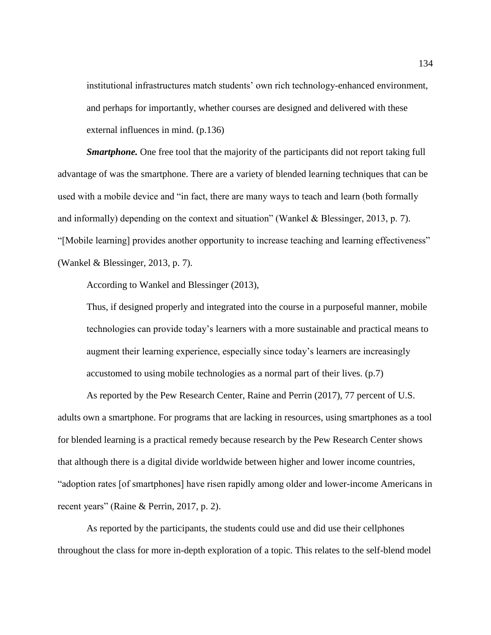institutional infrastructures match students' own rich technology-enhanced environment, and perhaps for importantly, whether courses are designed and delivered with these external influences in mind. (p.136)

*Smartphone.* One free tool that the majority of the participants did not report taking full advantage of was the smartphone. There are a variety of blended learning techniques that can be used with a mobile device and "in fact, there are many ways to teach and learn (both formally and informally) depending on the context and situation" (Wankel & Blessinger, 2013, p. 7). "[Mobile learning] provides another opportunity to increase teaching and learning effectiveness" (Wankel & Blessinger, 2013, p. 7).

According to Wankel and Blessinger (2013),

Thus, if designed properly and integrated into the course in a purposeful manner, mobile technologies can provide today's learners with a more sustainable and practical means to augment their learning experience, especially since today's learners are increasingly accustomed to using mobile technologies as a normal part of their lives. (p.7)

As reported by the Pew Research Center, Raine and Perrin (2017), 77 percent of U.S. adults own a smartphone. For programs that are lacking in resources, using smartphones as a tool for blended learning is a practical remedy because research by the Pew Research Center shows that although there is a digital divide worldwide between higher and lower income countries, "adoption rates [of smartphones] have risen rapidly among older and lower-income Americans in recent years" (Raine & Perrin, 2017, p. 2).

As reported by the participants, the students could use and did use their cellphones throughout the class for more in-depth exploration of a topic. This relates to the self-blend model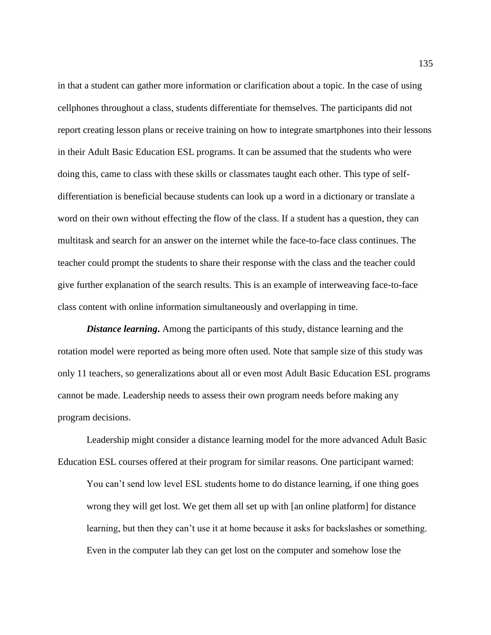in that a student can gather more information or clarification about a topic. In the case of using cellphones throughout a class, students differentiate for themselves. The participants did not report creating lesson plans or receive training on how to integrate smartphones into their lessons in their Adult Basic Education ESL programs. It can be assumed that the students who were doing this, came to class with these skills or classmates taught each other. This type of selfdifferentiation is beneficial because students can look up a word in a dictionary or translate a word on their own without effecting the flow of the class. If a student has a question, they can multitask and search for an answer on the internet while the face-to-face class continues. The teacher could prompt the students to share their response with the class and the teacher could give further explanation of the search results. This is an example of interweaving face-to-face class content with online information simultaneously and overlapping in time.

**Distance learning.** Among the participants of this study, distance learning and the rotation model were reported as being more often used. Note that sample size of this study was only 11 teachers, so generalizations about all or even most Adult Basic Education ESL programs cannot be made. Leadership needs to assess their own program needs before making any program decisions.

Leadership might consider a distance learning model for the more advanced Adult Basic Education ESL courses offered at their program for similar reasons. One participant warned:

You can't send low level ESL students home to do distance learning, if one thing goes wrong they will get lost. We get them all set up with [an online platform] for distance learning, but then they can't use it at home because it asks for backslashes or something. Even in the computer lab they can get lost on the computer and somehow lose the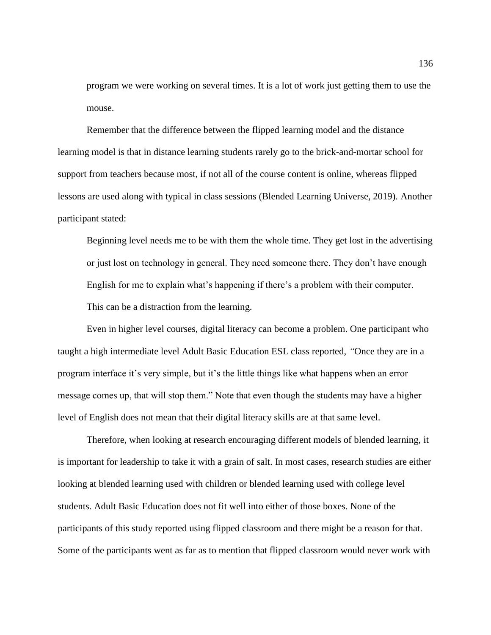program we were working on several times. It is a lot of work just getting them to use the mouse.

Remember that the difference between the flipped learning model and the distance learning model is that in distance learning students rarely go to the brick-and-mortar school for support from teachers because most, if not all of the course content is online, whereas flipped lessons are used along with typical in class sessions (Blended Learning Universe, 2019). Another participant stated:

Beginning level needs me to be with them the whole time. They get lost in the advertising or just lost on technology in general. They need someone there. They don't have enough English for me to explain what's happening if there's a problem with their computer. This can be a distraction from the learning.

Even in higher level courses, digital literacy can become a problem. One participant who taught a high intermediate level Adult Basic Education ESL class reported, *"*Once they are in a program interface it's very simple, but it's the little things like what happens when an error message comes up, that will stop them." Note that even though the students may have a higher level of English does not mean that their digital literacy skills are at that same level.

Therefore, when looking at research encouraging different models of blended learning, it is important for leadership to take it with a grain of salt. In most cases, research studies are either looking at blended learning used with children or blended learning used with college level students. Adult Basic Education does not fit well into either of those boxes. None of the participants of this study reported using flipped classroom and there might be a reason for that. Some of the participants went as far as to mention that flipped classroom would never work with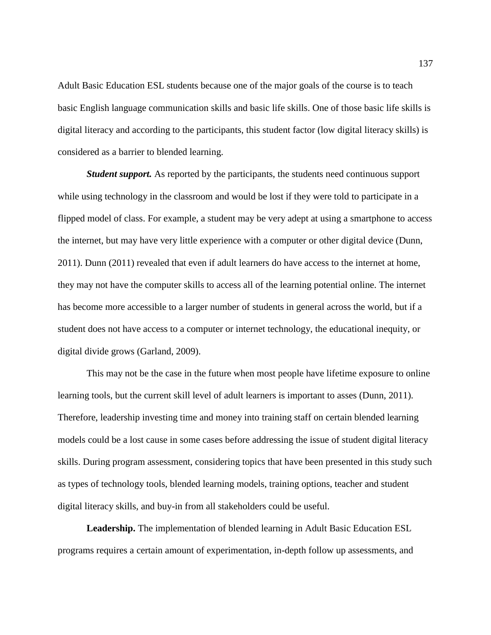Adult Basic Education ESL students because one of the major goals of the course is to teach basic English language communication skills and basic life skills. One of those basic life skills is digital literacy and according to the participants, this student factor (low digital literacy skills) is considered as a barrier to blended learning.

*Student support.* As reported by the participants, the students need continuous support while using technology in the classroom and would be lost if they were told to participate in a flipped model of class. For example, a student may be very adept at using a smartphone to access the internet, but may have very little experience with a computer or other digital device (Dunn, 2011). Dunn (2011) revealed that even if adult learners do have access to the internet at home, they may not have the computer skills to access all of the learning potential online. The internet has become more accessible to a larger number of students in general across the world, but if a student does not have access to a computer or internet technology, the educational inequity, or digital divide grows (Garland, 2009).

This may not be the case in the future when most people have lifetime exposure to online learning tools, but the current skill level of adult learners is important to asses (Dunn, 2011). Therefore, leadership investing time and money into training staff on certain blended learning models could be a lost cause in some cases before addressing the issue of student digital literacy skills. During program assessment, considering topics that have been presented in this study such as types of technology tools, blended learning models, training options, teacher and student digital literacy skills, and buy-in from all stakeholders could be useful.

**Leadership.** The implementation of blended learning in Adult Basic Education ESL programs requires a certain amount of experimentation, in-depth follow up assessments, and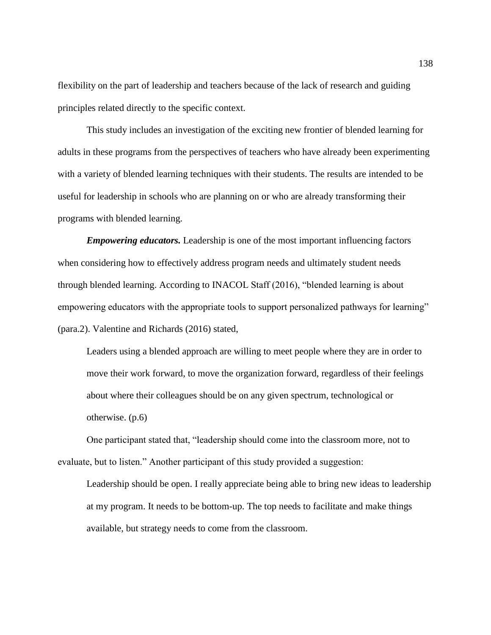flexibility on the part of leadership and teachers because of the lack of research and guiding principles related directly to the specific context.

This study includes an investigation of the exciting new frontier of blended learning for adults in these programs from the perspectives of teachers who have already been experimenting with a variety of blended learning techniques with their students. The results are intended to be useful for leadership in schools who are planning on or who are already transforming their programs with blended learning.

*Empowering educators.* Leadership is one of the most important influencing factors when considering how to effectively address program needs and ultimately student needs through blended learning. According to INACOL Staff (2016), "blended learning is about empowering educators with the appropriate tools to support personalized pathways for learning" (para.2). Valentine and Richards (2016) stated,

Leaders using a blended approach are willing to meet people where they are in order to move their work forward, to move the organization forward, regardless of their feelings about where their colleagues should be on any given spectrum, technological or otherwise. (p.6)

One participant stated that, "leadership should come into the classroom more, not to evaluate, but to listen." Another participant of this study provided a suggestion:

Leadership should be open. I really appreciate being able to bring new ideas to leadership at my program. It needs to be bottom-up. The top needs to facilitate and make things available, but strategy needs to come from the classroom.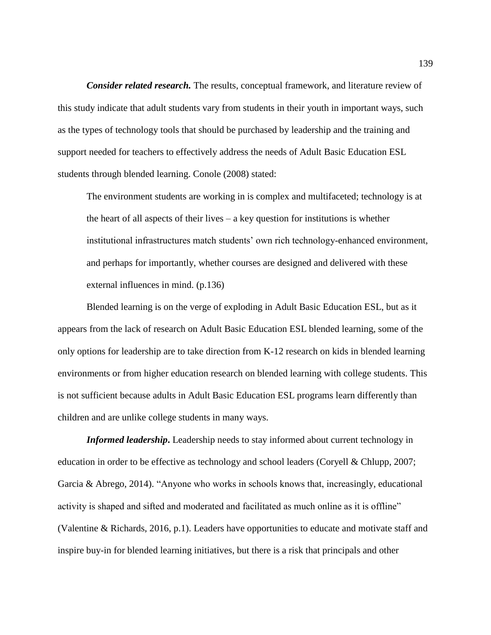*Consider related research.* The results, conceptual framework, and literature review of this study indicate that adult students vary from students in their youth in important ways, such as the types of technology tools that should be purchased by leadership and the training and support needed for teachers to effectively address the needs of Adult Basic Education ESL students through blended learning. Conole (2008) stated:

The environment students are working in is complex and multifaceted; technology is at the heart of all aspects of their lives  $-$  a key question for institutions is whether institutional infrastructures match students' own rich technology-enhanced environment, and perhaps for importantly, whether courses are designed and delivered with these external influences in mind. (p.136)

Blended learning is on the verge of exploding in Adult Basic Education ESL, but as it appears from the lack of research on Adult Basic Education ESL blended learning, some of the only options for leadership are to take direction from K-12 research on kids in blended learning environments or from higher education research on blended learning with college students. This is not sufficient because adults in Adult Basic Education ESL programs learn differently than children and are unlike college students in many ways.

*Informed leadership***.** Leadership needs to stay informed about current technology in education in order to be effective as technology and school leaders (Coryell & Chlupp, 2007; Garcia & Abrego, 2014). "Anyone who works in schools knows that, increasingly, educational activity is shaped and sifted and moderated and facilitated as much online as it is offline" (Valentine & Richards, 2016, p.1). Leaders have opportunities to educate and motivate staff and inspire buy-in for blended learning initiatives, but there is a risk that principals and other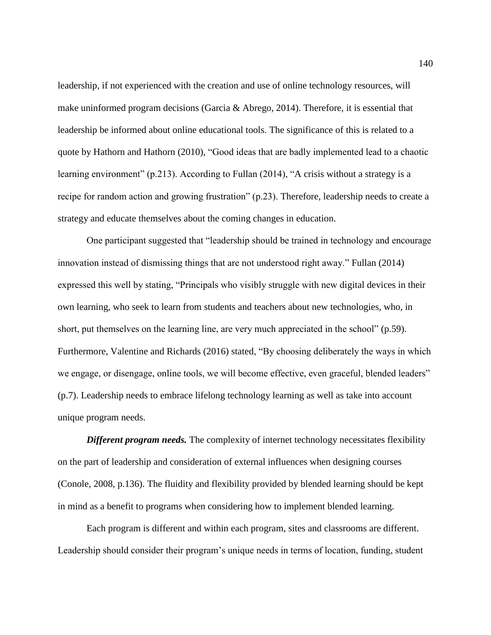leadership, if not experienced with the creation and use of online technology resources, will make uninformed program decisions (Garcia & Abrego, 2014). Therefore, it is essential that leadership be informed about online educational tools. The significance of this is related to a quote by Hathorn and Hathorn (2010), "Good ideas that are badly implemented lead to a chaotic learning environment" (p.213). According to Fullan (2014), "A crisis without a strategy is a recipe for random action and growing frustration" (p.23). Therefore, leadership needs to create a strategy and educate themselves about the coming changes in education.

One participant suggested that "leadership should be trained in technology and encourage innovation instead of dismissing things that are not understood right away." Fullan (2014) expressed this well by stating, "Principals who visibly struggle with new digital devices in their own learning, who seek to learn from students and teachers about new technologies, who, in short, put themselves on the learning line, are very much appreciated in the school" (p.59). Furthermore, Valentine and Richards (2016) stated, "By choosing deliberately the ways in which we engage, or disengage, online tools, we will become effective, even graceful, blended leaders" (p.7). Leadership needs to embrace lifelong technology learning as well as take into account unique program needs.

**Different program needs.** The complexity of internet technology necessitates flexibility on the part of leadership and consideration of external influences when designing courses (Conole, 2008, p.136). The fluidity and flexibility provided by blended learning should be kept in mind as a benefit to programs when considering how to implement blended learning.

Each program is different and within each program, sites and classrooms are different. Leadership should consider their program's unique needs in terms of location, funding, student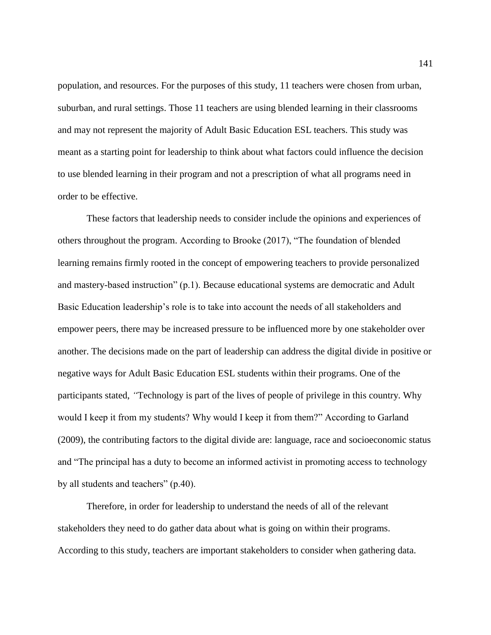population, and resources. For the purposes of this study, 11 teachers were chosen from urban, suburban, and rural settings. Those 11 teachers are using blended learning in their classrooms and may not represent the majority of Adult Basic Education ESL teachers. This study was meant as a starting point for leadership to think about what factors could influence the decision to use blended learning in their program and not a prescription of what all programs need in order to be effective.

These factors that leadership needs to consider include the opinions and experiences of others throughout the program. According to Brooke (2017), "The foundation of blended learning remains firmly rooted in the concept of empowering teachers to provide personalized and mastery-based instruction" (p.1). Because educational systems are democratic and Adult Basic Education leadership's role is to take into account the needs of all stakeholders and empower peers, there may be increased pressure to be influenced more by one stakeholder over another. The decisions made on the part of leadership can address the digital divide in positive or negative ways for Adult Basic Education ESL students within their programs. One of the participants stated, *"*Technology is part of the lives of people of privilege in this country. Why would I keep it from my students? Why would I keep it from them?" According to Garland (2009), the contributing factors to the digital divide are: language, race and socioeconomic status and "The principal has a duty to become an informed activist in promoting access to technology by all students and teachers" (p.40).

Therefore, in order for leadership to understand the needs of all of the relevant stakeholders they need to do gather data about what is going on within their programs. According to this study, teachers are important stakeholders to consider when gathering data.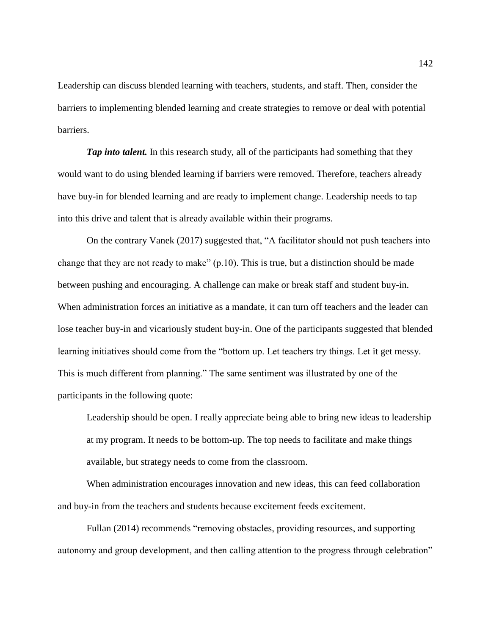Leadership can discuss blended learning with teachers, students, and staff. Then, consider the barriers to implementing blended learning and create strategies to remove or deal with potential barriers.

*Tap into talent.* In this research study, all of the participants had something that they would want to do using blended learning if barriers were removed. Therefore, teachers already have buy-in for blended learning and are ready to implement change. Leadership needs to tap into this drive and talent that is already available within their programs.

On the contrary Vanek (2017) suggested that, "A facilitator should not push teachers into change that they are not ready to make" (p.10). This is true, but a distinction should be made between pushing and encouraging. A challenge can make or break staff and student buy-in. When administration forces an initiative as a mandate, it can turn off teachers and the leader can lose teacher buy-in and vicariously student buy-in. One of the participants suggested that blended learning initiatives should come from the "bottom up. Let teachers try things. Let it get messy. This is much different from planning." The same sentiment was illustrated by one of the participants in the following quote:

Leadership should be open. I really appreciate being able to bring new ideas to leadership at my program. It needs to be bottom-up. The top needs to facilitate and make things available, but strategy needs to come from the classroom.

When administration encourages innovation and new ideas, this can feed collaboration and buy-in from the teachers and students because excitement feeds excitement.

Fullan (2014) recommends "removing obstacles, providing resources, and supporting autonomy and group development, and then calling attention to the progress through celebration"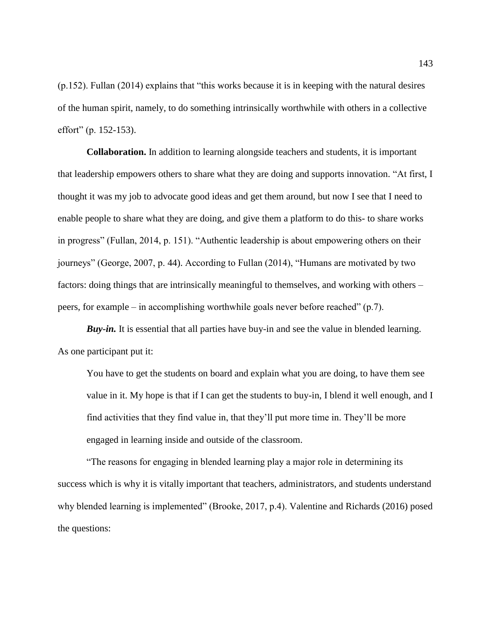(p.152). Fullan (2014) explains that "this works because it is in keeping with the natural desires of the human spirit, namely, to do something intrinsically worthwhile with others in a collective effort" (p. 152-153).

**Collaboration.** In addition to learning alongside teachers and students, it is important that leadership empowers others to share what they are doing and supports innovation. "At first, I thought it was my job to advocate good ideas and get them around, but now I see that I need to enable people to share what they are doing, and give them a platform to do this- to share works in progress" (Fullan, 2014, p. 151). "Authentic leadership is about empowering others on their journeys" (George, 2007, p. 44). According to Fullan (2014), "Humans are motivated by two factors: doing things that are intrinsically meaningful to themselves, and working with others – peers, for example – in accomplishing worthwhile goals never before reached" (p.7).

*Buy-in.* It is essential that all parties have buy-in and see the value in blended learning. As one participant put it:

You have to get the students on board and explain what you are doing, to have them see value in it. My hope is that if I can get the students to buy-in, I blend it well enough, and I find activities that they find value in, that they'll put more time in. They'll be more engaged in learning inside and outside of the classroom.

"The reasons for engaging in blended learning play a major role in determining its success which is why it is vitally important that teachers, administrators, and students understand why blended learning is implemented" (Brooke, 2017, p.4). Valentine and Richards (2016) posed the questions: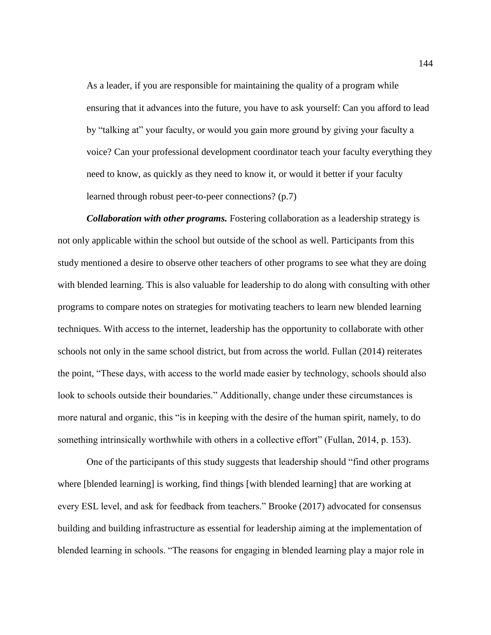As a leader, if you are responsible for maintaining the quality of a program while ensuring that it advances into the future, you have to ask yourself: Can you afford to lead by "talking at" your faculty, or would you gain more ground by giving your faculty a voice? Can your professional development coordinator teach your faculty everything they need to know, as quickly as they need to know it, or would it better if your faculty learned through robust peer-to-peer connections? (p.7)

*Collaboration with other programs.* Fostering collaboration as a leadership strategy is not only applicable within the school but outside of the school as well. Participants from this study mentioned a desire to observe other teachers of other programs to see what they are doing with blended learning. This is also valuable for leadership to do along with consulting with other programs to compare notes on strategies for motivating teachers to learn new blended learning techniques. With access to the internet, leadership has the opportunity to collaborate with other schools not only in the same school district, but from across the world. Fullan (2014) reiterates the point, "These days, with access to the world made easier by technology, schools should also look to schools outside their boundaries." Additionally, change under these circumstances is more natural and organic, this "is in keeping with the desire of the human spirit, namely, to do something intrinsically worthwhile with others in a collective effort" (Fullan, 2014, p. 153).

One of the participants of this study suggests that leadership should "find other programs where [blended learning] is working, find things [with blended learning] that are working at every ESL level, and ask for feedback from teachers." Brooke (2017) advocated for consensus building and building infrastructure as essential for leadership aiming at the implementation of blended learning in schools. "The reasons for engaging in blended learning play a major role in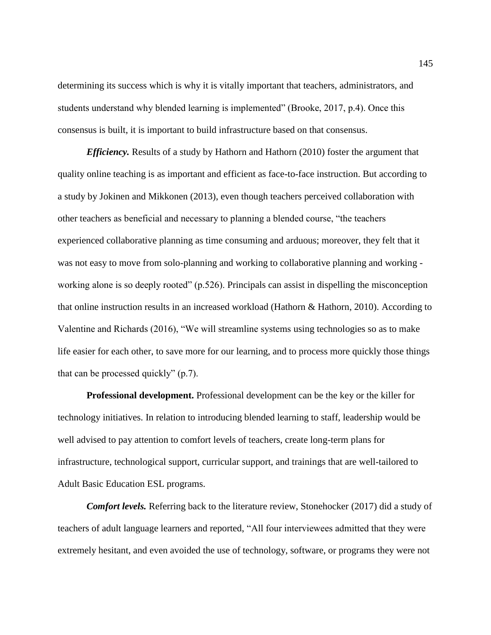determining its success which is why it is vitally important that teachers, administrators, and students understand why blended learning is implemented" (Brooke, 2017, p.4). Once this consensus is built, it is important to build infrastructure based on that consensus.

*Efficiency.* Results of a study by Hathorn and Hathorn (2010) foster the argument that quality online teaching is as important and efficient as face-to-face instruction. But according to a study by Jokinen and Mikkonen (2013), even though teachers perceived collaboration with other teachers as beneficial and necessary to planning a blended course, "the teachers experienced collaborative planning as time consuming and arduous; moreover, they felt that it was not easy to move from solo-planning and working to collaborative planning and working working alone is so deeply rooted" (p.526). Principals can assist in dispelling the misconception that online instruction results in an increased workload (Hathorn & Hathorn, 2010). According to Valentine and Richards (2016), "We will streamline systems using technologies so as to make life easier for each other, to save more for our learning, and to process more quickly those things that can be processed quickly" (p.7).

**Professional development.** Professional development can be the key or the killer for technology initiatives. In relation to introducing blended learning to staff, leadership would be well advised to pay attention to comfort levels of teachers, create long-term plans for infrastructure, technological support, curricular support, and trainings that are well-tailored to Adult Basic Education ESL programs.

*Comfort levels.* Referring back to the literature review, Stonehocker (2017) did a study of teachers of adult language learners and reported, "All four interviewees admitted that they were extremely hesitant, and even avoided the use of technology, software, or programs they were not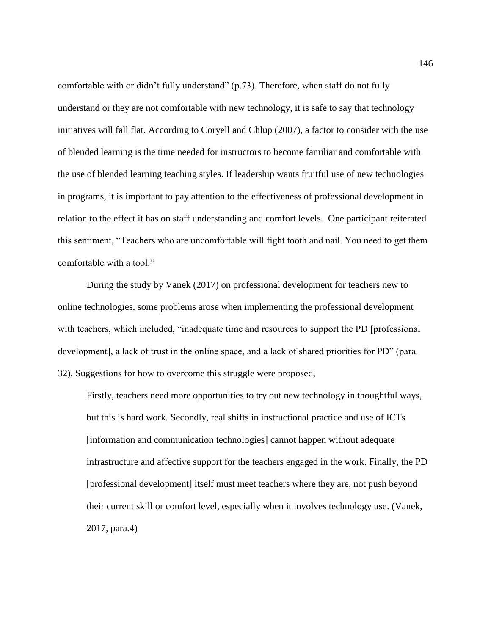comfortable with or didn't fully understand" (p.73). Therefore, when staff do not fully understand or they are not comfortable with new technology, it is safe to say that technology initiatives will fall flat. According to Coryell and Chlup (2007), a factor to consider with the use of blended learning is the time needed for instructors to become familiar and comfortable with the use of blended learning teaching styles. If leadership wants fruitful use of new technologies in programs, it is important to pay attention to the effectiveness of professional development in relation to the effect it has on staff understanding and comfort levels. One participant reiterated this sentiment, "Teachers who are uncomfortable will fight tooth and nail. You need to get them comfortable with a tool."

During the study by Vanek (2017) on professional development for teachers new to online technologies, some problems arose when implementing the professional development with teachers, which included, "inadequate time and resources to support the PD [professional development], a lack of trust in the online space, and a lack of shared priorities for PD" (para. 32). Suggestions for how to overcome this struggle were proposed,

Firstly, teachers need more opportunities to try out new technology in thoughtful ways, but this is hard work. Secondly, real shifts in instructional practice and use of ICTs [information and communication technologies] cannot happen without adequate infrastructure and affective support for the teachers engaged in the work. Finally, the PD [professional development] itself must meet teachers where they are, not push beyond their current skill or comfort level, especially when it involves technology use. (Vanek, 2017, para.4)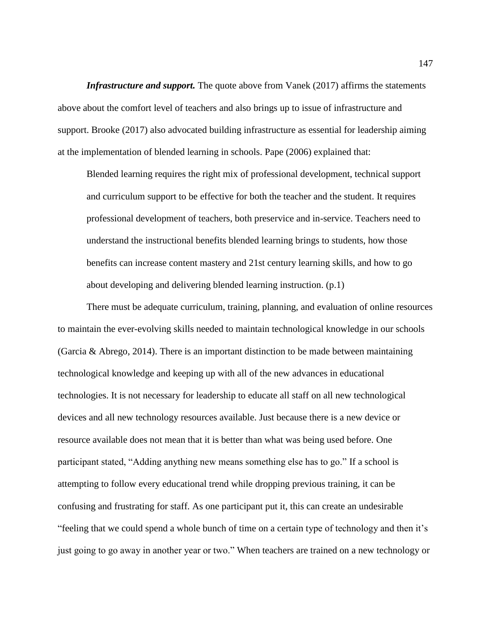*Infrastructure and support.* The quote above from Vanek (2017) affirms the statements above about the comfort level of teachers and also brings up to issue of infrastructure and support. Brooke (2017) also advocated building infrastructure as essential for leadership aiming at the implementation of blended learning in schools. Pape (2006) explained that:

Blended learning requires the right mix of professional development, technical support and curriculum support to be effective for both the teacher and the student. It requires professional development of teachers, both preservice and in-service. Teachers need to understand the instructional benefits blended learning brings to students, how those benefits can increase content mastery and 21st century learning skills, and how to go about developing and delivering blended learning instruction. (p.1)

There must be adequate curriculum, training, planning, and evaluation of online resources to maintain the ever-evolving skills needed to maintain technological knowledge in our schools (Garcia & Abrego, 2014). There is an important distinction to be made between maintaining technological knowledge and keeping up with all of the new advances in educational technologies. It is not necessary for leadership to educate all staff on all new technological devices and all new technology resources available. Just because there is a new device or resource available does not mean that it is better than what was being used before. One participant stated, "Adding anything new means something else has to go." If a school is attempting to follow every educational trend while dropping previous training, it can be confusing and frustrating for staff. As one participant put it, this can create an undesirable "feeling that we could spend a whole bunch of time on a certain type of technology and then it's just going to go away in another year or two." When teachers are trained on a new technology or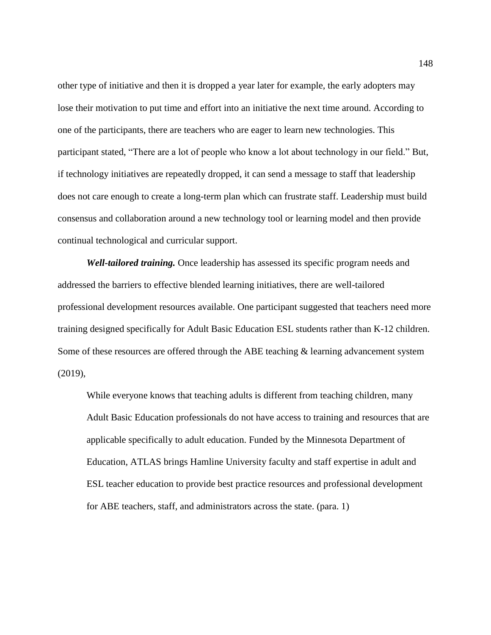other type of initiative and then it is dropped a year later for example, the early adopters may lose their motivation to put time and effort into an initiative the next time around. According to one of the participants, there are teachers who are eager to learn new technologies. This participant stated, "There are a lot of people who know a lot about technology in our field." But, if technology initiatives are repeatedly dropped, it can send a message to staff that leadership does not care enough to create a long-term plan which can frustrate staff. Leadership must build consensus and collaboration around a new technology tool or learning model and then provide continual technological and curricular support.

*Well-tailored training.* Once leadership has assessed its specific program needs and addressed the barriers to effective blended learning initiatives, there are well-tailored professional development resources available. One participant suggested that teachers need more training designed specifically for Adult Basic Education ESL students rather than K-12 children. Some of these resources are offered through the ABE teaching & learning advancement system (2019),

While everyone knows that teaching adults is different from teaching children, many Adult Basic Education professionals do not have access to training and resources that are applicable specifically to adult education. Funded by the Minnesota Department of Education, ATLAS brings Hamline University faculty and staff expertise in adult and ESL teacher education to provide best practice resources and professional development for ABE teachers, staff, and administrators across the state. (para. 1)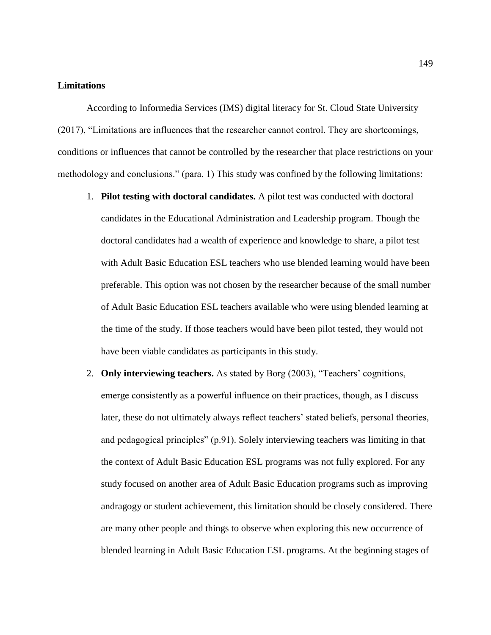## **Limitations**

According to Informedia Services (IMS) digital literacy for St. Cloud State University (2017), "Limitations are influences that the researcher cannot control. They are shortcomings, conditions or influences that cannot be controlled by the researcher that place restrictions on your methodology and conclusions." (para. 1) This study was confined by the following limitations:

- 1. **Pilot testing with doctoral candidates.** A pilot test was conducted with doctoral candidates in the Educational Administration and Leadership program. Though the doctoral candidates had a wealth of experience and knowledge to share, a pilot test with Adult Basic Education ESL teachers who use blended learning would have been preferable. This option was not chosen by the researcher because of the small number of Adult Basic Education ESL teachers available who were using blended learning at the time of the study. If those teachers would have been pilot tested, they would not have been viable candidates as participants in this study.
- 2. **Only interviewing teachers.** As stated by Borg (2003), "Teachers' cognitions, emerge consistently as a powerful influence on their practices, though, as I discuss later, these do not ultimately always reflect teachers' stated beliefs, personal theories, and pedagogical principles" (p.91). Solely interviewing teachers was limiting in that the context of Adult Basic Education ESL programs was not fully explored. For any study focused on another area of Adult Basic Education programs such as improving andragogy or student achievement, this limitation should be closely considered. There are many other people and things to observe when exploring this new occurrence of blended learning in Adult Basic Education ESL programs. At the beginning stages of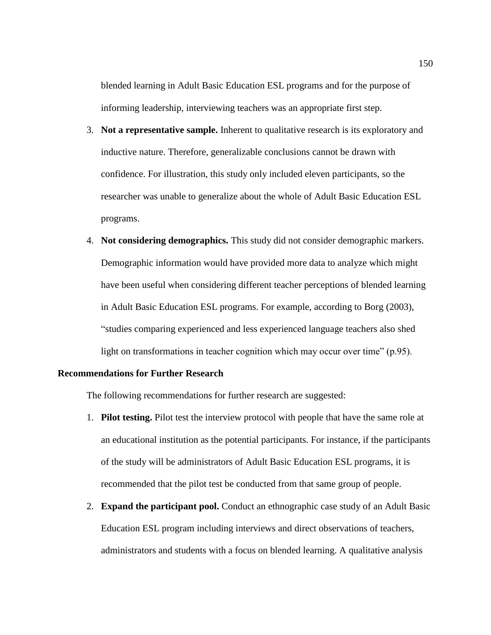blended learning in Adult Basic Education ESL programs and for the purpose of informing leadership, interviewing teachers was an appropriate first step.

- 3. **Not a representative sample.** Inherent to qualitative research is its exploratory and inductive nature. Therefore, generalizable conclusions cannot be drawn with confidence. For illustration, this study only included eleven participants, so the researcher was unable to generalize about the whole of Adult Basic Education ESL programs.
- 4. **Not considering demographics.** This study did not consider demographic markers. Demographic information would have provided more data to analyze which might have been useful when considering different teacher perceptions of blended learning in Adult Basic Education ESL programs. For example, according to Borg (2003), "studies comparing experienced and less experienced language teachers also shed light on transformations in teacher cognition which may occur over time" (p.95).

## **Recommendations for Further Research**

The following recommendations for further research are suggested:

- 1. **Pilot testing.** Pilot test the interview protocol with people that have the same role at an educational institution as the potential participants. For instance, if the participants of the study will be administrators of Adult Basic Education ESL programs, it is recommended that the pilot test be conducted from that same group of people.
- 2. **Expand the participant pool.** Conduct an ethnographic case study of an Adult Basic Education ESL program including interviews and direct observations of teachers, administrators and students with a focus on blended learning. A qualitative analysis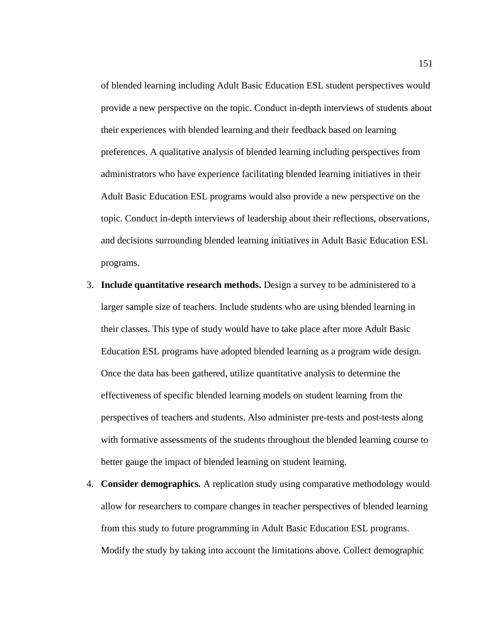of blended learning including Adult Basic Education ESL student perspectives would provide a new perspective on the topic. Conduct in-depth interviews of students about their experiences with blended learning and their feedback based on learning preferences. A qualitative analysis of blended learning including perspectives from administrators who have experience facilitating blended learning initiatives in their Adult Basic Education ESL programs would also provide a new perspective on the topic. Conduct in-depth interviews of leadership about their reflections, observations, and decisions surrounding blended learning initiatives in Adult Basic Education ESL programs.

- 3. **Include quantitative research methods.** Design a survey to be administered to a larger sample size of teachers. Include students who are using blended learning in their classes. This type of study would have to take place after more Adult Basic Education ESL programs have adopted blended learning as a program wide design. Once the data has been gathered, utilize quantitative analysis to determine the effectiveness of specific blended learning models on student learning from the perspectives of teachers and students. Also administer pre-tests and post-tests along with formative assessments of the students throughout the blended learning course to better gauge the impact of blended learning on student learning.
- 4. **Consider demographics***.* A replication study using comparative methodology would allow for researchers to compare changes in teacher perspectives of blended learning from this study to future programming in Adult Basic Education ESL programs. Modify the study by taking into account the limitations above. Collect demographic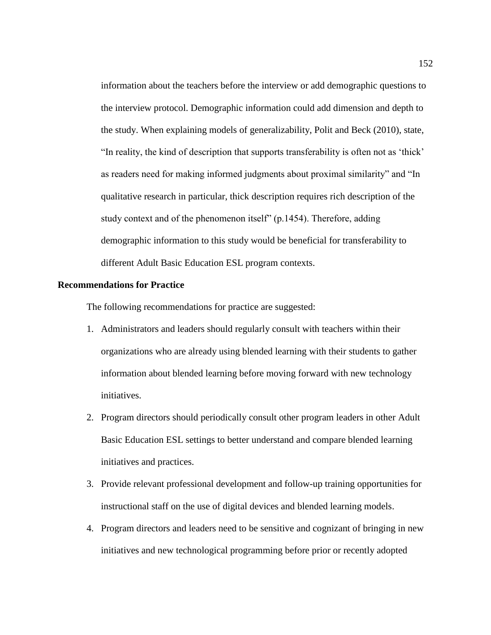information about the teachers before the interview or add demographic questions to the interview protocol. Demographic information could add dimension and depth to the study. When explaining models of generalizability, Polit and Beck (2010), state, "In reality, the kind of description that supports transferability is often not as 'thick' as readers need for making informed judgments about proximal similarity" and "In qualitative research in particular, thick description requires rich description of the study context and of the phenomenon itself" (p.1454). Therefore, adding demographic information to this study would be beneficial for transferability to different Adult Basic Education ESL program contexts.

#### **Recommendations for Practice**

The following recommendations for practice are suggested:

- 1. Administrators and leaders should regularly consult with teachers within their organizations who are already using blended learning with their students to gather information about blended learning before moving forward with new technology initiatives.
- 2. Program directors should periodically consult other program leaders in other Adult Basic Education ESL settings to better understand and compare blended learning initiatives and practices.
- 3. Provide relevant professional development and follow-up training opportunities for instructional staff on the use of digital devices and blended learning models.
- 4. Program directors and leaders need to be sensitive and cognizant of bringing in new initiatives and new technological programming before prior or recently adopted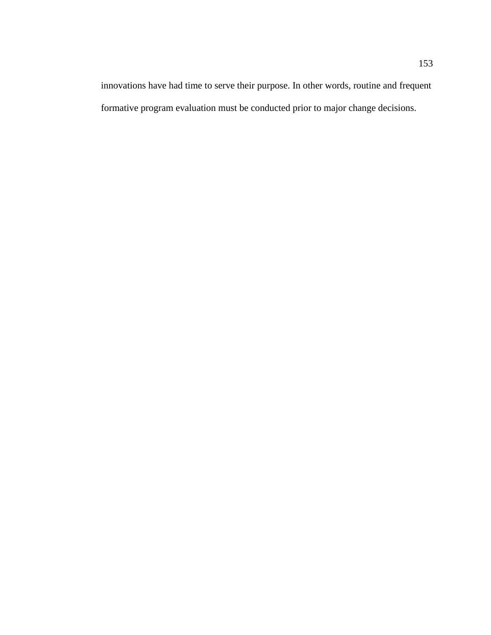innovations have had time to serve their purpose. In other words, routine and frequent formative program evaluation must be conducted prior to major change decisions.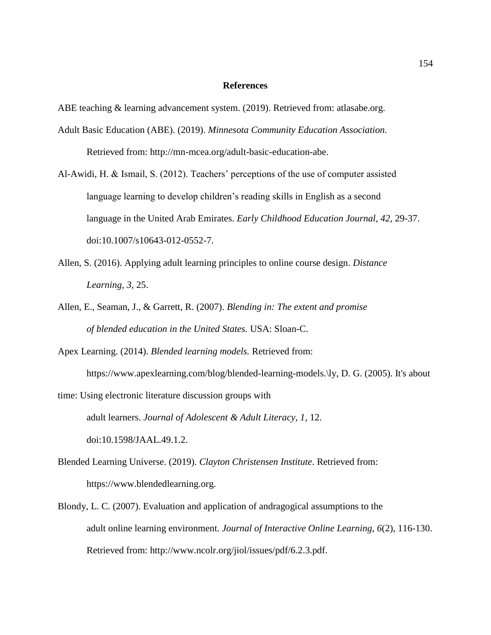#### **References**

ABE teaching & learning advancement system. (2019). Retrieved from: atlasabe.org.

- Adult Basic Education (ABE). (2019). *Minnesota Community Education Association.*  Retrieved from: http://mn-mcea.org/adult-basic-education-abe.
- Al-Awidi, H. & Ismail, S. (2012). Teachers' perceptions of the use of computer assisted language learning to develop children's reading skills in English as a second language in the United Arab Emirates. *Early Childhood Education Journal, 42,* 29-37. doi:10.1007/s10643-012-0552-7.
- Allen, S. (2016). Applying adult learning principles to online course design. *Distance Learning, 3*, 25.
- Allen, E., Seaman, J., & Garrett, R. (2007). *Blending in: The extent and promise of blended education in the United States.* USA: Sloan-C.
- Apex Learning. (2014). *Blended learning models.* Retrieved from: https://www.apexlearning.com/blog/blended-learning-models.\ly, D. G. (2005). It's about
- time: Using electronic literature discussion groups with adult learners. *Journal of Adolescent & Adult Literacy, 1*, 12. doi:10.1598/JAAL.49.1.2.
- Blended Learning Universe. (2019). *Clayton Christensen Institute*. Retrieved from: https://www.blendedlearning.org.
- Blondy, L. C. (2007). Evaluation and application of andragogical assumptions to the adult online learning environment. *Journal of Interactive Online Learning, 6*(2), 116-130. Retrieved from: http://www.ncolr.org/jiol/issues/pdf/6.2.3.pdf.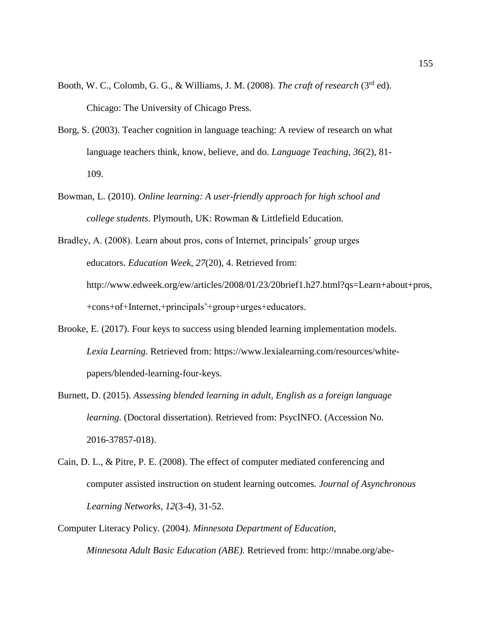- Booth, W. C., Colomb, G. G., & Williams, J. M. (2008). *The craft of research* (3rd ed). Chicago: The University of Chicago Press.
- Borg, S. (2003). Teacher cognition in language teaching: A review of research on what language teachers think, know, believe, and do. *Language Teaching, 36*(2), 81- 109.
- Bowman, L. (2010). *Online learning: A user-friendly approach for high school and college students.* Plymouth, UK: Rowman & Littlefield Education.

Bradley, A. (2008). Learn about pros, cons of Internet, principals' group urges educators. *Education Week*, *27*(20), 4. Retrieved from: http://www.edweek.org/ew/articles/2008/01/23/20brief1.h27.html?qs=Learn+about+pros, +cons+of+Internet,+principals'+group+urges+educators.

- Brooke, E. (2017). Four keys to success using blended learning implementation models. *Lexia Learning.* Retrieved from: https://www.lexialearning.com/resources/whitepapers/blended-learning-four-keys.
- Burnett, D. (2015). *Assessing blended learning in adult, English as a foreign language learning.* (Doctoral dissertation). Retrieved from: PsycINFO. (Accession No. 2016-37857-018).
- Cain, D. L., & Pitre, P. E. (2008). The effect of computer mediated conferencing and computer assisted instruction on student learning outcomes. *Journal of Asynchronous Learning Networks, 12*(3-4), 31-52.
- Computer Literacy Policy. (2004). *Minnesota Department of Education, Minnesota Adult Basic Education (ABE).* Retrieved from: http://mnabe.org/abe-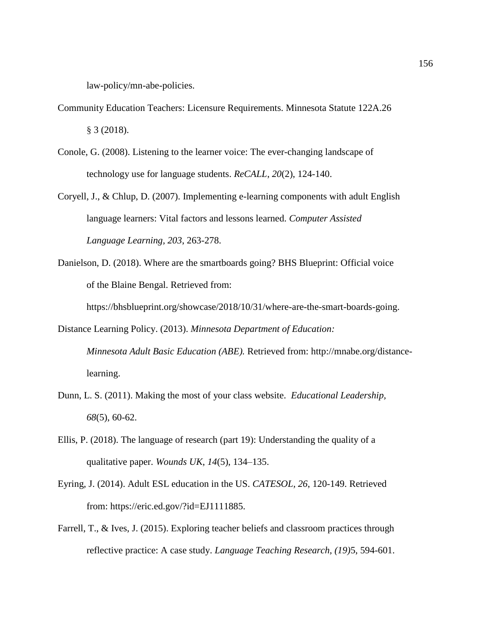law-policy/mn-abe-policies.

- Community Education Teachers: Licensure Requirements. Minnesota Statute 122A.26 § 3 (2018).
- Conole, G. (2008). Listening to the learner voice: The ever-changing landscape of technology use for language students. *ReCALL*, *20*(2), 124-140.
- Coryell, J., & Chlup, D. (2007). Implementing e-learning components with adult English language learners: Vital factors and lessons learned. *Computer Assisted Language Learning, 203*, 263-278.
- Danielson, D. (2018). Where are the smartboards going? BHS Blueprint: Official voice of the Blaine Bengal. Retrieved from: https://bhsblueprint.org/showcase/2018/10/31/where-are-the-smart-boards-going.
- Distance Learning Policy. (2013). *Minnesota Department of Education: Minnesota Adult Basic Education (ABE).* Retrieved from: http://mnabe.org/distancelearning.
- Dunn, L. S. (2011). Making the most of your class website. *Educational Leadership, 68*(5), 60-62.
- Ellis, P. (2018). The language of research (part 19): Understanding the quality of a qualitative paper. *Wounds UK*, *14*(5), 134–135.
- Eyring, J. (2014). Adult ESL education in the US. *CATESOL, 26*, 120-149. Retrieved from: https://eric.ed.gov/?id=EJ1111885.
- Farrell, T., & Ives, J. (2015). Exploring teacher beliefs and classroom practices through reflective practice: A case study. *Language Teaching Research, (19)*5, 594-601.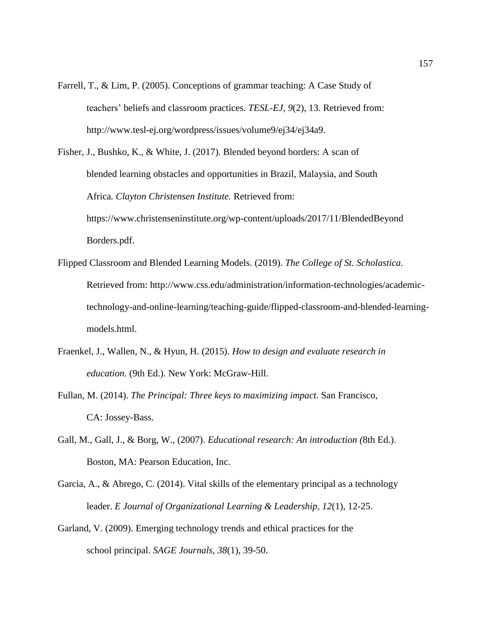Farrell, T., & Lim, P. (2005). Conceptions of grammar teaching: A Case Study of teachers' beliefs and classroom practices. *TESL-EJ*, *9*(2), 13. Retrieved from: http://www.tesl-ej.org/wordpress/issues/volume9/ej34/ej34a9.

Fisher, J., Bushko, K., & White, J. (2017). Blended beyond borders: A scan of blended learning obstacles and opportunities in Brazil, Malaysia, and South Africa*. Clayton Christensen Institute.* Retrieved from: https://www.christenseninstitute.org/wp-content/uploads/2017/11/BlendedBeyond Borders.pdf.

- Flipped Classroom and Blended Learning Models. (2019). *The College of St. Scholastica.*  Retrieved from: http://www.css.edu/administration/information-technologies/academictechnology-and-online-learning/teaching-guide/flipped-classroom-and-blended-learningmodels.html.
- Fraenkel, J., Wallen, N., & Hyun, H. (2015). *How to design and evaluate research in education.* (9th Ed.). New York: McGraw-Hill.
- Fullan, M. (2014). *The Principal: Three keys to maximizing impact.* San Francisco, CA: Jossey-Bass.
- Gall, M., Gall, J., & Borg, W., (2007). *Educational research: An introduction (*8th Ed.). Boston, MA: Pearson Education, Inc.
- Garcia, A., & Abrego, C. (2014). Vital skills of the elementary principal as a technology leader. *E Journal of Organizational Learning & Leadership, 12*(1), 12-25.
- Garland, V. (2009). Emerging technology trends and ethical practices for the school principal. *SAGE Journals, 38*(1), 39-50.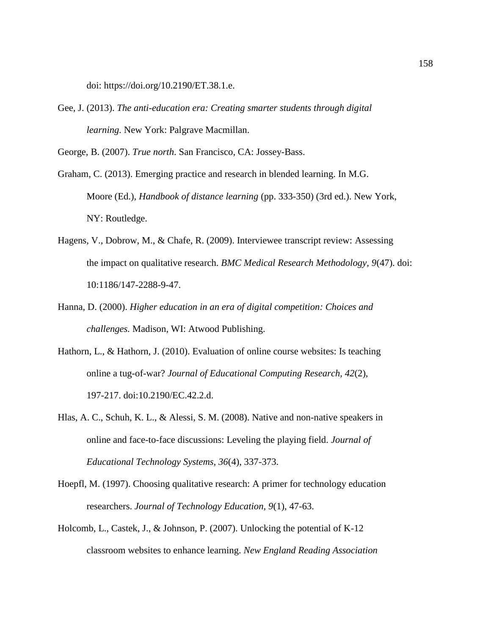doi: [https://doi.org/10.2190/ET.38.1.e.](https://doi.org/10.2190/ET.38.1.e)

Gee, J. (2013). *The anti-education era: Creating smarter students through digital learning.* New York: Palgrave Macmillan.

George, B. (2007). *True north*. San Francisco, CA: Jossey-Bass.

Graham, C. (2013). Emerging practice and research in blended learning. In M.G. Moore (Ed.), *Handbook of distance learning* (pp. 333-350) (3rd ed.). New York, NY: Routledge.

- Hagens, V., Dobrow, M., & Chafe, R. (2009). Interviewee transcript review: Assessing the impact on qualitative research. *BMC Medical Research Methodology, 9*(47). doi: 10:1186/147-2288-9-47.
- Hanna, D. (2000). *Higher education in an era of digital competition: Choices and challenges.* Madison, WI: Atwood Publishing.
- Hathorn, L., & Hathorn, J. (2010). Evaluation of online course websites: Is teaching online a tug-of-war? *Journal of Educational Computing Research, 42*(2), 197-217. doi:10.2190/EC.42.2.d.
- Hlas, A. C., Schuh, K. L., & Alessi, S. M. (2008). Native and non-native speakers in online and face-to-face discussions: Leveling the playing field. *Journal of Educational Technology Systems, 36*(4), 337-373.
- Hoepfl, M. (1997). Choosing qualitative research: A primer for technology education researchers. *Journal of Technology Education, 9*(1), 47-63.
- Holcomb, L., Castek, J., & Johnson, P. (2007). Unlocking the potential of K-12 classroom websites to enhance learning. *New England Reading Association*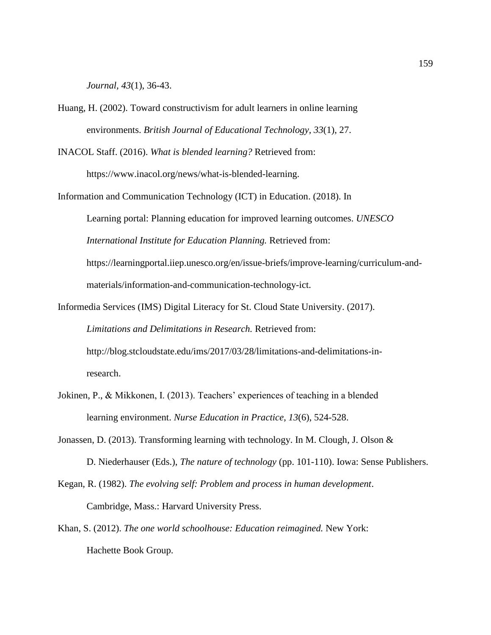*Journal, 43*(1), 36-43.

Huang, H. (2002). Toward constructivism for adult learners in online learning environments. *British Journal of Educational Technology, 33*(1), 27.

INACOL Staff. (2016). *What is blended learning?* Retrieved from:

https://www.inacol.org/news/what-is-blended-learning.

Information and Communication Technology (ICT) in Education. (2018). In Learning portal: Planning education for improved learning outcomes. *UNESCO International Institute for Education Planning.* Retrieved from: https://learningportal.iiep.unesco.org/en/issue-briefs/improve-learning/curriculum-andmaterials/information-and-communication-technology-ict.

- Informedia Services (IMS) Digital Literacy for St. Cloud State University. (2017). *Limitations and Delimitations in Research.* Retrieved from: http://blog.stcloudstate.edu/ims/2017/03/28/limitations-and-delimitations-inresearch.
- Jokinen, P., & Mikkonen, I. (2013). Teachers' experiences of teaching in a blended learning environment. *Nurse Education in Practice*, *13*(6), 524-528.
- Jonassen, D. (2013). Transforming learning with technology. In M. Clough, J. Olson & D. Niederhauser (Eds.), *The nature of technology* (pp. 101-110). Iowa: Sense Publishers.
- Kegan, R. (1982). *The evolving self: Problem and process in human development*. Cambridge, Mass.: Harvard University Press.
- Khan, S. (2012). *The one world schoolhouse: Education reimagined.* New York: Hachette Book Group.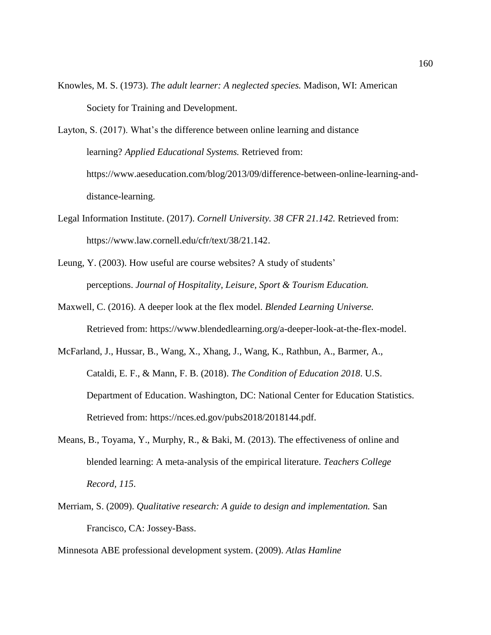- Knowles, M. S. (1973). *The adult learner: A neglected species.* Madison, WI: American Society for Training and Development.
- Layton, S. (2017). What's the difference between online learning and distance learning? *Applied Educational Systems.* Retrieved from: https://www.aeseducation.com/blog/2013/09/difference-between-online-learning-anddistance-learning.
- Legal Information Institute. (2017). *Cornell University. 38 CFR 21.142.* Retrieved from: https://www.law.cornell.edu/cfr/text/38/21.142.
- Leung, Y. (2003). How useful are course websites? A study of students' perceptions. *Journal of Hospitality, Leisure, Sport & Tourism Education.*
- Maxwell, C. (2016). A deeper look at the flex model. *Blended Learning Universe.*  Retrieved from: https://www.blendedlearning.org/a-deeper-look-at-the-flex-model.
- McFarland, J., Hussar, B., Wang, X., Xhang, J., Wang, K., Rathbun, A., Barmer, A., Cataldi, E. F., & Mann, F. B. (2018). *The Condition of Education 2018*. U.S. Department of Education. Washington, DC: National Center for Education Statistics. Retrieved from: https://nces.ed.gov/pubs2018/2018144.pdf.
- Means, B., Toyama, Y., Murphy, R., & Baki, M. (2013). The effectiveness of online and blended learning: A meta-analysis of the empirical literature. *Teachers College Record, 115*.
- Merriam, S. (2009). *Qualitative research: A guide to design and implementation.* San Francisco, CA: Jossey-Bass.

Minnesota ABE professional development system. (2009). *Atlas Hamline*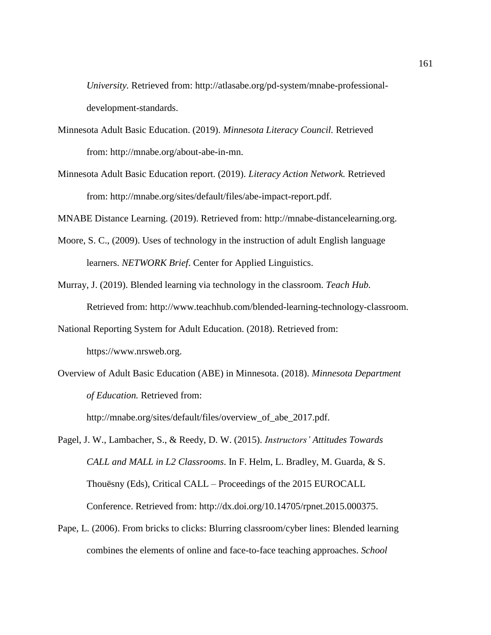*University.* Retrieved from: http://atlasabe.org/pd-system/mnabe-professionaldevelopment-standards.

- Minnesota Adult Basic Education. (2019). *Minnesota Literacy Council.* Retrieved from: http://mnabe.org/about-abe-in-mn.
- Minnesota Adult Basic Education report. (2019). *Literacy Action Network.* Retrieved from: http://mnabe.org/sites/default/files/abe-impact-report.pdf.

MNABE Distance Learning. (2019). Retrieved from: http://mnabe-distancelearning.org.

- Moore, S. C., (2009). Uses of technology in the instruction of adult English language learners. *NETWORK Brief*. Center for Applied Linguistics.
- Murray, J. (2019). Blended learning via technology in the classroom. *Teach Hub.* Retrieved from: http://www.teachhub.com/blended-learning-technology-classroom.
- National Reporting System for Adult Education. (2018). Retrieved from: https://www.nrsweb.org.
- Overview of Adult Basic Education (ABE) in Minnesota. (2018). *Minnesota Department of Education.* Retrieved from:

http://mnabe.org/sites/default/files/overview\_of\_abe\_2017.pdf.

Pagel, J. W., Lambacher, S., & Reedy, D. W. (2015). *Instructors' Attitudes Towards CALL and MALL in L2 Classrooms*. In F. Helm, L. Bradley, M. Guarda, & S. Thouësny (Eds), Critical CALL – Proceedings of the 2015 EUROCALL Conference. Retrieved from: http://dx.doi.org/10.14705/rpnet.2015.000375.

Pape, L. (2006). From bricks to clicks: Blurring classroom/cyber lines: Blended learning combines the elements of online and face-to-face teaching approaches. *School*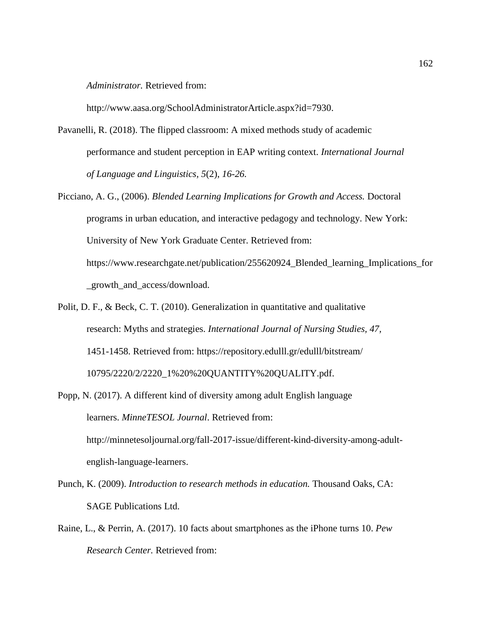*Administrator.* Retrieved from:

http://www.aasa.org/SchoolAdministratorArticle.aspx?id=7930.

- Pavanelli, R. (2018). The flipped classroom: A mixed methods study of academic performance and student perception in EAP writing context. *International Journal of Language and Linguistics, 5*(2), *16-26.*
- Picciano, A. G., (2006). *Blended Learning Implications for Growth and Access.* Doctoral programs in urban education, and interactive pedagogy and technology. New York: University of New York Graduate Center. Retrieved from: https://www.researchgate.net/publication/255620924\_Blended\_learning\_Implications\_for \_growth\_and\_access/download.
- Polit, D. F., & Beck, C. T. (2010). Generalization in quantitative and qualitative research: Myths and strategies. *International Journal of Nursing Studies, 47,* 1451-1458. Retrieved from: https://repository.edulll.gr/edulll/bitstream/ 10795/2220/2/2220\_1%20%20QUANTITY%20QUALITY.pdf.
- Popp, N. (2017). A different kind of diversity among adult English language learners. *MinneTESOL Journal*. Retrieved from: http://minnetesoljournal.org/fall-2017-issue/different-kind-diversity-among-adultenglish-language-learners.
- Punch, K. (2009). *Introduction to research methods in education.* Thousand Oaks, CA: SAGE Publications Ltd.
- Raine, L., & Perrin, A. (2017). 10 facts about smartphones as the iPhone turns 10. *Pew Research Center.* Retrieved from: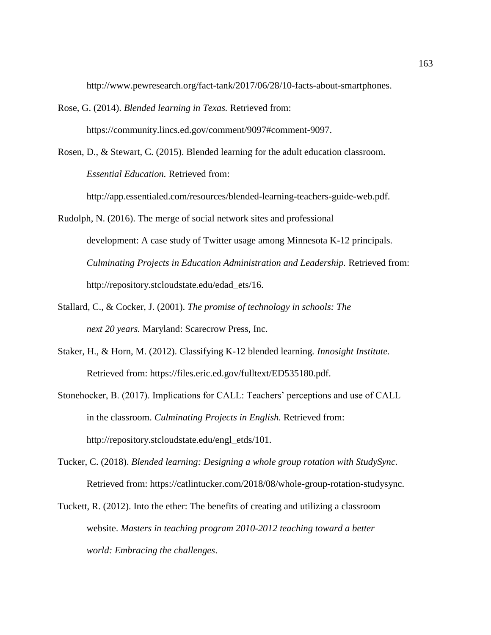http://www.pewresearch.org/fact-tank/2017/06/28/10-facts-about-smartphones.

Rose, G. (2014). *Blended learning in Texas.* Retrieved from: https://community.lincs.ed.gov/comment/9097#comment-9097.

Rosen, D., & Stewart, C. (2015). Blended learning for the adult education classroom. *Essential Education.* Retrieved from:

http://app.essentialed.com/resources/blended-learning-teachers-guide-web.pdf.

- Rudolph, N. (2016). The merge of social network sites and professional development: A case study of Twitter usage among Minnesota K-12 principals. *Culminating Projects in Education Administration and Leadership.* Retrieved from: http://repository.stcloudstate.edu/edad\_ets/16.
- Stallard, C., & Cocker, J. (2001). *The promise of technology in schools: The next 20 years.* Maryland: Scarecrow Press, Inc.
- Staker, H., & Horn, M. (2012). Classifying K-12 blended learning*. Innosight Institute.* Retrieved from: https://files.eric.ed.gov/fulltext/ED535180.pdf.
- Stonehocker, B. (2017). Implications for CALL: Teachers' perceptions and use of CALL in the classroom. *Culminating Projects in English.* Retrieved from: http://repository.stcloudstate.edu/engl\_etds/101.
- Tucker, C. (2018). *Blended learning: Designing a whole group rotation with StudySync.* Retrieved from: https://catlintucker.com/2018/08/whole-group-rotation-studysync.
- Tuckett, R. (2012). Into the ether: The benefits of creating and utilizing a classroom website. *Masters in teaching program 2010-2012 teaching toward a better world: Embracing the challenges*.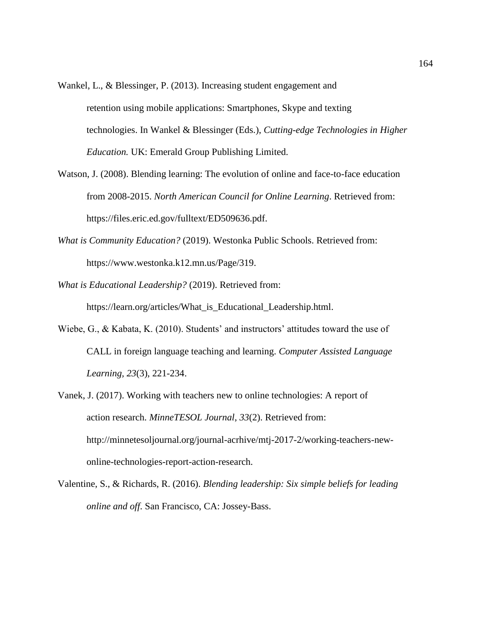- Wankel, L., & Blessinger, P. (2013). Increasing student engagement and retention using mobile applications: Smartphones, Skype and texting technologies. In Wankel & Blessinger (Eds.), *Cutting-edge Technologies in Higher Education.* UK: Emerald Group Publishing Limited.
- Watson, J. (2008). Blending learning: The evolution of online and face-to-face education from 2008-2015. *North American Council for Online Learning*. Retrieved from: https://files.eric.ed.gov/fulltext/ED509636.pdf.
- *What is Community Education?* (2019). Westonka Public Schools. Retrieved from: https://www.westonka.k12.mn.us/Page/319.
- *What is Educational Leadership?* (2019). Retrieved from: https://learn.org/articles/What\_is\_Educational\_Leadership.html.
- Wiebe, G., & Kabata, K. (2010). Students' and instructors' attitudes toward the use of CALL in foreign language teaching and learning. *Computer Assisted Language Learning, 23*(3), 221-234.
- Vanek, J. (2017). Working with teachers new to online technologies: A report of action research. *MinneTESOL Journal*, *33*(2). Retrieved from: http://minnetesoljournal.org/journal-acrhive/mtj-2017-2/working-teachers-newonline-technologies-report-action-research.
- Valentine, S., & Richards, R. (2016). *Blending leadership: Six simple beliefs for leading online and off*. San Francisco, CA: Jossey-Bass.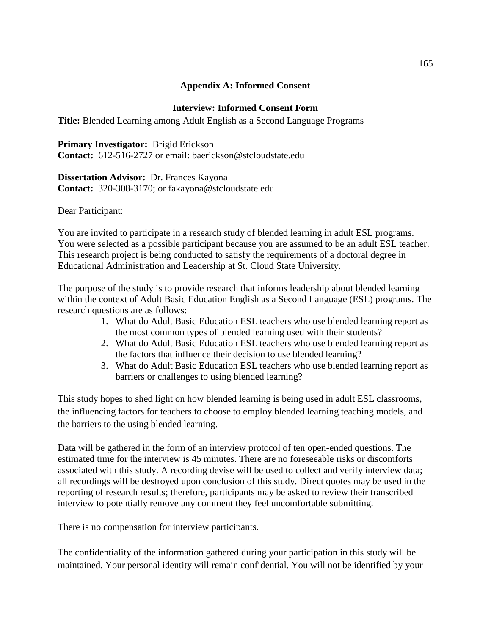# **Appendix A: Informed Consent**

# **Interview: Informed Consent Form**

**Title:** Blended Learning among Adult English as a Second Language Programs

**Primary Investigator:** Brigid Erickson **Contact:** 612-516-2727 or email: baerickson@stcloudstate.edu

**Dissertation Advisor:** Dr. Frances Kayona **Contact:** 320-308-3170; or fakayona@stcloudstate.edu

Dear Participant:

You are invited to participate in a research study of blended learning in adult ESL programs. You were selected as a possible participant because you are assumed to be an adult ESL teacher. This research project is being conducted to satisfy the requirements of a doctoral degree in Educational Administration and Leadership at St. Cloud State University.

The purpose of the study is to provide research that informs leadership about blended learning within the context of Adult Basic Education English as a Second Language (ESL) programs. The research questions are as follows:

- 1. What do Adult Basic Education ESL teachers who use blended learning report as the most common types of blended learning used with their students?
- 2. What do Adult Basic Education ESL teachers who use blended learning report as the factors that influence their decision to use blended learning?
- 3. What do Adult Basic Education ESL teachers who use blended learning report as barriers or challenges to using blended learning?

This study hopes to shed light on how blended learning is being used in adult ESL classrooms, the influencing factors for teachers to choose to employ blended learning teaching models, and the barriers to the using blended learning.

Data will be gathered in the form of an interview protocol of ten open-ended questions. The estimated time for the interview is 45 minutes. There are no foreseeable risks or discomforts associated with this study. A recording devise will be used to collect and verify interview data; all recordings will be destroyed upon conclusion of this study. Direct quotes may be used in the reporting of research results; therefore, participants may be asked to review their transcribed interview to potentially remove any comment they feel uncomfortable submitting.

There is no compensation for interview participants.

The confidentiality of the information gathered during your participation in this study will be maintained. Your personal identity will remain confidential. You will not be identified by your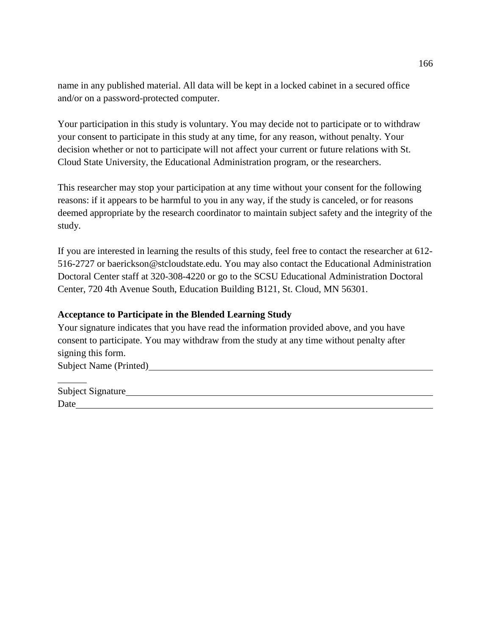name in any published material. All data will be kept in a locked cabinet in a secured office and/or on a password-protected computer.

Your participation in this study is voluntary. You may decide not to participate or to withdraw your consent to participate in this study at any time, for any reason, without penalty. Your decision whether or not to participate will not affect your current or future relations with St. Cloud State University, the Educational Administration program, or the researchers.

This researcher may stop your participation at any time without your consent for the following reasons: if it appears to be harmful to you in any way, if the study is canceled, or for reasons deemed appropriate by the research coordinator to maintain subject safety and the integrity of the study.

If you are interested in learning the results of this study, feel free to contact the researcher at 612- 516-2727 or baerickson@stcloudstate.edu. You may also contact the Educational Administration Doctoral Center staff at 320-308-4220 or go to the SCSU Educational Administration Doctoral Center, 720 4th Avenue South, Education Building B121, St. Cloud, MN 56301.

# **Acceptance to Participate in the Blended Learning Study**

Your signature indicates that you have read the information provided above, and you have consent to participate. You may withdraw from the study at any time without penalty after signing this form.

Subject Name (Printed)

| Subject Signature |  |  |
|-------------------|--|--|
| Date              |  |  |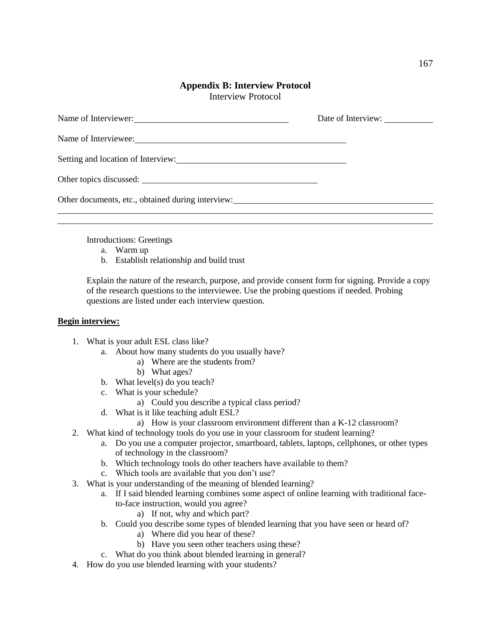#### **Appendix B: Interview Protocol** Interview Protocol

| Name of Interviewer:                              | Date of Interview: |
|---------------------------------------------------|--------------------|
|                                                   |                    |
|                                                   |                    |
|                                                   |                    |
| Other documents, etc., obtained during interview: |                    |
|                                                   |                    |

Introductions: Greetings

- a. Warm up
- b. Establish relationship and build trust

Explain the nature of the research, purpose, and provide consent form for signing. Provide a copy of the research questions to the interviewee. Use the probing questions if needed. Probing questions are listed under each interview question.

#### **Begin interview:**

- 1. What is your adult ESL class like?
	- a. About how many students do you usually have?
		- a) Where are the students from?
		- b) What ages?
	- b. What level(s) do you teach?
	- c. What is your schedule?
		- a) Could you describe a typical class period?
	- d. What is it like teaching adult ESL?
		- a) How is your classroom environment different than a K-12 classroom?
- 2. What kind of technology tools do you use in your classroom for student learning?
	- a. Do you use a computer projector, smartboard, tablets, laptops, cellphones, or other types of technology in the classroom?
	- b. Which technology tools do other teachers have available to them?
	- c. Which tools are available that you don't use?
- 3. What is your understanding of the meaning of blended learning?
	- a. If I said blended learning combines some aspect of online learning with traditional faceto-face instruction, would you agree?
		- a) If not, why and which part?
	- b. Could you describe some types of blended learning that you have seen or heard of?
		- a) Where did you hear of these?
		- b) Have you seen other teachers using these?
	- c. What do you think about blended learning in general?
- 4. How do you use blended learning with your students?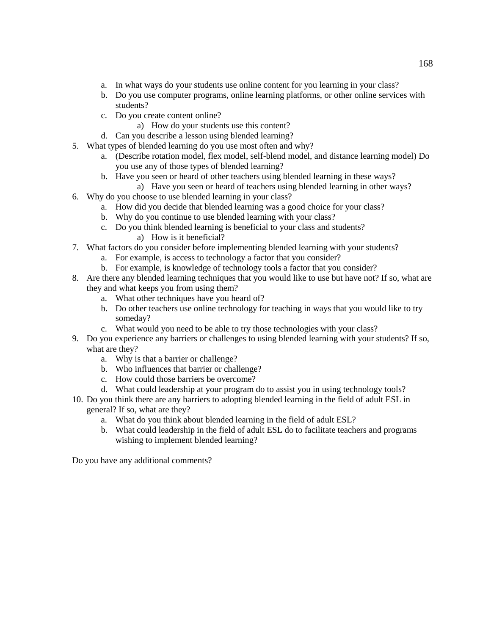- a. In what ways do your students use online content for you learning in your class?
- b. Do you use computer programs, online learning platforms, or other online services with students?
- c. Do you create content online?
	- a) How do your students use this content?
- d. Can you describe a lesson using blended learning?
- 5. What types of blended learning do you use most often and why?
	- a. (Describe rotation model, flex model, self-blend model, and distance learning model) Do you use any of those types of blended learning?
	- b. Have you seen or heard of other teachers using blended learning in these ways?
		- a) Have you seen or heard of teachers using blended learning in other ways?
- 6. Why do you choose to use blended learning in your class?
	- a. How did you decide that blended learning was a good choice for your class?
	- b. Why do you continue to use blended learning with your class?
	- c. Do you think blended learning is beneficial to your class and students? a) How is it beneficial?
- 7. What factors do you consider before implementing blended learning with your students?
	- a. For example, is access to technology a factor that you consider?
	- b. For example, is knowledge of technology tools a factor that you consider?
- 8. Are there any blended learning techniques that you would like to use but have not? If so, what are they and what keeps you from using them?
	- a. What other techniques have you heard of?
	- b. Do other teachers use online technology for teaching in ways that you would like to try someday?
	- c. What would you need to be able to try those technologies with your class?
- 9. Do you experience any barriers or challenges to using blended learning with your students? If so, what are they?
	- a. Why is that a barrier or challenge?
	- b. Who influences that barrier or challenge?
	- c. How could those barriers be overcome?
	- d. What could leadership at your program do to assist you in using technology tools?
- 10. Do you think there are any barriers to adopting blended learning in the field of adult ESL in general? If so, what are they?
	- a. What do you think about blended learning in the field of adult ESL?
	- b. What could leadership in the field of adult ESL do to facilitate teachers and programs wishing to implement blended learning?

Do you have any additional comments?